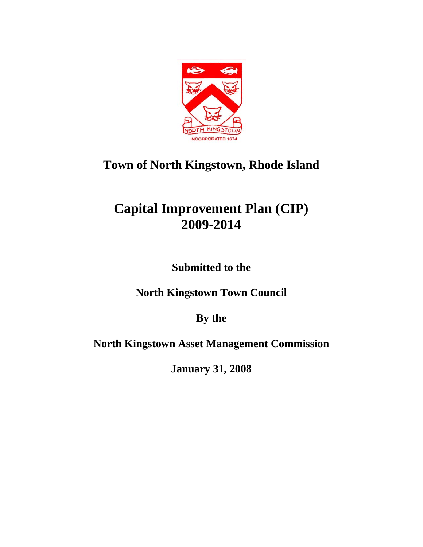

### **Capital Improvement Plan (CIP) 2009-2014**

**Submitted to the** 

**North Kingstown Town Council** 

**By the** 

**North Kingstown Asset Management Commission** 

**January 31, 2008**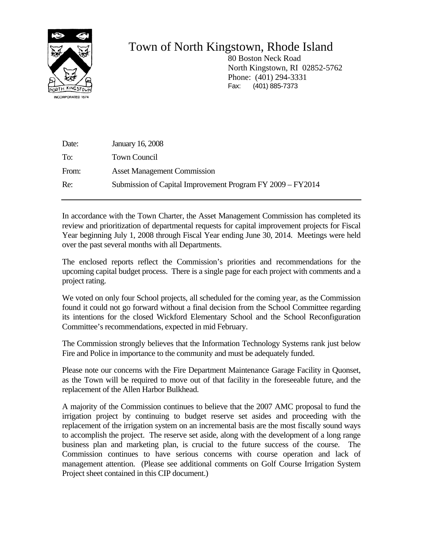

 80 Boston Neck Road North Kingstown, RI 02852-5762 Phone: (401) 294-3331 Fax: (401) 885-7373

| Date: | <b>January 16, 2008</b>                                    |
|-------|------------------------------------------------------------|
| To:   | <b>Town Council</b>                                        |
| From: | <b>Asset Management Commission</b>                         |
| Re:   | Submission of Capital Improvement Program FY 2009 – FY2014 |

In accordance with the Town Charter, the Asset Management Commission has completed its review and prioritization of departmental requests for capital improvement projects for Fiscal Year beginning July 1, 2008 through Fiscal Year ending June 30, 2014. Meetings were held over the past several months with all Departments.

The enclosed reports reflect the Commission's priorities and recommendations for the upcoming capital budget process. There is a single page for each project with comments and a project rating.

We voted on only four School projects, all scheduled for the coming year, as the Commission found it could not go forward without a final decision from the School Committee regarding its intentions for the closed Wickford Elementary School and the School Reconfiguration Committee's recommendations, expected in mid February.

The Commission strongly believes that the Information Technology Systems rank just below Fire and Police in importance to the community and must be adequately funded.

Please note our concerns with the Fire Department Maintenance Garage Facility in Quonset, as the Town will be required to move out of that facility in the foreseeable future, and the replacement of the Allen Harbor Bulkhead.

A majority of the Commission continues to believe that the 2007 AMC proposal to fund the irrigation project by continuing to budget reserve set asides and proceeding with the replacement of the irrigation system on an incremental basis are the most fiscally sound ways to accomplish the project. The reserve set aside, along with the development of a long range business plan and marketing plan, is crucial to the future success of the course. The Commission continues to have serious concerns with course operation and lack of management attention. (Please see additional comments on Golf Course Irrigation System Project sheet contained in this CIP document.)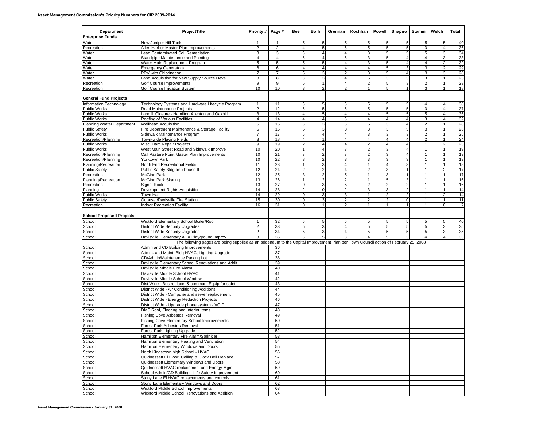| Department                         | ProjectTitle                                                                                                                       |                         |                         |                                | <b>Boffi</b>        | Grennan             | Kochhan                 | Powell              | Shapiro  | <b>Stamm</b>   | Welch               | Total    |
|------------------------------------|------------------------------------------------------------------------------------------------------------------------------------|-------------------------|-------------------------|--------------------------------|---------------------|---------------------|-------------------------|---------------------|----------|----------------|---------------------|----------|
| <b>Enterprise Funds</b>            |                                                                                                                                    |                         |                         |                                |                     |                     |                         |                     |          |                |                     |          |
| Water                              | New Juniper Hill Tank                                                                                                              | $\mathbf{1}$            |                         | 5                              | 5                   | 5                   |                         | 5                   |          |                | 5                   | 40       |
| Recreation                         | Allen Harbor Master Plan Improvements                                                                                              | $\overline{\mathbf{c}}$ | $\overline{\mathbf{c}}$ | 4                              | 5                   | 5                   | 5                       | 5 <sub>5</sub>      | 5        | 3              | $\overline{4}$      | 36       |
| Water                              | Lead Contaminated Soil Remediation                                                                                                 | 3                       | 3                       | 5                              | $\overline{4}$      | $\overline{4}$      | 3                       | 5                   | 5        | 5 <sub>l</sub> | 3                   | 34       |
| Water                              | Standpipe Maintenance and Painting                                                                                                 | 4                       | $\overline{4}$          | 5                              | 4                   | 5                   |                         | 5                   |          | 4              | 3                   | 33       |
| Water                              | Water Main Replacement Program                                                                                                     | 5                       | 5                       | 5                              | 5                   | 4<br>$\overline{4}$ | 3                       | 5                   | 4        | $\overline{4}$ | $\overline{2}$      | 32       |
| Water                              | <b>Emergency Generators</b><br>PRV with Chlorination                                                                               | 6<br>7                  | 6<br>$\overline{7}$     | $\overline{4}$<br>5            | $\overline{4}$<br>3 | 2                   |                         | 5<br>5              |          | 3<br>3         | $\overline{2}$<br>3 | 29<br>28 |
| Water<br>Water                     | Land Acquisition for New Supply Source Deve                                                                                        | 8                       | 8                       | 3                              | 3                   | $\overline{4}$      |                         | 3                   |          | 3              | $\mathbf{1}$        | 25       |
| Recreation                         | Golf Course Improvements                                                                                                           | 9                       | 9                       | 5                              |                     | 4                   |                         | 5 <sub>1</sub>      |          | 2              |                     | 23       |
| Recreation                         | Golf Course Irrigation System                                                                                                      | 10                      | 10                      | 3                              | 2                   |                     |                         | 5                   |          | 3              | 1                   | 18       |
|                                    |                                                                                                                                    |                         |                         |                                |                     |                     |                         |                     |          |                |                     |          |
| <b>General Fund Projects</b>       |                                                                                                                                    |                         |                         |                                |                     |                     |                         |                     |          |                |                     |          |
| Information Technology             | Technology Systems and Hardware Lifecycle Program                                                                                  | 1                       | 11                      | 5                              | 5                   | 5                   |                         | 5                   |          |                | 4                   | 38       |
| <b>Public Works</b>                | Road Maintenance Projects                                                                                                          | $\overline{2}$          | 12                      | 5                              | 5                   | 5                   | 5                       | 5 <sub>l</sub>      |          | 3              | $\overline{4}$      | 37       |
| Public Works                       | Landfill Closure - Hamilton Allenton and Oakhill                                                                                   | 3                       | 13                      | $\overline{4}$                 | 5                   | $\overline{4}$      |                         | 5                   |          | 5              | $\overline{4}$      | 36       |
| <b>Public Works</b>                | Roofing of Various Facilities                                                                                                      | $\overline{4}$          | 14                      | $\overline{4}$                 | $\overline{4}$      | 5                   | $\overline{\mathbf{A}}$ | $\overline{4}$      |          | $\overline{3}$ | $\overline{4}$      | 32       |
| Planning /Water Department         | <b>Wellhead Acquisition</b>                                                                                                        | 5                       | 15                      | 5                              | 3                   | 5                   | 5                       | 3                   |          | $\overline{c}$ | 1                   | 28       |
| <b>Public Safety</b>               | Fire Department Maintenance & Storage Facility                                                                                     | 6                       | 16                      | 5                              | 3                   | 3                   |                         | 3                   | 5        | 3              | $\mathbf{1}$        | 26       |
| <b>Public Works</b>                | Sidewalk Maintenance Program                                                                                                       | $\overline{7}$          | 17                      | 5                              | 4                   | 4                   |                         | 3                   |          | $\overline{2}$ | $\mathbf{1}$        | 25       |
| Recreation/Planning                | Town-wide Playing Fields                                                                                                           | 8                       | 18                      | $\overline{4}$                 | 1                   | 4                   | 4                       | $\overline{4}$      |          | $\overline{2}$ | $\mathbf{1}$        | 24       |
| <b>Public Works</b>                | Misc. Dam Repair Projects                                                                                                          | 9                       | 19                      | $\overline{2}$                 | $\overline{4}$      | 4                   |                         | $\overline{4}$      |          |                | $\overline{2}$      | 23       |
| <b>Public Works</b>                | West Main Street Road and Sidewalk Improve                                                                                         | 10                      | 20                      |                                | 4                   | 3                   |                         | 3                   |          |                | 1                   | 19       |
| Recreation/Planning                | Calf Pasture Point Master Plan Improvements                                                                                        | 10                      | 21                      | 3                              | $\overline{2}$      | 3                   |                         | 3                   |          |                | $\mathbf{1}$        | 19       |
| Recreation/Planning                | Yorktown Park                                                                                                                      | 10                      | 22                      | 3                              | 2                   | 3                   |                         | 3                   |          |                | 1                   | 19       |
| Planning/Recreation                | North End Recreational Fields                                                                                                      | 11                      | 23                      | $\mathbf{1}$<br>$\overline{2}$ | 3<br>$\overline{2}$ | 4<br>$\overline{4}$ |                         | $\overline{4}$<br>3 |          | $\mathbf{1}$   | $\mathbf{1}$        | 18       |
| <b>Public Safety</b><br>Recreation | Public Safety Bldg Imp Phase II<br><b>McGinn Park</b>                                                                              | 12<br>12                | 24<br>25                | 3                              | 2                   | 5                   |                         | 3                   |          |                | $\overline{a}$<br>1 | 17<br>17 |
| Planning/Recreation                | McGinn Park Skating                                                                                                                | 13                      | 26                      | 1                              | $\overline{2}$      |                     |                         | 5                   |          |                | 1                   | 16       |
| Recreation                         | Signal Rock                                                                                                                        | 13                      | 27                      | $\mathbf 0$                    | 3                   | 5                   |                         | $\overline{2}$      |          |                | 1                   | 16       |
| Planning                           | Development Rights Acquisition                                                                                                     | 14                      | 28                      | $\overline{2}$                 | $\mathbf 0$         |                     |                         | 3                   |          |                | $\mathbf{1}$        | 14       |
| <b>Public Works</b>                | Town Hall                                                                                                                          | 14                      | 29                      | $\mathbf 0$                    | 3                   | 3                   |                         | $\overline{c}$      |          |                | $\overline{c}$      | 14       |
| Public Safety                      | Quonset/Davisville Fire Station                                                                                                    | 15                      | 30                      | $\mathbf 0$                    | 3                   |                     | 2                       | $\overline{2}$      | $\Omega$ | $\mathbf{1}$   | 1                   | 11       |
| Recreation                         | <b>Indoor Recreation Facility</b>                                                                                                  | 16                      | 31                      | $\mathbf 0$                    |                     |                     |                         |                     |          |                | $\mathbf 0$         |          |
|                                    |                                                                                                                                    |                         |                         |                                |                     |                     |                         |                     |          |                |                     |          |
| <b>School Proposed Projects</b>    |                                                                                                                                    |                         |                         |                                |                     |                     |                         |                     |          |                |                     |          |
| School                             | Wickford Elementary School Boiler/Roof                                                                                             | $\overline{1}$          | 32                      | 5                              | 5                   |                     |                         | 5                   |          | 5              | 5                   | 40       |
| School                             | <b>District Wide Security Upgrades</b>                                                                                             | $\overline{2}$          | 33                      | 5                              | 3                   | 4                   | 5                       | 5 <sub>5</sub>      | 5        | 5              | 3                   | 35       |
| School                             | <b>District Wide Security Upgrades</b>                                                                                             | $\overline{2}$          | 34                      | 5                              | 3                   |                     | 5                       | 5                   |          | $\overline{5}$ | $\mathbf{3}$        | 35       |
| School                             | Davisville Elementary ADA Playground Improv                                                                                        | 3                       | 35                      | 5 <sub>l</sub>                 | 5                   | 3 <sup>1</sup>      | 4                       | 5 <sub>l</sub>      |          |                | $\overline{4}$      | 33       |
|                                    | The following pages are being supplied as an addendum to the Capital Improvement Plan per Town Council action of February 25, 2008 |                         |                         |                                |                     |                     |                         |                     |          |                |                     |          |
| School                             | Admin and CD Building Improvements                                                                                                 |                         | 36                      |                                |                     |                     |                         |                     |          |                |                     |          |
| School                             | Admin. and Maint. Bldg HVAC, Lighting Upgrade                                                                                      |                         | 37                      |                                |                     |                     |                         |                     |          |                |                     |          |
| School                             | CD/Admin/Maintenance Parking Lot                                                                                                   |                         | 38                      |                                |                     |                     |                         |                     |          |                |                     |          |
| School                             | Davisville Elementary School Renovations and Addit                                                                                 |                         | 39                      |                                |                     |                     |                         |                     |          |                |                     |          |
| School                             | Davisville Middle Fire Alarm                                                                                                       |                         | 40                      |                                |                     |                     |                         |                     |          |                |                     |          |
| School                             | Davisville Middle School HVAC                                                                                                      |                         | 41                      |                                |                     |                     |                         |                     |          |                |                     |          |
| School                             | Davisville Middle School Windows                                                                                                   |                         | 42                      |                                |                     |                     |                         |                     |          |                |                     |          |
| School                             | Dist Wide - Bus replace. & commun. Equip for safet                                                                                 |                         | 43                      |                                |                     |                     |                         |                     |          |                |                     |          |
| School                             | District Wide - Air Conditioning Additions                                                                                         |                         | 44                      |                                |                     |                     |                         |                     |          |                |                     |          |
| School                             | District Wide - Computer and server replacement                                                                                    |                         | 45                      |                                |                     |                     |                         |                     |          |                |                     |          |
| School                             | District Wide - Energy Reduction Projects                                                                                          |                         | 46                      |                                |                     |                     |                         |                     |          |                |                     |          |
| School                             | District Wide - Upgrade phone system - VOIP                                                                                        |                         | 47                      |                                |                     |                     |                         |                     |          |                |                     |          |
| School                             | DMS Roof, Flooring and Interior items                                                                                              |                         | 48                      |                                |                     |                     |                         |                     |          |                |                     |          |
| School                             | Fishing Cove Asbestos Removal                                                                                                      |                         | 49                      |                                |                     |                     |                         |                     |          |                |                     |          |
| School                             | Fishing Cove Elementary School Improvements                                                                                        |                         | 50                      |                                |                     |                     |                         |                     |          |                |                     |          |
| School                             | Forest Park Asbestos Removal                                                                                                       |                         | 51                      |                                |                     |                     |                         |                     |          |                |                     |          |
| School                             | Forest Park Lighting Upgrade                                                                                                       |                         | 52                      |                                |                     |                     |                         |                     |          |                |                     |          |
| School                             | Hamilton Elementary Fire Alarm/Sprinkler                                                                                           |                         | 53                      |                                |                     |                     |                         |                     |          |                |                     |          |
| School                             | Hamilton Elementary Heating and Ventilation                                                                                        |                         | 54                      |                                |                     |                     |                         |                     |          |                |                     |          |
| School                             | Hamilton Elementary Windows and Doors                                                                                              |                         | 55                      |                                |                     |                     |                         |                     |          |                |                     |          |
| School                             | North Kingstown high School - HVAC                                                                                                 |                         | 56                      |                                |                     |                     |                         |                     |          |                |                     |          |
| School                             | Quidnessett El Floor, Ceiling & Clock Bell Replace                                                                                 |                         | 57                      |                                |                     |                     |                         |                     |          |                |                     |          |
| School                             | Quidnessett Elementary Windows and Doors                                                                                           |                         | 58                      |                                |                     |                     |                         |                     |          |                |                     |          |
| School                             | Quidnessett HVAC replacement and Energy Mgmt                                                                                       |                         | 59                      |                                |                     |                     |                         |                     |          |                |                     |          |
| School                             | School Admin/CD Building - Life Safety Improvement                                                                                 |                         | 60                      |                                |                     |                     |                         |                     |          |                |                     |          |
| School                             | Stony Lane El HVAC replacements and controls                                                                                       |                         | 61                      |                                |                     |                     |                         |                     |          |                |                     |          |
| School                             | Stony Lane Elementary Windows and Doors                                                                                            |                         | 62                      |                                |                     |                     |                         |                     |          |                |                     |          |
| School                             | Wickford Middle School Improvements                                                                                                |                         | 63                      |                                |                     |                     |                         |                     |          |                |                     |          |
| School                             | Wickford Middle School Renovations and Addition                                                                                    |                         | 64                      |                                |                     |                     |                         |                     |          |                |                     |          |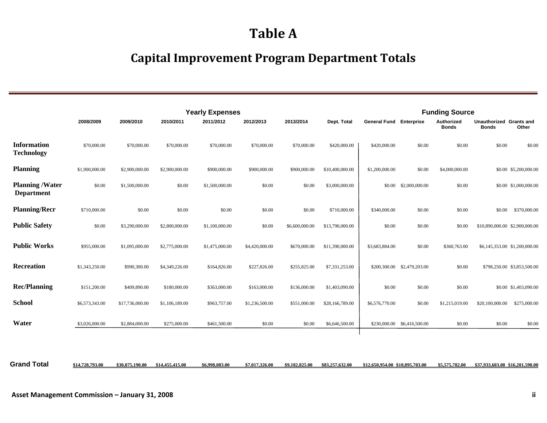### **Table A**

### **Capital Improvement Program Department Totals**

|                                             |                |                 |                | <b>Yearly Expenses</b> |                |                |                 |                                | <b>Funding Source</b>       |                            |                                         |                               |
|---------------------------------------------|----------------|-----------------|----------------|------------------------|----------------|----------------|-----------------|--------------------------------|-----------------------------|----------------------------|-----------------------------------------|-------------------------------|
|                                             | 2008/2009      | 2009/2010       | 2010/2011      | 2011/2012              | 2012/2013      | 2013/2014      | Dept. Total     | <b>General Fund Enterprise</b> |                             | Authorized<br><b>Bonds</b> | Unauthorized Grants and<br><b>Bonds</b> | Other                         |
| <b>Information</b><br><b>Technology</b>     | \$70,000.00    | \$70,000.00     | \$70,000.00    | \$70,000.00            | \$70,000.00    | \$70,000.00    | \$420,000.00    | \$420,000.00                   | \$0.00                      | \$0.00                     | \$0.00                                  | \$0.00                        |
| <b>Planning</b>                             | \$1,900,000.00 | \$2,900,000.00  | \$2,900,000.00 | \$900,000.00           | \$900,000.00   | \$900,000.00   | \$10,400,000.00 | \$1,200,000.00                 | \$0.00                      | \$4,000,000.00             |                                         | \$0.00 \$5,200,000.00         |
| <b>Planning /Water</b><br><b>Department</b> | \$0.00         | \$1,500,000.00  | \$0.00         | \$1,500,000.00         | \$0.00         | \$0.00         | \$3,000,000.00  | \$0.00                         | \$2,000,000.00              | \$0.00                     |                                         | \$0.00 \$1,000,000.00         |
| <b>Planning/Recr</b>                        | \$710,000.00   | \$0.00          | \$0.00         | \$0.00                 | \$0.00         | \$0.00         | \$710,000.00    | \$340,000.00                   | \$0.00                      | \$0.00                     | \$0.00                                  | \$370,000.00                  |
| <b>Public Safety</b>                        | \$0.00         | \$3,290,000.00  | \$2,800,000.00 | \$1,100,000.00         | \$0.00         | \$6,600,000.00 | \$13,790,000.00 | \$0.00                         | \$0.00                      | \$0.00                     | \$10,890,000.00 \$2,900,000.00          |                               |
| <b>Public Works</b>                         | \$955,000.00   | \$1,095,000.00  | \$2,775,000.00 | \$1,475,000.00         | \$4,420,000.00 | \$670,000.00   | \$11,390,000.00 | \$3,683,884.00                 | \$0.00                      | \$360,763.00               |                                         | \$6,145,353.00 \$1,200,000.00 |
| Recreation                                  | \$1,343,250.00 | \$990,300.00    | \$4,349,226.00 | \$164,826.00           | \$227,826.00   | \$255,825.00   | \$7,331,253.00  |                                | \$200,300.00 \$2,479,203.00 | \$0.00                     |                                         | \$798,250.00 \$3,853,500.00   |
| <b>Rec/Planning</b>                         | \$151,200.00   | \$409,890.00    | \$180,000.00   | \$363,000.00           | \$163,000.00   | \$136,000.00   | \$1,403,090.00  | \$0.00                         | \$0.00                      | \$0.00                     |                                         | \$0.00 \$1,403,090.00         |
| <b>School</b>                               | \$6,573,343.00 | \$17,736,000.00 | \$1,106,189.00 | \$963,757.00           | \$1,236,500.00 | \$551,000.00   | \$28,166,789.00 | \$6,576,770.00                 | \$0.00                      | \$1,215,019.00             | \$20,100,000.00                         | \$275,000.00                  |
| Water                                       | \$3,026,000.00 | \$2,884,000.00  | \$275,000.00   | \$461,500.00           | \$0.00         | \$0.00         | \$6,646,500.00  |                                | \$230,000.00 \$6,416,500.00 | \$0.00                     | \$0.00                                  | \$0.00                        |
|                                             |                |                 |                |                        |                |                |                 |                                |                             |                            |                                         |                               |

**Grand Total**\$14,728,793.00 \$30,875,190.00 \$14,455,415.00 \$6,998,083.00 \$7,017,326.00 \$9,182,825.00 \$83,257,632.00 \$12,650,954.00 \$10,895,703.00 \$5,575,782.00 \$37,933,603.00 \$16,201,590.00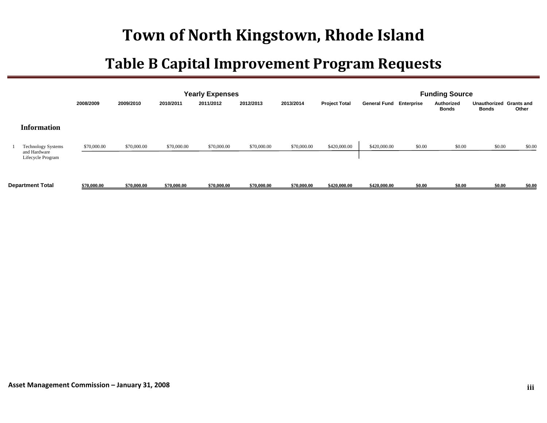|                                                                |             |             |             | <b>Yearly Expenses</b> |             |             |                      |                                |        | <b>Funding Source</b> |                              |                            |
|----------------------------------------------------------------|-------------|-------------|-------------|------------------------|-------------|-------------|----------------------|--------------------------------|--------|-----------------------|------------------------------|----------------------------|
|                                                                | 2008/2009   | 2009/2010   | 2010/2011   | 2011/2012              | 2012/2013   | 2013/2014   | <b>Project Total</b> | <b>General Fund Enterprise</b> |        | Authorized<br>Bonds   | Unauthorized<br><b>Bonds</b> | <b>Grants and</b><br>Other |
| <b>Information</b>                                             |             |             |             |                        |             |             |                      |                                |        |                       |                              |                            |
| <b>Technology Systems</b><br>and Hardware<br>Lifecycle Program | \$70,000.00 | \$70,000.00 | \$70,000.00 | \$70,000.00            | \$70,000.00 | \$70,000.00 | \$420,000.00         | \$420,000.00                   | \$0.00 | \$0.00                | \$0.00                       | \$0.00                     |
| <b>Department Total</b>                                        | \$70,000.00 | \$70,000.00 | \$70,000.00 | \$70,000.00            | \$70,000.00 | \$70,000.00 | \$420,000.00         | \$420,000.00                   | \$0.00 | \$0.00                | \$0.00                       | \$0.00                     |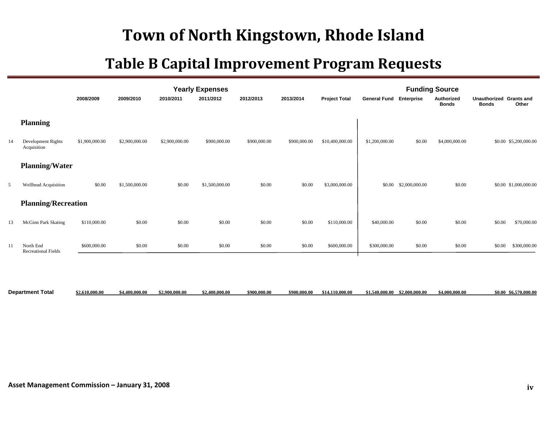|                 |                                         | 2008/2009      | 2009/2010      | 2010/2011      | <b>Yearly Expenses</b><br>2011/2012 | 2012/2013    | 2013/2014    | <b>Project Total</b> | <b>General Fund</b> | Enterprise     | <b>Funding Source</b><br>Authorized<br><b>Bonds</b> | Unauthorized Grants and<br><b>Bonds</b> | Other                 |
|-----------------|-----------------------------------------|----------------|----------------|----------------|-------------------------------------|--------------|--------------|----------------------|---------------------|----------------|-----------------------------------------------------|-----------------------------------------|-----------------------|
|                 | <b>Planning</b>                         |                |                |                |                                     |              |              |                      |                     |                |                                                     |                                         |                       |
| $\overline{14}$ | Development Rights<br>Acquisition       | \$1,900,000.00 | \$2,900,000.00 | \$2,900,000.00 | \$900,000.00                        | \$900,000.00 | \$900,000.00 | \$10,400,000.00      | \$1,200,000.00      | \$0.00         | \$4,000,000.00                                      |                                         | \$0.00 \$5,200,000.00 |
|                 | <b>Planning/Water</b>                   |                |                |                |                                     |              |              |                      |                     |                |                                                     |                                         |                       |
|                 | Wellhead Acquisition                    | \$0.00         | \$1,500,000.00 | \$0.00         | \$1,500,000.00                      | \$0.00       | \$0.00       | \$3,000,000.00       | \$0.00              | \$2,000,000.00 | \$0.00                                              |                                         | \$0.00 \$1,000,000.00 |
|                 | <b>Planning/Recreation</b>              |                |                |                |                                     |              |              |                      |                     |                |                                                     |                                         |                       |
| 13              | <b>McGinn Park Skating</b>              | \$110,000.00   | \$0.00         | \$0.00         | \$0.00                              | \$0.00       | \$0.00       | \$110,000.00         | \$40,000.00         | \$0.00         | \$0.00                                              | \$0.00                                  | \$70,000.00           |
|                 | North End<br><b>Recreational Fields</b> | \$600,000.00   | \$0.00         | \$0.00         | \$0.00                              | \$0.00       | \$0.00       | \$600,000.00         | \$300,000.00        | \$0.00         | \$0.00                                              | \$0.00                                  | \$300,000.00          |

| <b>Department Total</b> | 0.000.00<br>-\$2.61P | 4.400.000.00 | $^{\circ}$ , 900,000,00 $^{\circ}$ | \$2.400.000.00 | \$900,000,00 | \$900 000 00 | \$14.110.000.00 | \$2.000.000.00<br>- 540 000 00 | \$4,000,000.00 | \$6.570.000.00<br>\$0.00 |
|-------------------------|----------------------|--------------|------------------------------------|----------------|--------------|--------------|-----------------|--------------------------------|----------------|--------------------------|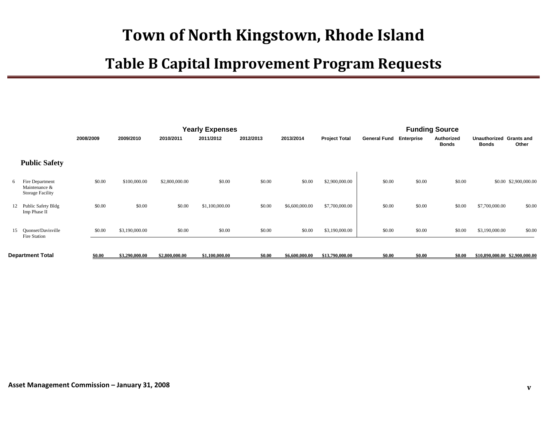|   |                                                             |           |                |                | <b>Yearly Expenses</b> |           |                |                      |                     |            | <b>Funding Source</b>      |                              |                                |
|---|-------------------------------------------------------------|-----------|----------------|----------------|------------------------|-----------|----------------|----------------------|---------------------|------------|----------------------------|------------------------------|--------------------------------|
|   |                                                             | 2008/2009 | 2009/2010      | 2010/2011      | 2011/2012              | 2012/2013 | 2013/2014      | <b>Project Total</b> | <b>General Fund</b> | Enterprise | Authorized<br><b>Bonds</b> | Unauthorized<br><b>Bonds</b> | <b>Grants and</b><br>Other     |
|   | <b>Public Safety</b>                                        |           |                |                |                        |           |                |                      |                     |            |                            |                              |                                |
| 6 | Fire Department<br>Maintenance &<br><b>Storage Facility</b> | \$0.00    | \$100,000.00   | \$2,800,000.00 | \$0.00                 | \$0.00    | \$0.00         | \$2,900,000.00       | \$0.00              | \$0.00     | \$0.00                     |                              | \$0.00 \$2,900,000.00          |
|   | 12 Public Safety Bldg<br>Imp Phase II                       | \$0.00    | \$0.00         | \$0.00         | \$1,100,000.00         | \$0.00    | \$6,600,000.00 | \$7,700,000.00       | \$0.00              | \$0.00     | \$0.00                     | \$7,700,000.00               | \$0.00                         |
|   | 15 Ouonset/Davisville<br>Fire Station                       | \$0.00    | \$3,190,000.00 | \$0.00         | \$0.00                 | \$0.00    | \$0.00         | \$3,190,000.00       | \$0.00              | \$0.00     | \$0.00                     | \$3,190,000.00               | \$0.00                         |
|   | Department Total                                            | \$0.00    | \$3,290,000.00 | \$2,800,000.00 | \$1,100,000.00         | \$0.00    | \$6,600,000.00 | \$13,790,000.00      | \$0.00              | \$0.00     | \$0.00                     |                              | \$10,890,000,00 \$2,900,000,00 |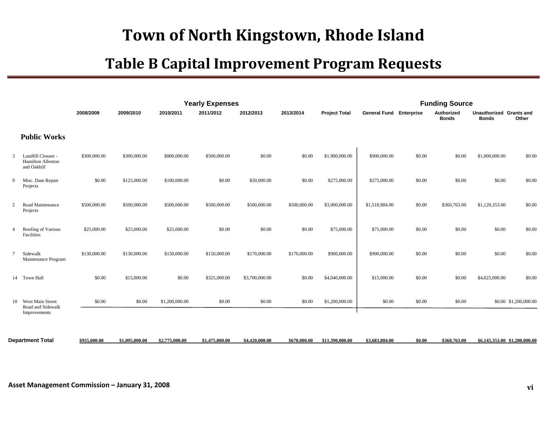|                |                                                          |              |                |                | <b>Yearly Expenses</b> |                |              |                      |                                | <b>Funding Source</b> |                            |                                         |                               |
|----------------|----------------------------------------------------------|--------------|----------------|----------------|------------------------|----------------|--------------|----------------------|--------------------------------|-----------------------|----------------------------|-----------------------------------------|-------------------------------|
|                |                                                          | 2008/2009    | 2009/2010      | 2010/2011      | 2011/2012              | 2012/2013      | 2013/2014    | <b>Project Total</b> | <b>General Fund Enterprise</b> |                       | Authorized<br><b>Bonds</b> | Unauthorized Grants and<br><b>Bonds</b> | Other                         |
|                | <b>Public Works</b>                                      |              |                |                |                        |                |              |                      |                                |                       |                            |                                         |                               |
| 3              | Landfill Closure -<br>Hamilton Allenton<br>and Oakhill   | \$300,000.00 | \$300,000.00   | \$800,000.00   | \$500,000.00           | \$0.00         | \$0.00       | \$1,900,000.00       | \$900,000.00                   | \$0.00                | \$0.00                     | \$1,000,000.00                          | \$0.00                        |
| 9              | Misc. Dam Repair<br>Projects                             | \$0.00       | \$125,000.00   | \$100,000.00   | \$0.00                 | \$50,000.00    | \$0.00       | \$275,000.00         | \$275,000.00                   | \$0.00                | \$0.00                     | \$0.00                                  | \$0.00                        |
| $\overline{2}$ | Road Maintenance<br>Projects                             | \$500,000.00 | \$500,000.00   | \$500,000.00   | \$500,000.00           | \$500,000.00   | \$500,000.00 | \$3,000,000.00       | \$1,518,884.00                 | \$0.00                | \$360,763.00               | \$1,120,353.00                          | \$0.00                        |
| $\overline{4}$ | Roofing of Various<br>Facilities                         | \$25,000.00  | \$25,000.00    | \$25,000.00    | \$0.00                 | \$0.00         | \$0.00       | \$75,000.00          | \$75,000.00                    | \$0.00                | \$0.00                     | \$0.00                                  | \$0.00                        |
| $\tau$         | Sidewalk<br>Maintenance Program                          | \$130,000.00 | \$130,000.00   | \$150,000.00   | \$150,000.00           | \$170,000.00   | \$170,000.00 | \$900,000.00         | \$900,000.00                   | \$0.00                | \$0.00                     | \$0.00                                  | \$0.00                        |
|                | 14 Town Hall                                             | \$0.00       | \$15,000.00    | \$0.00         | \$325,000.00           | \$3,700,000.00 | \$0.00       | \$4,040,000.00       | \$15,000.00                    | \$0.00                | \$0.00                     | \$4,025,000.00                          | \$0.00                        |
|                | 10 West Main Street<br>Road and Sidewalk<br>Improvements | \$0.00       | \$0.00         | \$1,200,000.00 | \$0.00                 | \$0.00         | \$0.00       | \$1,200,000.00       | \$0.00                         | \$0.00                | \$0.00                     |                                         | \$0.00 \$1,200,000.00         |
|                | <b>Department Total</b>                                  | \$955,000.00 | \$1,095,000,00 | \$2,775,000,00 | \$1,475,000.00         | \$4,420,000,00 | \$670,000,00 | \$11.390.000.00      | \$3,683,884.00                 | \$0.00                | \$360,763.00               |                                         | \$6,145,353,00 \$1,200,000,00 |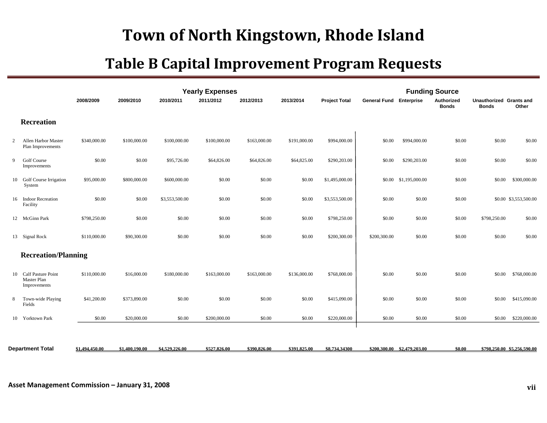|                |                                                      |                |                |                | <b>Yearly Expenses</b> |              |              |                      |                                |                             | <b>Funding Source</b>      |                                         |                             |
|----------------|------------------------------------------------------|----------------|----------------|----------------|------------------------|--------------|--------------|----------------------|--------------------------------|-----------------------------|----------------------------|-----------------------------------------|-----------------------------|
|                |                                                      | 2008/2009      | 2009/2010      | 2010/2011      | 2011/2012              | 2012/2013    | 2013/2014    | <b>Project Total</b> | <b>General Fund Enterprise</b> |                             | Authorized<br><b>Bonds</b> | Unauthorized Grants and<br><b>Bonds</b> | Other                       |
|                | <b>Recreation</b>                                    |                |                |                |                        |              |              |                      |                                |                             |                            |                                         |                             |
| $\overline{2}$ | Allen Harbor Master<br>Plan Improvements             | \$340,000.00   | \$100,000.00   | \$100,000.00   | \$100,000.00           | \$163,000.00 | \$191,000.00 | \$994,000.00         | \$0.00                         | \$994,000.00                | \$0.00                     | \$0.00                                  | \$0.00                      |
| 9              | <b>Golf Course</b><br>Improvements                   | \$0.00         | \$0.00         | \$95,726.00    | \$64,826.00            | \$64,826.00  | \$64,825.00  | \$290,203.00         | \$0.00                         | \$290,203.00                | \$0.00                     | \$0.00                                  | \$0.00                      |
|                | 10 Golf Course Irrigation<br>System                  | \$95,000.00    | \$800,000.00   | \$600,000.00   | \$0.00                 | \$0.00       | \$0.00       | \$1,495,000.00       | \$0.00                         | \$1,195,000.00              | \$0.00                     | \$0.00                                  | \$300,000.00                |
|                | 16 Indoor Recreation<br>Facility                     | \$0.00         | \$0.00         | \$3,553,500.00 | \$0.00                 | \$0.00       | \$0.00       | \$3,553,500.00       | \$0.00                         | \$0.00                      | \$0.00                     |                                         | \$0.00 \$3,553,500.00       |
|                | 12 McGinn Park                                       | \$798,250.00   | \$0.00         | \$0.00         | \$0.00                 | \$0.00       | \$0.00       | \$798,250.00         | \$0.00                         | \$0.00                      | \$0.00                     | \$798,250.00                            | \$0.00                      |
|                | 13 Signal Rock                                       | \$110,000.00   | \$90,300.00    | \$0.00         | \$0.00                 | \$0.00       | \$0.00       | \$200,300.00         | \$200,300.00                   | \$0.00                      | \$0.00                     | \$0.00                                  | \$0.00                      |
|                | <b>Recreation/Planning</b>                           |                |                |                |                        |              |              |                      |                                |                             |                            |                                         |                             |
|                | 10 Calf Pasture Point<br>Master Plan<br>Improvements | \$110,000.00   | \$16,000.00    | \$180,000.00   | \$163,000.00           | \$163,000.00 | \$136,000.00 | \$768,000.00         | \$0.00                         | \$0.00                      | \$0.00                     | \$0.00                                  | \$768,000.00                |
| 8              | Town-wide Playing<br>Fields                          | \$41,200.00    | \$373,890.00   | \$0.00         | \$0.00                 | \$0.00       | \$0.00       | \$415,090.00         | \$0.00                         | \$0.00                      | \$0.00                     | \$0.00                                  | \$415,090.00                |
|                | 10 Yorktown Park                                     | \$0.00         | \$20,000.00    | \$0.00         | \$200,000.00           | \$0.00       | \$0.00       | \$220,000.00         | \$0.00                         | \$0.00                      | \$0.00                     | \$0.00                                  | \$220,000.00                |
|                |                                                      |                |                |                |                        |              |              |                      |                                |                             |                            |                                         |                             |
|                | <b>Department Total</b>                              | \$1,494,450.00 | \$1,400,190.00 | \$4,529,226.00 | \$527,826.00           | \$390,826.00 | \$391,825.00 | \$8,734,34300        |                                | \$200,300,00 \$2,479,203,00 | \$0.00                     |                                         | \$798,250,00 \$5,256,590,00 |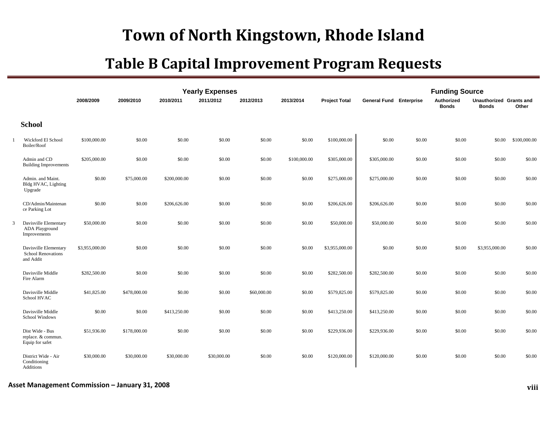|                                                                 |                |              |              | <b>Yearly Expenses</b> |             |              |                      |                                | <b>Funding Source</b> |                            |                                         |              |
|-----------------------------------------------------------------|----------------|--------------|--------------|------------------------|-------------|--------------|----------------------|--------------------------------|-----------------------|----------------------------|-----------------------------------------|--------------|
|                                                                 | 2008/2009      | 2009/2010    | 2010/2011    | 2011/2012              | 2012/2013   | 2013/2014    | <b>Project Total</b> | <b>General Fund Enterprise</b> |                       | Authorized<br><b>Bonds</b> | Unauthorized Grants and<br><b>Bonds</b> | Other        |
| <b>School</b>                                                   |                |              |              |                        |             |              |                      |                                |                       |                            |                                         |              |
| Wickford El School<br>Boiler/Roof                               | \$100,000.00   | \$0.00       | \$0.00       | \$0.00                 | \$0.00      | \$0.00       | \$100,000.00         | \$0.00                         | \$0.00                | \$0.00                     | \$0.00                                  | \$100,000.00 |
| Admin and CD<br><b>Building Improvements</b>                    | \$205,000.00   | \$0.00       | \$0.00       | \$0.00                 | \$0.00      | \$100,000.00 | \$305,000.00         | \$305,000.00                   | \$0.00                | \$0.00                     | \$0.00                                  | \$0.00       |
| Admin. and Maint.<br>Bldg HVAC, Lighting<br>Upgrade             | \$0.00         | \$75,000.00  | \$200,000.00 | \$0.00                 | \$0.00      | \$0.00       | \$275,000.00         | \$275,000.00                   | \$0.00                | \$0.00                     | \$0.00                                  | \$0.00       |
| CD/Admin/Maintenan<br>ce Parking Lot                            | \$0.00         | \$0.00       | \$206,626.00 | \$0.00                 | \$0.00      | \$0.00       | \$206,626.00         | \$206,626.00                   | \$0.00                | \$0.00                     | \$0.00                                  | \$0.00       |
| Davisville Elementary<br>ADA Playground<br>Improvements         | \$50,000.00    | \$0.00       | \$0.00       | \$0.00                 | \$0.00      | \$0.00       | \$50,000.00          | \$50,000.00                    | \$0.00                | \$0.00                     | \$0.00                                  | \$0.00       |
| Davisville Elementary<br><b>School Renovations</b><br>and Addit | \$3,955,000.00 | \$0.00       | \$0.00       | \$0.00                 | \$0.00      | \$0.00       | \$3,955,000.00       | \$0.00                         | \$0.00                | \$0.00                     | \$3,955,000.00                          | \$0.00       |
| Davisville Middle<br>Fire Alarm                                 | \$282,500.00   | \$0.00       | \$0.00       | \$0.00                 | \$0.00      | \$0.00       | \$282,500.00         | \$282,500.00                   | \$0.00                | \$0.00                     | \$0.00                                  | \$0.00       |
| Davisville Middle<br>School HVAC                                | \$41,825.00    | \$478,000.00 | \$0.00       | \$0.00                 | \$60,000.00 | \$0.00       | \$579,825.00         | \$579,825.00                   | \$0.00                | \$0.00                     | \$0.00                                  | \$0.00       |
| Davisville Middle<br>School Windows                             | \$0.00         | \$0.00       | \$413,250.00 | \$0.00                 | \$0.00      | \$0.00       | \$413,250.00         | \$413,250.00                   | \$0.00                | \$0.00                     | \$0.00                                  | \$0.00       |
| Dist Wide - Bus<br>replace. & commun.<br>Equip for safet        | \$51,936.00    | \$178,000.00 | \$0.00       | \$0.00                 | \$0.00      | \$0.00       | \$229,936.00         | \$229,936.00                   | \$0.00                | \$0.00                     | \$0.00                                  | \$0.00       |
| District Wide - Air<br>Conditioning<br>Additions                | \$30,000.00    | \$30,000.00  | \$30,000.00  | \$30,000.00            | \$0.00      | \$0.00       | \$120,000.00         | \$120,000.00                   | \$0.00                | \$0.00                     | \$0.00                                  | \$0.00       |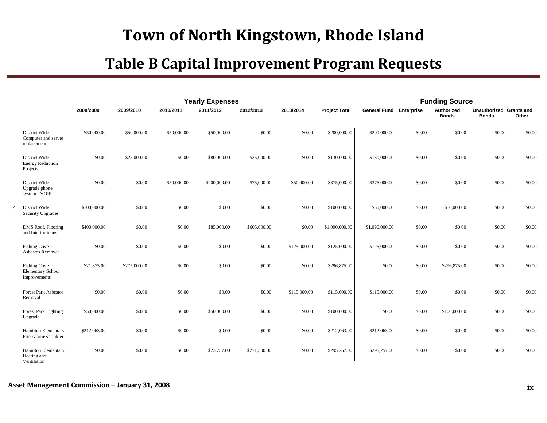|   |                                                                 |              |              |             | <b>Yearly Expenses</b> |              |              |                      |                     | <b>Funding Source</b> |                            |                                         |        |
|---|-----------------------------------------------------------------|--------------|--------------|-------------|------------------------|--------------|--------------|----------------------|---------------------|-----------------------|----------------------------|-----------------------------------------|--------|
|   |                                                                 | 2008/2009    | 2009/2010    | 2010/2011   | 2011/2012              | 2012/2013    | 2013/2014    | <b>Project Total</b> | <b>General Fund</b> | <b>Enterprise</b>     | Authorized<br><b>Bonds</b> | Unauthorized Grants and<br><b>Bonds</b> | Other  |
|   | District Wide -<br>Computer and server<br>replacement           | \$50,000.00  | \$50,000.00  | \$50,000.00 | \$50,000.00            | \$0.00       | \$0.00       | \$200,000.00         | \$200,000.00        | \$0.00                | \$0.00                     | \$0.00                                  | \$0.00 |
|   | District Wide -<br><b>Energy Reduction</b><br>Projects          | \$0.00       | \$25,000.00  | \$0.00      | \$80,000.00            | \$25,000.00  | \$0.00       | \$130,000.00         | \$130,000.00        | \$0.00                | \$0.00                     | \$0.00                                  | \$0.00 |
|   | District Wide -<br>Upgrade phone<br>system - VOIP               | \$0.00       | \$0.00       | \$50,000.00 | \$200,000.00           | \$75,000.00  | \$50,000.00  | \$375,000.00         | \$375,000.00        | \$0.00                | \$0.00                     | \$0.00                                  | \$0.00 |
| 2 | District Wide<br><b>Security Upgrades</b>                       | \$100,000.00 | \$0.00       | \$0.00      | \$0.00                 | \$0.00       | \$0.00       | \$100,000.00         | \$50,000.00         | \$0.00                | \$50,000.00                | \$0.00                                  | \$0.00 |
|   | DMS Roof, Flooring<br>and Interior items                        | \$400,000.00 | \$0.00       | \$0.00      | \$85,000.00            | \$605,000.00 | \$0.00       | \$1,090,000.00       | \$1,090,000.00      | \$0.00                | \$0.00                     | \$0.00                                  | \$0.00 |
|   | <b>Fishing Cove</b><br>Asbestos Removal                         | \$0.00       | \$0.00       | \$0.00      | \$0.00                 | \$0.00       | \$125,000.00 | \$125,000.00         | \$125,000.00        | \$0.00                | \$0.00                     | \$0.00                                  | \$0.00 |
|   | <b>Fishing Cove</b><br><b>Elementary School</b><br>Improvements | \$21,875.00  | \$275,000.00 | \$0.00      | \$0.00                 | \$0.00       | \$0.00       | \$296,875.00         | \$0.00              | \$0.00                | \$296,875.00               | \$0.00                                  | \$0.00 |
|   | <b>Forest Park Asbestos</b><br>Removal                          | \$0.00       | \$0.00       | \$0.00      | \$0.00                 | \$0.00       | \$115,000.00 | \$115,000.00         | \$115,000.00        | \$0.00                | \$0.00                     | \$0.00                                  | \$0.00 |
|   | <b>Forest Park Lighting</b><br>Upgrade                          | \$50,000.00  | \$0.00       | \$0.00      | \$50,000.00            | \$0.00       | \$0.00       | \$100,000.00         | \$0.00              | \$0.00                | \$100,000.00               | \$0.00                                  | \$0.00 |
|   | <b>Hamilton Elementary</b><br>Fire Alarm/Sprinkler              | \$212,063.00 | \$0.00       | \$0.00      | \$0.00                 | \$0.00       | \$0.00       | \$212,063.00         | \$212,063.00        | \$0.00                | \$0.00                     | \$0.00                                  | \$0.00 |
|   | Hamilton Elementary<br>Heating and<br>Ventilation               | \$0.00       | \$0.00       | \$0.00      | \$23,757.00            | \$271,500.00 | \$0.00       | \$295,257.00         | \$295,257.00        | \$0.00                | \$0.00                     | \$0.00                                  | \$0.00 |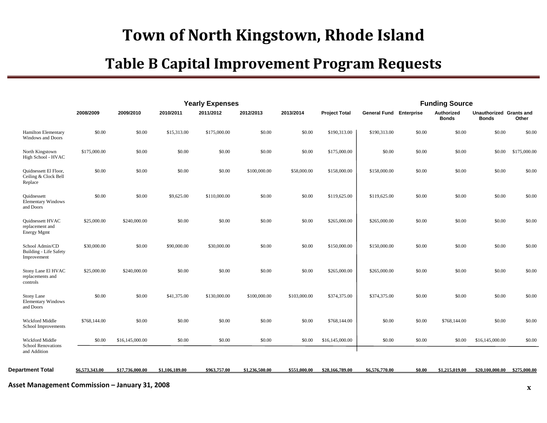|                                                                 |                |                 |                | <b>Yearly Expenses</b> |                |              |                      |                                |        | <b>Funding Source</b>      |                                         |              |
|-----------------------------------------------------------------|----------------|-----------------|----------------|------------------------|----------------|--------------|----------------------|--------------------------------|--------|----------------------------|-----------------------------------------|--------------|
|                                                                 | 2008/2009      | 2009/2010       | 2010/2011      | 2011/2012              | 2012/2013      | 2013/2014    | <b>Project Total</b> | <b>General Fund Enterprise</b> |        | Authorized<br><b>Bonds</b> | Unauthorized Grants and<br><b>Bonds</b> | Other        |
| <b>Hamilton Elementary</b><br>Windows and Doors                 | \$0.00         | \$0.00          | \$15,313.00    | \$175,000.00           | \$0.00         | \$0.00       | \$190,313.00         | \$190,313.00                   | \$0.00 | \$0.00                     | \$0.00                                  | \$0.00       |
| North Kingstown<br>High School - HVAC                           | \$175,000.00   | \$0.00          | \$0.00         | \$0.00                 | \$0.00         | \$0.00       | \$175,000.00         | \$0.00                         | \$0.00 | \$0.00                     | \$0.00                                  | \$175,000.00 |
| Quidnessett El Floor,<br>Ceiling & Clock Bell<br>Replace        | \$0.00         | \$0.00          | \$0.00         | \$0.00                 | \$100,000.00   | \$58,000.00  | \$158,000.00         | \$158,000.00                   | \$0.00 | \$0.00                     | \$0.00                                  | \$0.00       |
| Quidnessett<br><b>Elementary Windows</b><br>and Doors           | \$0.00         | \$0.00          | \$9,625.00     | \$110,000.00           | \$0.00         | \$0.00       | \$119,625.00         | \$119,625.00                   | \$0.00 | \$0.00                     | \$0.00                                  | \$0.00       |
| Quidnessett HVAC<br>replacement and<br>Energy Mgmt              | \$25,000.00    | \$240,000.00    | \$0.00         | \$0.00                 | \$0.00         | \$0.00       | \$265,000.00         | \$265,000.00                   | \$0.00 | \$0.00                     | \$0.00                                  | \$0.00       |
| School Admin/CD<br><b>Building - Life Safety</b><br>Improvement | \$30,000.00    | \$0.00          | \$90,000.00    | \$30,000.00            | \$0.00         | \$0.00       | \$150,000.00         | \$150,000.00                   | \$0.00 | \$0.00                     | \$0.00                                  | \$0.00       |
| Stony Lane El HVAC<br>replacements and<br>controls              | \$25,000.00    | \$240,000.00    | \$0.00         | \$0.00                 | \$0.00         | \$0.00       | \$265,000.00         | \$265,000.00                   | \$0.00 | \$0.00                     | \$0.00                                  | \$0.00       |
| <b>Stony Lane</b><br><b>Elementary Windows</b><br>and Doors     | \$0.00         | \$0.00          | \$41,375.00    | \$130,000.00           | \$100,000.00   | \$103,000.00 | \$374,375.00         | \$374,375.00                   | \$0.00 | \$0.00                     | \$0.00                                  | \$0.00       |
| Wickford Middle<br>School Improvements                          | \$768,144.00   | \$0.00          | \$0.00         | \$0.00                 | \$0.00         | \$0.00       | \$768,144.00         | \$0.00                         | \$0.00 | \$768,144.00               | \$0.00                                  | \$0.00       |
| Wickford Middle<br><b>School Renovations</b><br>and Addition    | \$0.00         | \$16,145,000.00 | \$0.00         | \$0.00                 | \$0.00         | \$0.00       | \$16,145,000.00      | \$0.00                         | \$0.00 | \$0.00                     | \$16,145,000.00                         | \$0.00       |
|                                                                 |                |                 |                | \$963,757.00           |                | \$551,000.00 |                      |                                |        |                            |                                         |              |
| <b>Department Total</b>                                         | \$6,573,343,00 | \$17,736,000.00 | \$1,106,189.00 |                        | \$1.236.500.00 |              | \$28,166,789.00      | \$6,576,770.00                 | \$0.00 | \$1,215,019.00             | \$20,100,000,00 \$275,000,00            |              |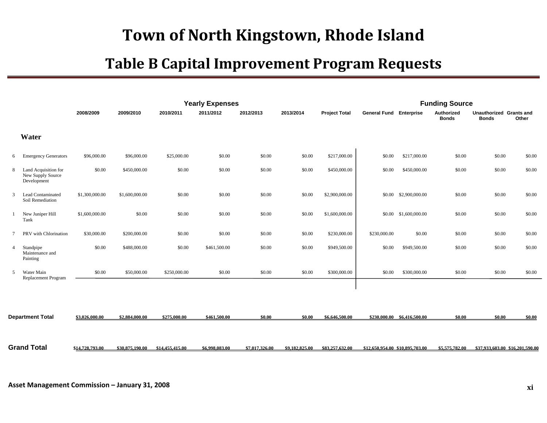|                |                                                          |                 |                 |                 | <b>Yearly Expenses</b> |                |                |                      |                                 |                             | <b>Funding Source</b>      |                                         |                                 |
|----------------|----------------------------------------------------------|-----------------|-----------------|-----------------|------------------------|----------------|----------------|----------------------|---------------------------------|-----------------------------|----------------------------|-----------------------------------------|---------------------------------|
|                |                                                          | 2008/2009       | 2009/2010       | 2010/2011       | 2011/2012              | 2012/2013      | 2013/2014      | <b>Project Total</b> | <b>General Fund Enterprise</b>  |                             | Authorized<br><b>Bonds</b> | Unauthorized Grants and<br><b>Bonds</b> | Other                           |
|                | Water                                                    |                 |                 |                 |                        |                |                |                      |                                 |                             |                            |                                         |                                 |
| 6              | <b>Emergency Generators</b>                              | \$96,000.00     | \$96,000.00     | \$25,000.00     | \$0.00                 | \$0.00         | \$0.00         | \$217,000.00         | \$0.00                          | \$217,000.00                | \$0.00                     | \$0.00                                  | \$0.00                          |
| 8              | Land Acquisition for<br>New Supply Source<br>Development | \$0.00          | \$450,000.00    | \$0.00          | \$0.00                 | \$0.00         | \$0.00         | \$450,000.00         | \$0.00                          | \$450,000.00                | \$0.00                     | \$0.00                                  | \$0.00                          |
| 3              | Lead Contaminated<br>Soil Remediation                    | \$1,300,000.00  | \$1,600,000.00  | \$0.00          | \$0.00                 | \$0.00         | \$0.00         | \$2,900,000.00       |                                 | \$0.00 \$2,900,000.00       | \$0.00                     | \$0.00                                  | \$0.00                          |
|                | New Juniper Hill<br>Tank                                 | \$1,600,000.00  | \$0.00          | \$0.00          | \$0.00                 | \$0.00         | \$0.00         | \$1,600,000.00       |                                 | \$0.00 \$1,600,000.00       | \$0.00                     | \$0.00                                  | \$0.00                          |
| $\tau$         | PRV with Chlorination                                    | \$30,000.00     | \$200,000.00    | \$0.00          | \$0.00                 | \$0.00         | \$0.00         | \$230,000.00         | \$230,000.00                    | \$0.00                      | \$0.00                     | \$0.00                                  | \$0.00                          |
| $\overline{4}$ | Standpipe<br>Maintenance and<br>Painting                 | \$0.00          | \$488,000.00    | \$0.00          | \$461,500.00           | \$0.00         | \$0.00         | \$949,500.00         | \$0.00                          | \$949,500.00                | \$0.00                     | \$0.00                                  | \$0.00                          |
| 5              | Water Main<br>Replacement Program                        | \$0.00          | \$50,000.00     | \$250,000.00    | \$0.00                 | \$0.00         | \$0.00         | \$300,000.00         | \$0.00                          | \$300,000.00                | \$0.00                     | \$0.00                                  | \$0.00                          |
|                |                                                          |                 |                 |                 |                        |                |                |                      |                                 |                             |                            |                                         |                                 |
|                | <b>Department Total</b>                                  | \$3,026,000.00  | \$2,884,000.00  | \$275,000.00    | \$461,500.00           | \$0.00         | \$0.00         | \$6,646,500.00       |                                 | \$230,000.00 \$6,416,500.00 | \$0.00                     | \$0.00                                  | \$0.00                          |
|                | Grand Total                                              | \$14,728,793.00 | \$30,875,190.00 | \$14,455,415.00 | \$6,998,083.00         | \$7,017,326.00 | \$9,182,825.00 | \$83,257,632.00      | \$12,650,954.00 \$10,895,703.00 |                             | \$5,575,782.00             |                                         | \$37,933,603,00 \$16,201,590,00 |
|                |                                                          |                 |                 |                 |                        |                |                |                      |                                 |                             |                            |                                         |                                 |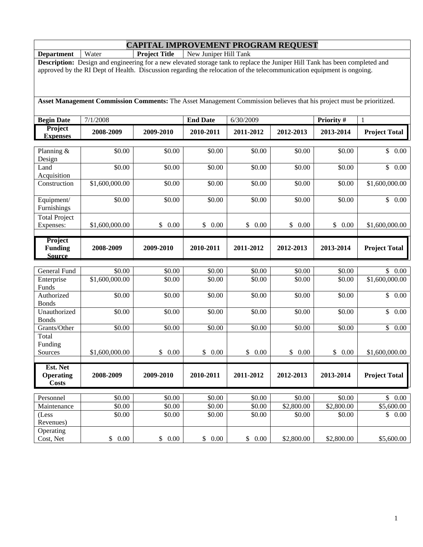### **CAPITAL IMPROVEMENT PROGRAM REQUEST Department** | Water **Project Title** | New Juniper Hill Tank

|                                   | <b>Description:</b> Design and engineering for a new elevated storage tank to replace the Juniper Hill Tank has been completed and<br>approved by the RI Dept of Health. Discussion regarding the relocation of the telecommunication equipment is ongoing. |                  |                  |                  |                      |                      |                            |
|-----------------------------------|-------------------------------------------------------------------------------------------------------------------------------------------------------------------------------------------------------------------------------------------------------------|------------------|------------------|------------------|----------------------|----------------------|----------------------------|
|                                   |                                                                                                                                                                                                                                                             |                  |                  |                  |                      |                      |                            |
|                                   |                                                                                                                                                                                                                                                             |                  |                  |                  |                      |                      |                            |
|                                   | Asset Management Commission Comments: The Asset Management Commission believes that his project must be prioritized.                                                                                                                                        |                  |                  |                  |                      |                      |                            |
| <b>Begin Date</b>                 | 7/1/2008                                                                                                                                                                                                                                                    |                  | <b>End Date</b>  | 6/30/2009        |                      | Priority #           | $\mathbf{1}$               |
| Project<br><b>Expenses</b>        | 2008-2009                                                                                                                                                                                                                                                   | 2009-2010        | 2010-2011        | 2011-2012        | 2012-2013            | 2013-2014            | <b>Project Total</b>       |
| Planning &<br>Design              | \$0.00                                                                                                                                                                                                                                                      | \$0.00           | \$0.00           | \$0.00           | \$0.00               | \$0.00               | \$0.00                     |
| Land<br>Acquisition               | \$0.00                                                                                                                                                                                                                                                      | \$0.00           | \$0.00           | \$0.00           | \$0.00               | \$0.00               | $\overline{\$}$ 0.00       |
| Construction                      | \$1,600,000.00                                                                                                                                                                                                                                              | \$0.00           | \$0.00           | \$0.00           | \$0.00               | \$0.00               | \$1,600,000.00             |
| Equipment/<br>Furnishings         | \$0.00                                                                                                                                                                                                                                                      | \$0.00           | \$0.00           | \$0.00           | \$0.00               | \$0.00               | $\overline{\$}$ 0.00       |
| <b>Total Project</b><br>Expenses: | \$1,600,000.00                                                                                                                                                                                                                                              | \$<br>0.00       | \$0.00           | \$<br>0.00       | \$<br>0.00           | \$<br>0.00           | \$1,600,000.00             |
| Project                           |                                                                                                                                                                                                                                                             |                  |                  |                  |                      |                      |                            |
| <b>Funding</b><br><b>Source</b>   | 2008-2009                                                                                                                                                                                                                                                   | 2009-2010        | 2010-2011        | 2011-2012        | 2012-2013            | 2013-2014            | <b>Project Total</b>       |
|                                   |                                                                                                                                                                                                                                                             |                  |                  |                  |                      |                      |                            |
| General Fund                      | \$0.00                                                                                                                                                                                                                                                      | \$0.00           | \$0.00           | \$0.00           | \$0.00               | \$0.00               | \$0.00                     |
| Enterprise<br>Funds               | \$1,600,000.00                                                                                                                                                                                                                                              | \$0.00           | \$0.00           | \$0.00           | \$0.00               | \$0.00               | $\overline{$1,600,000.00}$ |
| Authorized<br><b>Bonds</b>        | \$0.00                                                                                                                                                                                                                                                      | \$0.00           | \$0.00           | \$0.00           | \$0.00               | \$0.00               | \$0.00                     |
| Unauthorized<br><b>Bonds</b>      | \$0.00                                                                                                                                                                                                                                                      | \$0.00           | \$0.00           | \$0.00           | \$0.00               | \$0.00               | \$<br>0.00                 |
| Grants/Other                      | \$0.00                                                                                                                                                                                                                                                      | \$0.00           | \$0.00           | \$0.00           | \$0.00               | \$0.00               | \$0.00                     |
| Total<br>Funding                  |                                                                                                                                                                                                                                                             |                  |                  |                  |                      |                      |                            |
| Sources                           | \$1,600,000.00                                                                                                                                                                                                                                              | \$<br>0.00       | \$<br>0.00       | \$<br>0.00       | \$<br>0.00           | \$<br>0.00           | \$1,600,000.00             |
| Est. Net                          |                                                                                                                                                                                                                                                             |                  |                  |                  |                      |                      |                            |
| <b>Operating</b><br><b>Costs</b>  | 2008-2009                                                                                                                                                                                                                                                   | 2009-2010        | 2010-2011        | 2011-2012        | 2012-2013            | 2013-2014            | <b>Project Total</b>       |
|                                   |                                                                                                                                                                                                                                                             |                  |                  |                  |                      |                      |                            |
| Personnel<br>Maintenance          | \$0.00<br>\$0.00                                                                                                                                                                                                                                            | \$0.00<br>\$0.00 | \$0.00<br>\$0.00 | \$0.00<br>\$0.00 | \$0.00<br>\$2,800.00 | \$0.00<br>\$2,800.00 | \$0.00<br>\$5,600.00       |
| (Less                             | \$0.00                                                                                                                                                                                                                                                      | \$0.00           | \$0.00           | \$0.00           | \$0.00               | \$0.00               | \$0.00                     |
| Revenues)                         |                                                                                                                                                                                                                                                             |                  |                  |                  |                      |                      |                            |
| Operating                         |                                                                                                                                                                                                                                                             |                  |                  |                  |                      |                      |                            |
| Cost, Net                         | $0.00\,$<br>\$                                                                                                                                                                                                                                              | \$0.00           | \$<br>0.00       | \$0.00           | \$2,800.00           | \$2,800.00           | \$5,600.00                 |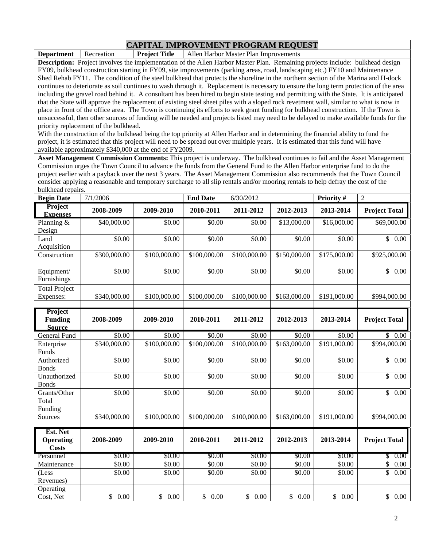**Department** Recreation **Project Title** Allen Harbor Master Plan Improvements

**Description:** Project involves the implementation of the Allen Harbor Master Plan. Remaining projects include: bulkhead design FY09, bulkhead construction starting in FY09, site improvements (parking areas, road, landscaping etc.) FY10 and Maintenance Shed Rehab FY11. The condition of the steel bulkhead that protects the shoreline in the northern section of the Marina and H-dock continues to deteriorate as soil continues to wash through it. Replacement is necessary to ensure the long term protection of the area including the gravel road behind it. A consultant has been hired to begin state testing and permitting with the State. It is anticipated that the State will approve the replacement of existing steel sheet piles with a sloped rock revetment wall, similar to what is now in place in front of the office area. The Town is continuing its efforts to seek grant funding for bulkhead construction. If the Town is unsuccessful, then other sources of funding will be needed and projects listed may need to be delayed to make available funds for the priority replacement of the bulkhead.

With the construction of the bulkhead being the top priority at Allen Harbor and in determining the financial ability to fund the project, it is estimated that this project will need to be spread out over multiple years. It is estimated that this fund will have available approximately \$340,000 at the end of FY2009.

**Asset Management Commission Comments:** This project is underway. The bulkhead continues to fail and the Asset Management Commission urges the Town Council to advance the funds from the General Fund to the Allen Harbor enterprise fund to do the project earlier with a payback over the next 3 years. The Asset Management Commission also recommends that the Town Council consider applying a reasonable and temporary surcharge to all slip rentals and/or mooring rentals to help defray the cost of the bulkhead repairs.

| <b>Begin Date</b>               | 7/1/2006     |              | <b>End Date</b> | 6/30/2012    |              | Priority#    | $\overline{2}$                  |
|---------------------------------|--------------|--------------|-----------------|--------------|--------------|--------------|---------------------------------|
| Project<br><b>Expenses</b>      | 2008-2009    | 2009-2010    | 2010-2011       | 2011-2012    | 2012-2013    | 2013-2014    | <b>Project Total</b>            |
| Planning &                      | \$40,000.00  | \$0.00       | \$0.00          | \$0.00       | \$13,000.00  | \$16,000.00  | \$69,000.00                     |
| Design                          |              |              |                 |              |              |              |                                 |
| Land                            | \$0.00       | \$0.00       | \$0.00          | \$0.00       | \$0.00       | \$0.00       | $\overline{\mathbb{S}}$<br>0.00 |
| Acquisition                     |              |              |                 |              |              |              |                                 |
| Construction                    | \$300,000.00 | \$100,000.00 | \$100,000.00    | \$100,000.00 | \$150,000.00 | \$175,000.00 | \$925,000.00                    |
| Equipment/                      | \$0.00       | \$0.00       | \$0.00          | \$0.00       | \$0.00       | \$0.00       | \$<br>0.00                      |
| Furnishings                     |              |              |                 |              |              |              |                                 |
| <b>Total Project</b>            |              |              |                 |              |              |              |                                 |
| Expenses:                       | \$340,000.00 | \$100,000.00 | \$100,000.00    | \$100,000.00 | \$163,000.00 | \$191,000.00 | \$994,000.00                    |
|                                 |              |              |                 |              |              |              |                                 |
| Project                         |              |              |                 |              |              |              |                                 |
| <b>Funding</b><br><b>Source</b> | 2008-2009    | 2009-2010    | 2010-2011       | 2011-2012    | 2012-2013    | 2013-2014    | <b>Project Total</b>            |
| <b>General Fund</b>             | \$0.00       | \$0.00       | \$0.00          | \$0.00       | \$0.00       | \$0.00       | \$0.00                          |
| Enterprise                      | \$340,000.00 | \$100,000.00 | \$100,000.00    | \$100,000.00 | \$163,000.00 | \$191,000.00 | \$994,000.00                    |
| Funds                           |              |              |                 |              |              |              |                                 |
| Authorized                      | \$0.00       | \$0.00       | \$0.00          | \$0.00       | \$0.00       | \$0.00       | \$<br>0.00                      |
| <b>Bonds</b>                    |              |              |                 |              |              |              |                                 |
| Unauthorized                    | \$0.00       | \$0.00       | \$0.00          | \$0.00       | \$0.00       | \$0.00       | \$<br>0.00                      |
| <b>Bonds</b><br>Grants/Other    |              | \$0.00       | \$0.00          | \$0.00       | \$0.00       | \$0.00       | \$                              |
| Total                           | \$0.00       |              |                 |              |              |              | 0.00                            |
| Funding                         |              |              |                 |              |              |              |                                 |
| Sources                         | \$340,000.00 | \$100,000.00 | \$100,000.00    | \$100,000.00 | \$163,000.00 | \$191,000.00 | \$994,000.00                    |
|                                 |              |              |                 |              |              |              |                                 |
| Est. Net                        |              |              |                 |              |              |              |                                 |
| <b>Operating</b>                | 2008-2009    | 2009-2010    | 2010-2011       | 2011-2012    | 2012-2013    | 2013-2014    | <b>Project Total</b>            |
| <b>Costs</b>                    |              |              |                 |              |              |              |                                 |
| Personnel                       | \$0.00       | \$0.00       | \$0.00          | \$0.00       | \$0.00       | \$0.00       | $\mathbb{S}$<br>0.00            |
| Maintenance                     | \$0.00       | \$0.00       | \$0.00          | \$0.00       | \$0.00       | \$0.00       | \$<br>0.00                      |
| (Less                           | \$0.00       | \$0.00       | \$0.00          | \$0.00       | \$0.00       | \$0.00       | \$<br>0.00                      |
| Revenues)                       |              |              |                 |              |              |              |                                 |
| Operating                       |              |              |                 |              |              |              |                                 |
| Cost, Net                       | \$0.00       | \$0.00       | \$0.00          | \$0.00       | \$0.00       | \$0.00       | \$<br>$0.00\,$                  |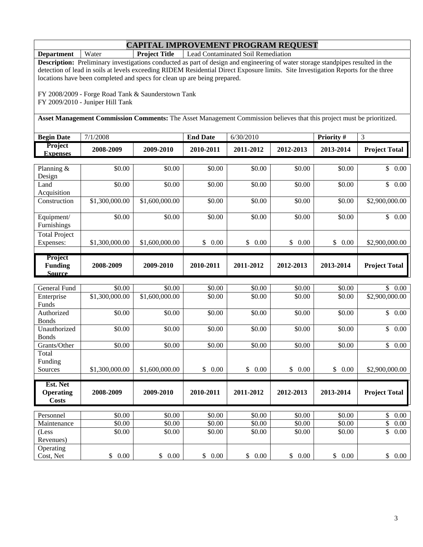**Department** | Water **Project Title** | Lead Contaminated Soil Remediation

**Description:** Preliminary investigations conducted as part of design and engineering of water storage standpipes resulted in the detection of lead in soils at levels exceeding RIDEM Residential Direct Exposure limits. Site Investigation Reports for the three locations have been completed and specs for clean up are being prepared.

FY 2008/2009 - Forge Road Tank & Saunderstown Tank FY 2009/2010 - Juniper Hill Tank

**Asset Management Commission Comments:** The Asset Management Commission believes that this project must be prioritized.

| <b>Begin Date</b>                 | 7/1/2008         |                             | <b>End Date</b> | 6/30/2010 |                     | <b>Priority #</b> | 3                    |
|-----------------------------------|------------------|-----------------------------|-----------------|-----------|---------------------|-------------------|----------------------|
| <b>Project</b><br><b>Expenses</b> | 2008-2009        | 2009-2010                   | 2010-2011       | 2011-2012 | 2012-2013           | 2013-2014         | <b>Project Total</b> |
|                                   |                  |                             |                 |           |                     |                   |                      |
| Planning $&$                      | \$0.00           | \$0.00                      | \$0.00          | \$0.00    | \$0.00              | \$0.00            | $0.00\,$<br>\$       |
| Design                            |                  |                             |                 |           |                     |                   |                      |
| Land                              | \$0.00           | \$0.00                      | \$0.00          | \$0.00    | \$0.00              | \$0.00            | 0.00<br>\$           |
| Acquisition                       |                  |                             |                 |           |                     |                   |                      |
| Construction                      | \$1,300,000.00   | \$1,600,000.00              | \$0.00          | \$0.00    | \$0.00              | \$0.00            | \$2,900,000.00       |
|                                   |                  |                             |                 |           |                     |                   |                      |
| Equipment/                        | \$0.00           | \$0.00                      | \$0.00          | \$0.00    | \$0.00              | \$0.00            | 0.00<br>\$           |
| Furnishings                       |                  |                             |                 |           |                     |                   |                      |
| <b>Total Project</b>              |                  |                             |                 |           |                     |                   |                      |
| $F$ <i>vnansas</i>                | 300,000,00<br>ℭ1 | 600.000.00<br>$\mathbb{C}1$ | 0.00<br>¢       | ¢<br>0.00 | $\mathfrak{c}$ 0.00 | 0.00<br>¢         | \$2.900.000.00 L     |

| Expenses:                                   | \$1,300,000.00 | \$1,600,000,00 | 0.00      | $0.00\,$  | 0.00      | $0.00\,$  | \$2,900,000.00       |
|---------------------------------------------|----------------|----------------|-----------|-----------|-----------|-----------|----------------------|
|                                             |                |                |           |           |           |           |                      |
| <b>Project</b><br><b>Funding</b><br>Source: | 2008-2009      | 2009-2010      | 2010-2011 | 2011-2012 | 2012-2013 | 2013-2014 | <b>Project Total</b> |

| General Fund     | \$0.00         | \$0.00         | \$0.00     | \$0.00     | \$0.00     | \$0.00     | \$<br>0.00           |
|------------------|----------------|----------------|------------|------------|------------|------------|----------------------|
| Enterprise       | \$1,300,000.00 | \$1,600,000.00 | \$0.00     | \$0.00     | \$0.00     | \$0.00     | \$2,900,000.00       |
| <b>Funds</b>     |                |                |            |            |            |            |                      |
| Authorized       | \$0.00         | \$0.00         | \$0.00     | \$0.00     | \$0.00     | \$0.00     | \$<br>0.00           |
| <b>Bonds</b>     |                |                |            |            |            |            |                      |
| Unauthorized     | \$0.00         | \$0.00         | \$0.00     | \$0.00     | \$0.00     | \$0.00     | \$<br>0.00           |
| <b>Bonds</b>     |                |                |            |            |            |            |                      |
| Grants/Other     | \$0.00         | \$0.00         | \$0.00     | \$0.00     | \$0.00     | \$0.00     | \$<br>0.00           |
| Total            |                |                |            |            |            |            |                      |
| Funding          |                |                |            |            |            |            |                      |
| Sources          | \$1,300,000.00 | \$1,600,000.00 | \$<br>0.00 | \$<br>0.00 | \$<br>0.00 | \$<br>0.00 | \$2,900,000.00       |
|                  |                |                |            |            |            |            |                      |
|                  |                |                |            |            |            |            |                      |
| Est. Net         |                |                |            |            |            |            |                      |
| <b>Operating</b> | 2008-2009      | 2009-2010      | 2010-2011  | 2011-2012  | 2012-2013  | 2013-2014  | <b>Project Total</b> |
| Costs            |                |                |            |            |            |            |                      |
|                  |                |                |            |            |            |            |                      |
| Personnel        | \$0.00         | \$0.00         | \$0.00     | \$0.00     | \$0.00     | \$0.00     | \$<br>0.00           |
| Maintenance      | \$0.00         | \$0.00         | \$0.00     | \$0.00     | \$0.00     | \$0.00     | \$<br>0.00           |
| (Less            | \$0.00         | \$0.00         | \$0.00     | \$0.00     | \$0.00     | \$0.00     | \$<br>0.00           |
| Revenues)        |                |                |            |            |            |            |                      |
| Operating        |                |                |            |            |            |            |                      |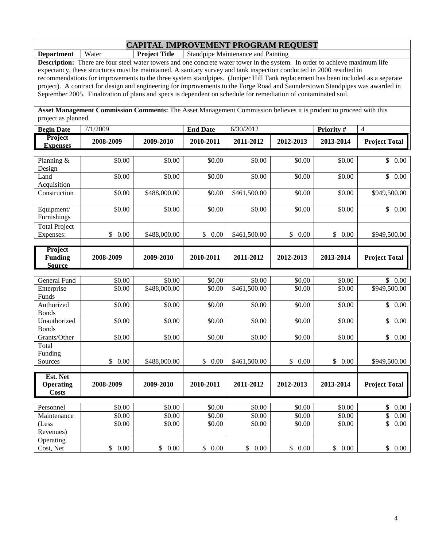**Department** | Water **Project Title** | Standpipe Maintenance and Painting

**Description:** There are four steel water towers and one concrete water tower in the system. In order to achieve maximum life expectancy, these structures must be maintained. A sanitary survey and tank inspection conducted in 2000 resulted in recommendations for improvements to the three system standpipes. (Juniper Hill Tank replacement has been included as a separate project). A contract for design and engineering for improvements to the Forge Road and Saunderstown Standpipes was awarded in September 2005. Finalization of plans and specs is dependent on schedule for remediation of contaminated soil.

**Asset Management Commission Comments:** The Asset Management Commission believes it is prudent to proceed with this project as planned.

| <b>Begin Date</b>                            | 7/1/2009             |                        | <b>End Date</b>  | 6/30/2012              |                      | Priority #           | $\overline{4}$                  |
|----------------------------------------------|----------------------|------------------------|------------------|------------------------|----------------------|----------------------|---------------------------------|
| Project<br><b>Expenses</b>                   | 2008-2009            | 2009-2010              | 2010-2011        | 2011-2012              | 2012-2013            | 2013-2014            | <b>Project Total</b>            |
| Planning &<br>Design                         | \$0.00               | \$0.00                 | \$0.00           | \$0.00                 | \$0.00               | \$0.00               | $\mathbb{S}$<br>0.00            |
| Land<br>Acquisition                          | \$0.00               | \$0.00                 | \$0.00           | \$0.00                 | \$0.00               | \$0.00               | $\overline{\mathbb{S}}$<br>0.00 |
| Construction                                 | \$0.00               | \$488,000.00           | \$0.00           | \$461,500.00           | \$0.00               | \$0.00               | \$949,500.00                    |
| Equipment/<br>Furnishings                    | \$0.00               | \$0.00                 | \$0.00           | \$0.00                 | \$0.00               | \$0.00               | \$0.00                          |
| <b>Total Project</b><br>Expenses:            | \$<br>0.00           | \$488,000.00           | \$<br>0.00       | \$461,500.00           | \$<br>0.00           | $\mathbb{S}$<br>0.00 | \$949,500.00                    |
| Project<br><b>Funding</b><br><b>Source</b>   | 2008-2009            | 2009-2010              | 2010-2011        | 2011-2012              | 2012-2013            | 2013-2014            | <b>Project Total</b>            |
|                                              |                      |                        |                  |                        |                      |                      |                                 |
| <b>General Fund</b><br>Enterprise<br>Funds   | \$0.00<br>\$0.00     | \$0.00<br>\$488,000.00 | \$0.00<br>\$0.00 | \$0.00<br>\$461,500.00 | \$0.00<br>\$0.00     | \$0.00<br>\$0.00     | \$0.00<br>\$949,500.00          |
| Authorized<br><b>Bonds</b>                   | \$0.00               | \$0.00                 | \$0.00           | \$0.00                 | \$0.00               | \$0.00               | $\mathbb{S}$<br>0.00            |
| Unauthorized<br><b>Bonds</b>                 | \$0.00               | \$0.00                 | \$0.00           | \$0.00                 | \$0.00               | \$0.00               | $\overline{\mathbb{S}}$<br>0.00 |
| Grants/Other<br>Total<br>Funding             | \$0.00               | \$0.00                 | \$0.00           | \$0.00                 | \$0.00               | \$0.00               | $\mathsf{\$}$<br>0.00           |
| Sources                                      | $\mathbb{S}$<br>0.00 | \$488,000.00           | \$0.00           | \$461,500.00           | 0.00<br>$\mathbb{S}$ | \$0.00               | \$949,500.00                    |
| Est. Net<br><b>Operating</b><br><b>Costs</b> | 2008-2009            | 2009-2010              | 2010-2011        | 2011-2012              | 2012-2013            | 2013-2014            | <b>Project Total</b>            |
| Personnel                                    | \$0.00               | \$0.00                 | \$0.00           | \$0.00                 | \$0.00               | \$0.00               | \$<br>0.00                      |
| $\overline{\mathbf{M}}$ aintenance           | \$0.00               | \$0.00                 | \$0.00           | \$0.00                 | \$0.00               | \$0.00               | \$<br>0.00                      |
| (Less<br>Revenues)                           | \$0.00               | \$0.00                 | \$0.00           | \$0.00                 | \$0.00               | \$0.00               | \$<br>0.00                      |
| Operating<br>Cost, Net                       | \$<br>0.00           | \$<br>0.00             | \$<br>0.00       | \$0.00                 | $\mathbb{S}$<br>0.00 | \$<br>0.00           | $\mathsf{\$}$<br>0.00           |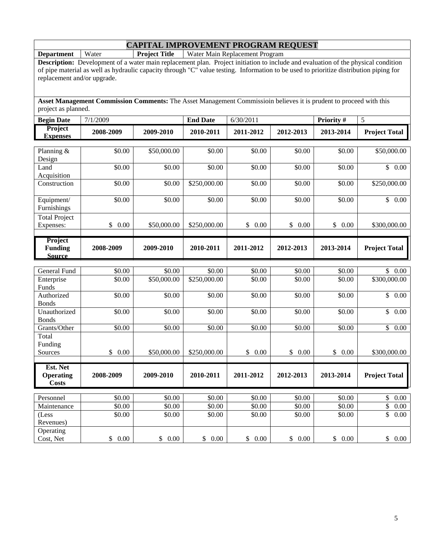**Department | Water | Project Title | Water Main Replacement Program** 

**Description:** Development of a water main replacement plan. Project initiation to include and evaluation of the physical condition of pipe material as well as hydraulic capacity through "C" value testing. Information to be used to prioritize distribution piping for replacement and/or upgrade.

**Asset Management Commission Comments:** The Asset Management Commissioin believes it is prudent to proceed with this project as planned.

| <b>Begin Date</b>                            | 7/1/2009         |                       | <b>End Date</b>                    | 6/30/2011                    |                      | Priority #           | 5                                     |
|----------------------------------------------|------------------|-----------------------|------------------------------------|------------------------------|----------------------|----------------------|---------------------------------------|
| Project<br><b>Expenses</b>                   | 2008-2009        | 2009-2010             | 2010-2011                          | 2011-2012                    | 2012-2013            | 2013-2014            | <b>Project Total</b>                  |
| Planning &<br>Design                         | \$0.00           | \$50,000.00           | \$0.00                             | \$0.00                       | \$0.00               | \$0.00               | \$50,000.00                           |
| Land<br>Acquisition                          | \$0.00           | \$0.00                | \$0.00                             | \$0.00                       | \$0.00               | \$0.00               | $\overline{\mathcal{S}}$<br>0.00      |
| Construction                                 | \$0.00           | \$0.00                | \$250,000.00                       | \$0.00                       | \$0.00               | \$0.00               | \$250,000.00                          |
| Equipment/<br>Furnishings                    | \$0.00           | \$0.00                | \$0.00                             | \$0.00                       | \$0.00               | \$0.00               | \$0.00                                |
| <b>Total Project</b><br>Expenses:            | \$<br>0.00       | \$50,000.00           | \$250,000.00                       | \$<br>0.00                   | \$0.00               | \$<br>0.00           | \$300,000.00                          |
| Project<br><b>Funding</b><br><b>Source</b>   | 2008-2009        | 2009-2010             | 2010-2011                          | 2011-2012                    | 2012-2013            | 2013-2014            | <b>Project Total</b>                  |
|                                              |                  |                       |                                    |                              |                      |                      |                                       |
| General Fund<br>Enterprise<br>Funds          | \$0.00<br>\$0.00 | \$0.00<br>\$50,000.00 | $\overline{$}0.00$<br>\$250,000.00 | $\overline{$}0.00$<br>\$0.00 | \$0.00<br>\$0.00     | \$0.00<br>\$0.00     | $\mathsf{\$}$<br>0.00<br>\$300,000.00 |
| Authorized<br><b>Bonds</b>                   | \$0.00           | \$0.00                | \$0.00                             | \$0.00                       | \$0.00               | $\overline{$}0.00$   | \$<br>0.00                            |
| Unauthorized<br><b>Bonds</b>                 | \$0.00           | \$0.00                | $\overline{$}0.00$                 | \$0.00                       | \$0.00               | \$0.00               | $\overline{\mathcal{S}}$<br>0.00      |
| Grants/Other                                 | \$0.00           | \$0.00                | \$0.00                             | \$0.00                       | \$0.00               | \$0.00               | $\overline{\mathbb{S}}$<br>0.00       |
| Total<br>Funding                             |                  |                       |                                    |                              |                      |                      |                                       |
| Sources                                      | \$<br>0.00       | \$50,000.00           | \$250,000.00                       | \$<br>0.00                   | $\mathbb{S}$<br>0.00 | $\mathbb{S}$<br>0.00 | \$300,000.00                          |
| Est. Net<br><b>Operating</b><br><b>Costs</b> | 2008-2009        | 2009-2010             | 2010-2011                          | 2011-2012                    | 2012-2013            | 2013-2014            | <b>Project Total</b>                  |
| Personnel                                    | \$0.00           | \$0.00                | \$0.00                             | \$0.00                       | \$0.00               | \$0.00               | $\boldsymbol{\mathsf{S}}$<br>0.00     |
| Maintenance                                  | \$0.00           | \$0.00                | \$0.00                             | \$0.00                       | \$0.00               | \$0.00               | \$<br>0.00                            |
| (Less<br>Revenues)                           | \$0.00           | \$0.00                | \$0.00                             | \$0.00                       | \$0.00               | \$0.00               | \$<br>0.00                            |
| Operating<br>Cost, Net                       | \$0.00           | \$0.00                | \$0.00                             | \$0.00                       | \$0.00               | \$0.00               | \$0.00                                |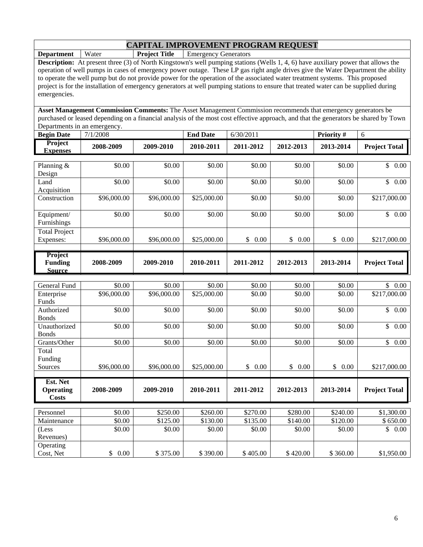**Department | Water | Project Title | Emergency Generators** 

**Description:** At present three (3) of North Kingstown's well pumping stations (Wells 1, 4, 6) have auxiliary power that allows the operation of well pumps in cases of emergency power outage. These LP gas right angle drives give the Water Department the ability to operate the well pump but do not provide power for the operation of the associated water treatment systems. This proposed project is for the installation of emergency generators at well pumping stations to ensure that treated water can be supplied during emergencies.

**Asset Management Commission Comments:** The Asset Management Commission recommends that emergency generators be purchased or leased depending on a financial analysis of the most cost effective approach, and that the generators be shared by Town Departments in an emergency.

| Project<br>2008-2009<br>Lxpenses | 2009-2010 | 2010-2011 | 2011-2012 | 2012-2013 | 2013-2014 | <b>Project Total</b> |
|----------------------------------|-----------|-----------|-----------|-----------|-----------|----------------------|

| Planning $&$         | \$0.00      | \$0.00      | \$0.00      | \$0.00     | \$0.00     | \$0.00     | \$<br>$0.00\,$       |
|----------------------|-------------|-------------|-------------|------------|------------|------------|----------------------|
| Design               |             |             |             |            |            |            |                      |
| Land                 | \$0.00      | \$0.00      | \$0.00      | \$0.00     | \$0.00     | \$0.00     | \$<br>0.00           |
| Acquisition          |             |             |             |            |            |            |                      |
| Construction         | \$96,000.00 | \$96,000.00 | \$25,000.00 | \$0.00     | \$0.00     | \$0.00     | \$217,000.00         |
|                      |             |             |             |            |            |            |                      |
| Equipment/           | \$0.00      | \$0.00      | \$0.00      | \$0.00     | \$0.00     | \$0.00     | \$<br>0.00           |
| Furnishings          |             |             |             |            |            |            |                      |
| <b>Total Project</b> |             |             |             |            |            |            |                      |
| Expenses:            | \$96,000.00 | \$96,000.00 | \$25,000.00 | \$<br>0.00 | \$<br>0.00 | \$<br>0.00 | \$217,000.00         |
|                      |             |             |             |            |            |            |                      |
| <b>Project</b>       |             |             |             |            |            |            |                      |
| <b>Funding</b>       | 2008-2009   | 2009-2010   | 2010-2011   | 2011-2012  | 2012-2013  | 2013-2014  | <b>Project Total</b> |
| <b>Source</b>        |             |             |             |            |            |            |                      |

| General Fund       | \$0.00      | \$0.00      | \$0.00      | \$0.00     | \$0.00     | \$0.00     | $\mathbb{S}^-$<br>0.00 |
|--------------------|-------------|-------------|-------------|------------|------------|------------|------------------------|
| Enterprise         | \$96,000.00 | \$96,000.00 | \$25,000.00 | \$0.00     | \$0.00     | \$0.00     | \$217,000.00           |
| Funds              |             |             |             |            |            |            |                        |
| Authorized         | \$0.00      | \$0.00      | \$0.00      | \$0.00     | \$0.00     | \$0.00     | $\mathbb{S}$<br>0.00   |
| <b>Bonds</b>       |             |             |             |            |            |            |                        |
| Unauthorized       | \$0.00      | \$0.00      | \$0.00      | \$0.00     | \$0.00     | \$0.00     | \$<br>0.00             |
| <b>Bonds</b>       |             |             |             |            |            |            |                        |
| Grants/Other       | \$0.00      | \$0.00      | \$0.00      | \$0.00     | \$0.00     | \$0.00     | \$<br>0.00             |
| Total              |             |             |             |            |            |            |                        |
| Funding            |             |             |             |            |            |            |                        |
| Sources            | \$96,000.00 | \$96,000.00 | \$25,000.00 | \$<br>0.00 | \$<br>0.00 | \$<br>0.00 | \$217,000.00           |
|                    |             |             |             |            |            |            |                        |
| Est. Net           |             |             |             |            |            |            |                        |
| <b>Operating</b>   | 2008-2009   | 2009-2010   | 2010-2011   | 2011-2012  | 2012-2013  | 2013-2014  | <b>Project Total</b>   |
| Costs              |             |             |             |            |            |            |                        |
| Personnel          |             |             |             |            |            |            |                        |
|                    |             |             |             |            |            |            |                        |
|                    | \$0.00      | \$250.00    | \$260.00    | \$270.00   | \$280.00   | \$240.00   | \$1,300.00             |
| Maintenance        | \$0.00      | \$125.00    | \$130.00    | \$135.00   | \$140.00   | \$120.00   | \$650.00               |
| (Less<br>Revenues) | \$0.00      | \$0.00      | \$0.00      | \$0.00     | \$0.00     | \$0.00     | \$<br>0.00             |
| Operating          |             |             |             |            |            |            |                        |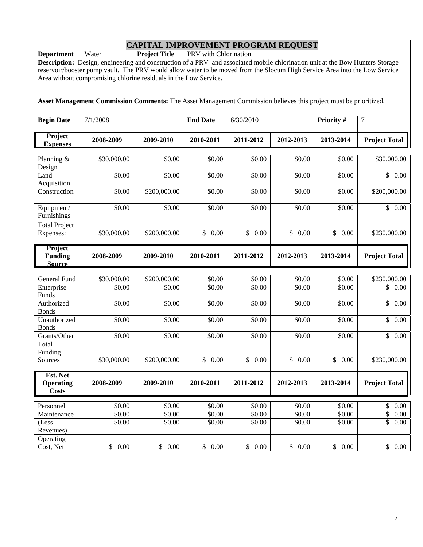**Department** Water **Project Title PRV** with Chlorination

**Description:** Design, engineering and construction of a PRV and associated mobile chlorination unit at the Bow Hunters Storage reservoir/booster pump vault. The PRV would allow water to be moved from the Slocum High Service Area into the Low Service Area without compromising chlorine residuals in the Low Service.

**Asset Management Commission Comments:** The Asset Management Commission believes this project must be prioritized.

| <b>Begin Date</b>                            | 7/1/2008           |              | <b>End Date</b>    | 6/30/2010            |            | Priority # | $\boldsymbol{7}$                |
|----------------------------------------------|--------------------|--------------|--------------------|----------------------|------------|------------|---------------------------------|
| Project<br><b>Expenses</b>                   | 2008-2009          | 2009-2010    | 2010-2011          | 2011-2012            | 2012-2013  | 2013-2014  | <b>Project Total</b>            |
| Planning &<br>Design                         | \$30,000.00        | \$0.00       | \$0.00             | $\overline{$}0.00$   | \$0.00     | \$0.00     | \$30,000.00                     |
| Land<br>Acquisition                          | \$0.00             | \$0.00       | \$0.00             | \$0.00               | \$0.00     | \$0.00     | $\mathbb{S}$<br>0.00            |
| Construction                                 | \$0.00             | \$200,000.00 | \$0.00             | \$0.00               | \$0.00     | \$0.00     | \$200,000.00                    |
| Equipment/<br>Furnishings                    | \$0.00             | \$0.00       | $\overline{$}0.00$ | \$0.00               | \$0.00     | \$0.00     | $\overline{\mathbb{S}}$<br>0.00 |
| <b>Total Project</b><br>Expenses:            | \$30,000.00        | \$200,000.00 | \$<br>0.00         | \$0.00               | \$0.00     | \$0.00     | \$230,000.00                    |
| Project<br><b>Funding</b><br><b>Source</b>   | 2008-2009          | 2009-2010    | 2010-2011          | 2011-2012            | 2012-2013  | 2013-2014  | <b>Project Total</b>            |
| General Fund                                 | \$30,000.00        | \$200,000.00 | \$0.00             | \$0.00               | \$0.00     | \$0.00     | \$230,000.00                    |
| Enterprise<br>Funds                          | \$0.00             | \$0.00       | \$0.00             | \$0.00               | \$0.00     | \$0.00     | \$0.00                          |
| Authorized<br><b>Bonds</b>                   | $\overline{$}0.00$ | \$0.00       | \$0.00             | \$0.00               | \$0.00     | \$0.00     | \$<br>0.00                      |
| Unauthorized<br><b>Bonds</b>                 | \$0.00             | \$0.00       | \$0.00             | \$0.00               | \$0.00     | \$0.00     | \$<br>$\overline{0.00}$         |
| Grants/Other                                 | \$0.00             | \$0.00       | \$0.00             | \$0.00               | \$0.00     | \$0.00     | \$<br>0.00                      |
| Total                                        |                    |              |                    |                      |            |            |                                 |
| Funding<br>Sources                           | \$30,000.00        | \$200,000.00 | 0.00<br>\$         | $\mathbb{S}$<br>0.00 | \$<br>0.00 | \$<br>0.00 | \$230,000.00                    |
| Est. Net<br><b>Operating</b><br><b>Costs</b> | 2008-2009          | 2009-2010    | 2010-2011          | 2011-2012            | 2012-2013  | 2013-2014  | <b>Project Total</b>            |
| Personnel                                    | \$0.00             | \$0.00       | $\overline{$}0.00$ | \$0.00               | \$0.00     | \$0.00     | \$<br>$0.00\,$                  |
| Maintenance                                  | \$0.00             | \$0.00       | $\frac{1}{0.00}$   | \$0.00               | \$0.00     | \$0.00     | \$<br>0.00                      |
| (Less<br>Revenues)                           | \$0.00             | \$0.00       | \$0.00             | \$0.00               | \$0.00     | \$0.00     | \$<br>0.00                      |
| Operating<br>Cost, Net                       | \$0.00             | \$0.00       | \$<br>0.00         | \$0.00               | \$0.00     | \$0.00     | \$<br>$0.00\,$                  |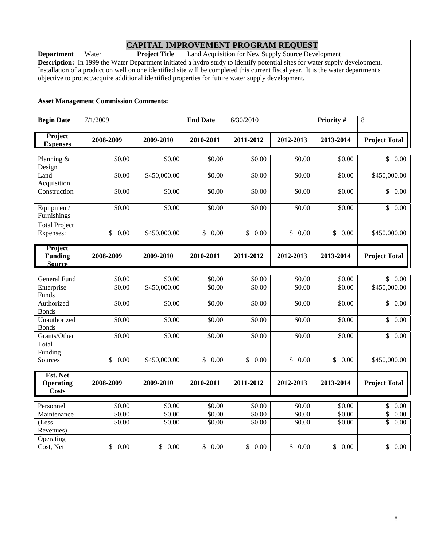**Department** | Water **Project Title** | Land Acquisition for New Supply Source Development

**Description:** In 1999 the Water Department initiated a hydro study to identify potential sites for water supply development. Installation of a production well on one identified site will be completed this current fiscal year. It is the water department's objective to protect/acquire additional identified properties for future water supply development.

#### **Asset Management Commission Comments:**

| <b>Begin Date</b>                            | 7/1/2009             |              | <b>End Date</b>    | 6/30/2010            |            | Priority # | 8                               |
|----------------------------------------------|----------------------|--------------|--------------------|----------------------|------------|------------|---------------------------------|
| Project<br><b>Expenses</b>                   | 2008-2009            | 2009-2010    | 2010-2011          | 2011-2012            | 2012-2013  | 2013-2014  | <b>Project Total</b>            |
| Planning &<br>Design                         | \$0.00               | \$0.00       | \$0.00             | \$0.00               | \$0.00     | \$0.00     | \$<br>0.00                      |
| Land<br>Acquisition                          | \$0.00               | \$450,000.00 | \$0.00             | \$0.00               | \$0.00     | \$0.00     | \$450,000.00                    |
| Construction                                 | \$0.00               | \$0.00       | \$0.00             | \$0.00               | \$0.00     | \$0.00     | $\mathbb{S}$<br>0.00            |
| Equipment/<br>Furnishings                    | \$0.00               | \$0.00       | \$0.00             | \$0.00               | \$0.00     | \$0.00     | \$<br>$\overline{0.00}$         |
| <b>Total Project</b><br>Expenses:            | \$0.00               | \$450,000.00 | \$0.00             | \$0.00               | \$0.00     | \$0.00     | \$450,000.00                    |
| Project<br><b>Funding</b><br><b>Source</b>   | 2008-2009            | 2009-2010    | 2010-2011          | 2011-2012            | 2012-2013  | 2013-2014  | <b>Project Total</b>            |
| General Fund                                 | \$0.00               | \$0.00       | \$0.00             | $\overline{$}0.00$   | \$0.00     | \$0.00     | \$0.00                          |
| Enterprise<br>Funds                          | \$0.00               | \$450,000.00 | \$0.00             | \$0.00               | \$0.00     | \$0.00     | \$450,000.00                    |
| Authorized<br><b>Bonds</b>                   | \$0.00               | \$0.00       | \$0.00             | \$0.00               | \$0.00     | \$0.00     | $\mathbb{S}$<br>0.00            |
| Unauthorized<br><b>Bonds</b>                 | \$0.00               | \$0.00       | \$0.00             | \$0.00               | \$0.00     | \$0.00     | \$<br>$\overline{0.00}$         |
| Grants/Other<br>Total<br>Funding             | \$0.00               | \$0.00       | \$0.00             | \$0.00               | \$0.00     | \$0.00     | $\overline{\mathbb{S}}$<br>0.00 |
| Sources                                      | $\mathbb{S}$<br>0.00 | \$450,000.00 | \$<br>0.00         | $\mathbb{S}$<br>0.00 | \$<br>0.00 | \$0.00     | \$450,000.00                    |
| Est. Net<br><b>Operating</b><br><b>Costs</b> | 2008-2009            | 2009-2010    | 2010-2011          | 2011-2012            | 2012-2013  | 2013-2014  | <b>Project Total</b>            |
| Personnel                                    | \$0.00               | \$0.00       | $\overline{$}0.00$ | \$0.00               | \$0.00     | \$0.00     | $\$$<br>$0.00\,$                |
| Maintenance                                  | \$0.00               | \$0.00       | \$0.00             | \$0.00               | \$0.00     | \$0.00     | \$<br>0.00                      |
| (Less<br>Revenues)                           | \$0.00               | \$0.00       | \$0.00             | \$0.00               | \$0.00     | \$0.00     | \$<br>0.00                      |
| Operating<br>Cost, Net                       | \$0.00               | \$0.00       | \$0.00             | \$0.00               | \$0.00     | \$0.00     | \$<br>0.00                      |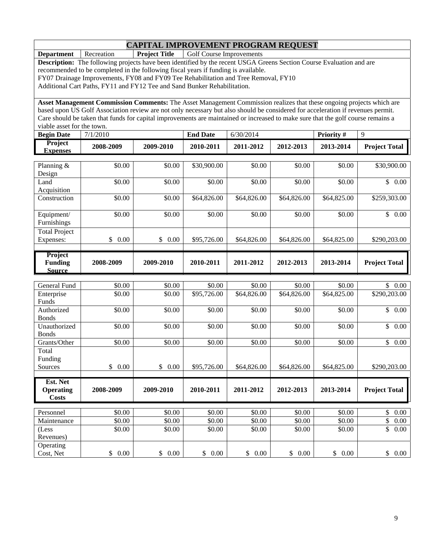**Department** Recreation **Project Title** Golf Course Improvements

**Description:** The following projects have been identified by the recent USGA Greens Section Course Evaluation and are recommended to be completed in the following fiscal years if funding is available.

FY07 Drainage Improvements, FY08 and FY09 Tee Rehabilitation and Tree Removal, FY10

Additional Cart Paths, FY11 and FY12 Tee and Sand Bunker Rehabilitation.

**Asset Management Commission Comments:** The Asset Management Commission realizes that these ongoing projects which are based upon US Golf Association review are not only necessary but also should be considered for acceleration if revenues permit. Care should be taken that funds for capital improvements are maintained or increased to make sure that the golf course remains a viable asset for the town.

| <b>Begin Date</b> | 7/1/2010  |           | <b>End Date</b> | 6/30/2014 |           | <b>Priority</b> # |                      |
|-------------------|-----------|-----------|-----------------|-----------|-----------|-------------------|----------------------|
| Project           | 2008-2009 | 2009-2010 | 2010-2011       | 2011-2012 | 2012-2013 | 2013-2014         | <b>Project Total</b> |
| Expenses          |           |           |                 |           |           |                   |                      |

| Planning &           | \$0.00               | \$0.00               | \$30,900.00 | \$0.00          | \$0.00      | \$0.00            | \$30,900.00              |
|----------------------|----------------------|----------------------|-------------|-----------------|-------------|-------------------|--------------------------|
| Design               |                      |                      |             |                 |             |                   |                          |
| Land                 | \$0.00               | \$0.00               | \$0.00      | \$0.00          | \$0.00      | \$0.00            | $\mathcal{S}$<br>0.00    |
| Acquisition          |                      |                      |             |                 |             |                   |                          |
| Construction         | \$0.00               | \$0.00               | \$64,826.00 | \$64,826.00     | \$64,826.00 | \$64,825.00       | \$259,303.00             |
|                      |                      |                      |             |                 |             |                   |                          |
| Equipment/           | \$0.00               | \$0.00               | \$0.00      | \$0.00          | \$0.00      | \$0.00            | \$<br>0.00               |
| Furnishings          |                      |                      |             |                 |             |                   |                          |
| <b>Total Project</b> |                      |                      |             |                 |             |                   |                          |
| Expenses:            | 0.00<br>\$           | 0.00<br>\$           | \$95,726.00 | \$64,826.00     | \$64,826.00 | \$64,825.00       | \$290,203.00             |
|                      |                      |                      |             |                 |             |                   |                          |
| Project              |                      |                      |             |                 |             |                   |                          |
|                      |                      |                      |             |                 |             |                   |                          |
| <b>Funding</b>       | 2008-2009            | 2009-2010            | 2010-2011   | 2011-2012       | 2012-2013   | 2013-2014         | <b>Project Total</b>     |
| <b>Source</b>        |                      |                      |             |                 |             |                   |                          |
|                      |                      |                      |             |                 |             |                   |                          |
| General Fund         | \$0.00               | \$0.00               | \$0.00      | \$0.00          | \$0.00      | \$0.00            | \$<br>0.00               |
| Enterprise           | \$0.00               | \$0.00               | \$95,726.00 | \$64,826.00     | \$64,826.00 | \$64,825.00       | \$290,203.00             |
| Funds                |                      |                      |             |                 |             |                   |                          |
| Authorized           | \$0.00               | \$0.00               | \$0.00      | \$0.00          | \$0.00      | \$0.00            | \$<br>0.00               |
| <b>Bonds</b>         |                      |                      |             |                 |             |                   |                          |
| Unauthorized         | \$0.00               | \$0.00               | \$0.00      | \$0.00          | \$0.00      | \$0.00            | $\mathbb{S}$<br>0.00     |
| <b>Bonds</b>         |                      |                      |             |                 |             |                   |                          |
| Grants/Other         | \$0.00               | \$0.00               | \$0.00      | \$0.00          | \$0.00      | \$0.00            | $\mathbb{S}$<br>$0.00\,$ |
| Total                |                      |                      |             |                 |             |                   |                          |
| Funding              | $\sim$ $\sim$ $\sim$ | $\sim$ $\sim$ $\sim$ |             | * * * * * * * * |             | $+ - - - - - - -$ | $+ - - - - - -$          |

| Sources                                      | 0.00<br>\$ | \$<br>0.00 | \$95,726.00 | \$64,826,00 | \$64,826.00 | \$64,825.00 | \$290,203.00         |
|----------------------------------------------|------------|------------|-------------|-------------|-------------|-------------|----------------------|
|                                              |            |            |             |             |             |             |                      |
| Est. Net<br><b>Operating</b><br><b>Costs</b> | 2008-2009  | 2009-2010  | 2010-2011   | 2011-2012   | 2012-2013   | 2013-2014   | <b>Project Total</b> |
|                                              |            |            |             |             |             |             |                      |
| Personnel                                    | \$0.00     | \$0.00     | \$0.00      | \$0.00      | \$0.00      | \$0.00      | \$<br>0.00           |
| Maintenance                                  | \$0.00     | \$0.00     | \$0.00      | \$0.00      | \$0.00      | \$0.00      | \$<br>0.00           |
| (Less                                        | \$0.00     | \$0.00     | \$0.00      | \$0.00      | \$0.00      | \$0.00      | \$<br>0.00           |
| Revenues)                                    |            |            |             |             |             |             |                      |
| Operating                                    |            |            |             |             |             |             |                      |
| Cost, Net                                    | 0.00<br>\$ | 0.00       | 0.00        | $0.00\,$    | 0.00<br>\$. | 0.00<br>\$  | \$<br>0.00           |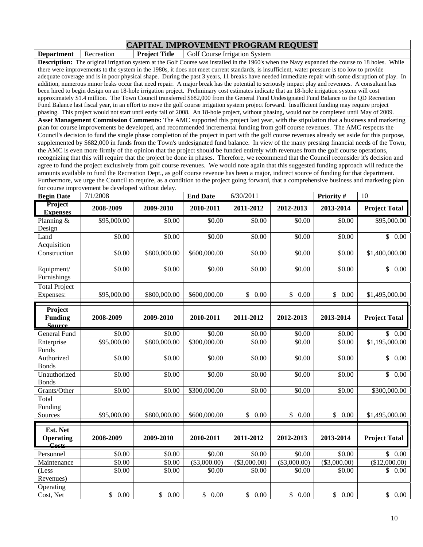**Department** | Recreation | **Project Title** | Golf Course Irrigation System

**Description:** The original irrigation system at the Golf Course was installed in the 1960's when the Navy expanded the course to 18 holes. While there were improvements to the system in the 1980s, it does not meet current standards, is insufficient, water pressure is too low to provide adequate coverage and is in poor physical shape. During the past 3 years, 11 breaks have needed immediate repair with some disruption of play. In addition, numerous minor leaks occur that need repair. A major break has the potential to seriously impact play and revenues. A consultant has been hired to begin design on an 18-hole irrigation project. Preliminary cost estimates indicate that an 18-hole irrigation system will cost approximately \$1.4 million. The Town Council transferred \$682,000 from the General Fund Undesignated Fund Balance to the QD Recreation Fund Balance last fiscal year, in an effort to move the golf course irrigation system project forward. Insufficient funding may require project phasing. This project would not start until early fall of 2008. An 18-hole project, without phasing, would not be completed until May of 2009.

**Asset Management Commission Comments:** The AMC supported this project last year, with the stipulation that a business and marketing plan for course improvements be developed, and recommended incremental funding from golf course revenues. The AMC respects the Council's decision to fund the single phase completion of the project in part with the golf course revenues already set aside for this purpose, supplemented by \$682,000 in funds from the Town's undesignated fund balance. In view of the many pressing financial needs of the Town, the AMC is even more firmly of the opinion that the project should be funded entirely with revenues from the golf course operations, recognizing that this will require that the project be done in phases. Therefore, we recommend that the Council reconsider it's decision and agree to fund the project exclusively from golf course revenues. We would note again that this suggested funding approach will reduce the amounts available to fund the Recreation Dept., as golf course revenue has been a major, indirect source of funding for that department. Furthermore, we urge the Council to require, as a condition to the project going forward, that a comprehensive business and marketing plan for course improvement be developed without delay.

| <b>Begin Date</b>                          | 7/1/2008       |              | <b>End Date</b> | 6/30/2011            |                    | Priority #         | 10                              |
|--------------------------------------------|----------------|--------------|-----------------|----------------------|--------------------|--------------------|---------------------------------|
| Project<br><b>Expenses</b>                 | 2008-2009      | 2009-2010    | 2010-2011       | 2011-2012            | 2012-2013          | 2013-2014          | <b>Project Total</b>            |
| Planning &<br>Design                       | \$95,000.00    | \$0.00       | \$0.00          | \$0.00               | \$0.00             | \$0.00             | $\overline{$95,000.00}$         |
| Land<br>Acquisition                        | \$0.00         | \$0.00       | \$0.00          | \$0.00               | $\overline{$}0.00$ | \$0.00             | $\mathbb{S}$<br>0.00            |
| Construction                               | \$0.00         | \$800,000.00 | \$600,000.00    | \$0.00               | \$0.00             | $\overline{$}0.00$ | \$1,400,000.00                  |
| Equipment/<br>Furnishings                  | \$0.00         | \$0.00       | \$0.00          | \$0.00               | \$0.00             | \$0.00             | $\overline{\mathbb{S}}$<br>0.00 |
| <b>Total Project</b><br>Expenses:          | \$95,000.00    | \$800,000.00 | \$600,000.00    | \$<br>0.00           | \$0.00             | \$<br>0.00         | \$1,495,000.00                  |
| Project<br><b>Funding</b><br><b>Source</b> | 2008-2009      | 2009-2010    | 2010-2011       | 2011-2012            | 2012-2013          | 2013-2014          | <b>Project Total</b>            |
| <b>General Fund</b>                        | \$0.00         | \$0.00       | \$0.00          | \$0.00               | \$0.00             | \$0.00             | \$0.00                          |
| Enterprise<br>Funds                        | \$95,000.00    | \$800,000.00 | \$300,000.00    | \$0.00               | \$0.00             | \$0.00             | \$1,195,000.00                  |
| Authorized<br><b>Bonds</b>                 | \$0.00         | \$0.00       | \$0.00          | \$0.00               | \$0.00             | \$0.00             | $\mathbb{S}$<br>0.00            |
| Unauthorized<br><b>Bonds</b>               | \$0.00         | \$0.00       | \$0.00          | \$0.00               | \$0.00             | \$0.00             | $\mathbb{S}$<br>0.00            |
| Grants/Other                               | \$0.00         | \$0.00       | \$300,000.00    | \$0.00               | \$0.00             | \$0.00             | \$300,000.00                    |
| Total<br>Funding                           |                |              |                 |                      |                    |                    |                                 |
| Sources                                    | \$95,000.00    | \$800,000.00 | \$600,000.00    | \$<br>0.00           | \$<br>0.00         | \$<br>0.00         | \$1,495,000.00                  |
| Est. Net<br><b>Operating</b><br>Costs      | 2008-2009      | 2009-2010    | 2010-2011       | 2011-2012            | 2012-2013          | 2013-2014          | <b>Project Total</b>            |
| Personnel                                  | \$0.00         | \$0.00       | \$0.00          | \$0.00               | \$0.00             | \$0.00             | $\mathbb{S}$<br>0.00            |
| Maintenance                                | \$0.00         | \$0.00       | ( \$3,000.00)   | ( \$3,000.00)        | ( \$3,000.00)      | ( \$3,000.00)      | \$12,000.00                     |
| (Less<br>Revenues)                         | \$0.00         | \$0.00       | \$0.00          | \$0.00               | \$0.00             | \$0.00             | \$<br>0.00                      |
| Operating<br>Cost, Net                     | $0.00\,$<br>\$ | \$0.00       | \$<br>0.00      | $\mathbb{S}$<br>0.00 | \$<br>0.00         | \$0.00             | \$<br>$0.00\,$                  |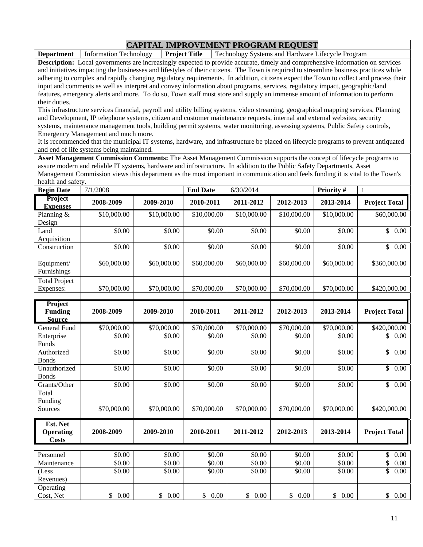**CAPITAL IMPROVEMENT PROGRAM REQUEST**<br>Information Technology | **Project Title** | Technology Systems and Hardware I **Department** Information Technology **Project Title** Technology Systems and Hardware Lifecycle Program

**Description:** Local governments are increasingly expected to provide accurate, timely and comprehensive information on services and initiatives impacting the businesses and lifestyles of their citizens. The Town is required to streamline business practices while adhering to complex and rapidly changing regulatory requirements. In addition, citizens expect the Town to collect and process their input and comments as well as interpret and convey information about programs, services, regulatory impact, geographic/land features, emergency alerts and more. To do so, Town staff must store and supply an immense amount of information to perform their duties.

This infrastructure services financial, payroll and utility billing systems, video streaming, geographical mapping services, Planning and Development, IP telephone systems, citizen and customer maintenance requests, internal and external websites, security systems, maintenance management tools, building permit systems, water monitoring, assessing systems, Public Safety controls, Emergency Management and much more.

It is recommended that the municipal IT systems, hardware, and infrastructure be placed on lifecycle programs to prevent antiquated and end of life systems being maintained.

**Asset Management Commission Comments:** The Asset Management Commission supports the concept of lifecycle programs to assure modern and reliable IT systems, hardware and infrastructure. In addition to the Public Safety Departments, Asset Management Commission views this department as the most important in communication and feels funding it is vital to the Town's health and safety.

| <b>Begin Date</b>                            | 7/1/2008         |                  | <b>End Date</b>  | 6/30/2014        |                  | Priority #       | $\mathbf{1}$             |
|----------------------------------------------|------------------|------------------|------------------|------------------|------------------|------------------|--------------------------|
| Project<br><b>Expenses</b>                   | 2008-2009        | 2009-2010        | 2010-2011        | 2011-2012        | 2012-2013        | 2013-2014        | <b>Project Total</b>     |
| Planning &<br>Design                         | \$10,000.00      | \$10,000.00      | \$10,000.00      | \$10,000.00      | \$10,000.00      | \$10,000.00      | \$60,000.00              |
| Land<br>Acquisition                          | \$0.00           | \$0.00           | \$0.00           | \$0.00           | \$0.00           | \$0.00           | $\mathbb{S}$<br>0.00     |
| Construction                                 | \$0.00           | \$0.00           | \$0.00           | \$0.00           | \$0.00           | \$0.00           | $\mathbb{S}$<br>0.00     |
| Equipment/<br>Furnishings                    | \$60,000.00      | \$60,000.00      | \$60,000.00      | \$60,000.00      | \$60,000.00      | \$60,000.00      | \$360,000.00             |
| <b>Total Project</b><br>Expenses:            | \$70,000.00      | \$70,000.00      | \$70,000.00      | \$70,000.00      | \$70,000.00      | \$70,000.00      | \$420,000.00             |
| Project<br><b>Funding</b><br><b>Source</b>   | 2008-2009        | 2009-2010        | 2010-2011        | 2011-2012        | 2012-2013        | 2013-2014        | <b>Project Total</b>     |
| General Fund                                 | \$70,000.00      | \$70,000.00      | \$70,000.00      | \$70,000.00      | \$70,000.00      | \$70,000.00      | \$420,000.00             |
| Enterprise<br>Funds                          | \$0.00           | \$0.00           | \$0.00           | \$0.00           | \$0.00           | \$0.00           | $\mathbb{S}$<br>0.00     |
| Authorized<br><b>Bonds</b>                   | \$0.00           | \$0.00           | \$0.00           | \$0.00           | \$0.00           | \$0.00           | \$<br>0.00               |
| Unauthorized<br><b>Bonds</b>                 | \$0.00           | \$0.00           | \$0.00           | \$0.00           | \$0.00           | \$0.00           | \$<br>0.00               |
| Grants/Other                                 | \$0.00           | \$0.00           | \$0.00           | \$0.00           | \$0.00           | \$0.00           | $\mathbb{S}$<br>0.00     |
| Total<br>Funding<br>Sources                  | \$70,000.00      | \$70,000.00      | \$70,000.00      | \$70,000.00      | \$70,000.00      | \$70,000.00      | \$420,000.00             |
| Est. Net<br><b>Operating</b><br><b>Costs</b> | 2008-2009        | 2009-2010        | 2010-2011        | 2011-2012        | 2012-2013        | 2013-2014        | <b>Project Total</b>     |
|                                              |                  |                  |                  |                  |                  |                  |                          |
| Personnel<br>Maintenance                     | \$0.00<br>\$0.00 | \$0.00<br>\$0.00 | \$0.00<br>\$0.00 | \$0.00<br>\$0.00 | \$0.00<br>\$0.00 | \$0.00<br>\$0.00 | \$<br>0.00<br>\$<br>0.00 |
| (Less<br>Revenues)                           | \$0.00           | \$0.00           | \$0.00           | \$0.00           | \$0.00           | \$0.00           | \$<br>0.00               |
| Operating<br>Cost, Net                       | \$0.00           | \$0.00           | \$0.00           | \$0.00           | \$0.00           | \$0.00           | \$0.00                   |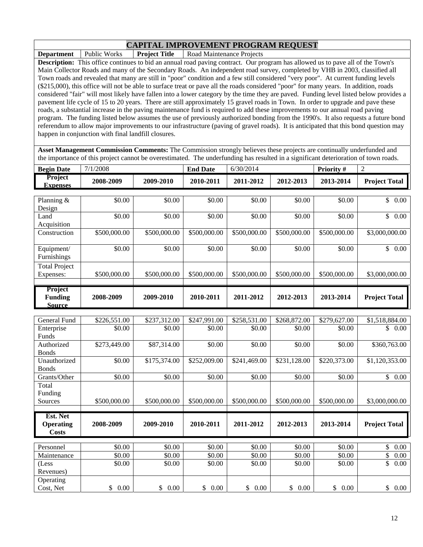**Department** Public Works **Project Title** Road Maintenance Projects **Description:** This office continues to bid an annual road paving contract. Our program has allowed us to pave all of the Town's Main Collector Roads and many of the Secondary Roads. An independent road survey, completed by VHB in 2003, classified all Town roads and revealed that many are still in "poor" condition and a few still considered "very poor". At current funding levels (\$215,000), this office will not be able to surface treat or pave all the roads considered "poor" for many years. In addition, roads considered "fair" will most likely have fallen into a lower category by the time they are paved. Funding level listed below provides a pavement life cycle of 15 to 20 years. There are still approximately 15 gravel roads in Town. In order to upgrade and pave these roads, a substantial increase in the paving maintenance fund is required to add these improvements to our annual road paving program. The funding listed below assumes the use of previously authorized bonding from the 1990's. It also requests a future bond referendum to allow major improvements to our infrastructure (paving of gravel roads). It is anticipated that this bond question may happen in conjunction with final landfill closures.

**Asset Management Commission Comments:** The Commission strongly believes these projects are continually underfunded and the importance of this project cannot be overestimated. The underfunding has resulted in a significant deterioration of town roads.

| <b>Begin Date</b>                 | 7/1/2008     |              | <b>End Date</b> | 6/30/2014    |              | Priority#    | 2                        |
|-----------------------------------|--------------|--------------|-----------------|--------------|--------------|--------------|--------------------------|
| <b>Project</b><br><b>Expenses</b> | 2008-2009    | 2009-2010    | 2010-2011       | 2011-2012    | 2012-2013    | 2013-2014    | <b>Project Total</b>     |
|                                   |              |              |                 |              |              |              |                          |
| Planning &                        | \$0.00       | \$0.00       | \$0.00          | \$0.00       | \$0.00       | \$0.00       | \$0.00                   |
| Design                            |              |              |                 |              |              |              |                          |
| Land                              | \$0.00       | \$0.00       | \$0.00          | \$0.00       | \$0.00       | \$0.00       | $\mathbb{S}$<br>$0.00\,$ |
| Acquisition                       |              |              |                 |              |              |              |                          |
| Construction                      | \$500,000.00 | \$500,000.00 | \$500,000.00    | \$500,000.00 | \$500,000.00 | \$500,000.00 | \$3,000,000.00           |
|                                   |              |              |                 |              |              |              |                          |
| Equipment/                        | \$0.00       | \$0.00       | \$0.00          | \$0.00       | \$0.00       | \$0.00       | $\mathbb{S}$<br>$0.00\,$ |
| Furnishings                       |              |              |                 |              |              |              |                          |
| <b>Total Project</b>              |              |              |                 |              |              |              |                          |
| Expenses:                         | \$500,000.00 | \$500,000.00 | \$500,000.00    | \$500,000.00 | \$500,000.00 | \$500,000.00 | \$3,000,000.00           |
|                                   |              |              |                 |              |              |              |                          |
| <b>Project</b>                    |              |              |                 |              |              |              |                          |
| <b>Funding</b>                    | 2008-2009    | 2009-2010    | 2010-2011       | 2011-2012    | 2012-2013    | 2013-2014    | <b>Project Total</b>     |
| <b>Source</b>                     |              |              |                 |              |              |              |                          |

| General Fund     | \$226,551.00 | \$237,312.00 | \$247,991.00 | \$258,531.00 | \$268,872.00 | \$279,627.00 | \$1,518,884.00         |
|------------------|--------------|--------------|--------------|--------------|--------------|--------------|------------------------|
|                  | \$0.00       | \$0.00       | \$0.00       | \$0.00       | \$0.00       | \$0.00       | 0.00<br>\$             |
| Enterprise       |              |              |              |              |              |              |                        |
| Funds            |              |              |              |              |              |              |                        |
| Authorized       | \$273,449.00 | \$87,314.00  | \$0.00       | \$0.00       | \$0.00       | \$0.00       | \$360,763.00           |
| <b>Bonds</b>     |              |              |              |              |              |              |                        |
| Unauthorized     | \$0.00       | \$175,374.00 | \$252,009.00 | \$241,469.00 | \$231,128.00 | \$220,373.00 | \$1,120,353.00         |
| <b>Bonds</b>     |              |              |              |              |              |              |                        |
| Grants/Other     | \$0.00       | \$0.00       | \$0.00       | \$0.00       | \$0.00       | \$0.00       | $\mathbb{S}^-$<br>0.00 |
| Total            |              |              |              |              |              |              |                        |
| Funding          |              |              |              |              |              |              |                        |
| Sources          | \$500,000.00 | \$500,000.00 | \$500,000.00 | \$500,000.00 | \$500,000.00 | \$500,000.00 | \$3,000,000.00         |
|                  |              |              |              |              |              |              |                        |
| Est. Net         |              |              |              |              |              |              |                        |
| <b>Operating</b> | 2008-2009    | 2009-2010    | 2010-2011    | 2011-2012    | 2012-2013    | 2013-2014    | <b>Project Total</b>   |
| <b>Costs</b>     |              |              |              |              |              |              |                        |
|                  |              |              |              |              |              |              |                        |
| Personnel        | \$0.00       | \$0.00       | \$0.00       | \$0.00       | \$0.00       | \$0.00       | $\mathcal{S}$<br>0.00  |
| Maintenance      | \$0.00       | \$0.00       | \$0.00       | \$0.00       | \$0.00       | \$0.00       | \$<br>0.00             |
| (Less            |              | \$0.00       | \$0.00       | \$0.00       | \$0.00       | \$0.00       | \$<br>0.00             |
|                  | \$0.00       |              |              |              |              |              |                        |
| Revenues)        |              |              |              |              |              |              |                        |
| Operating        |              |              |              |              |              |              |                        |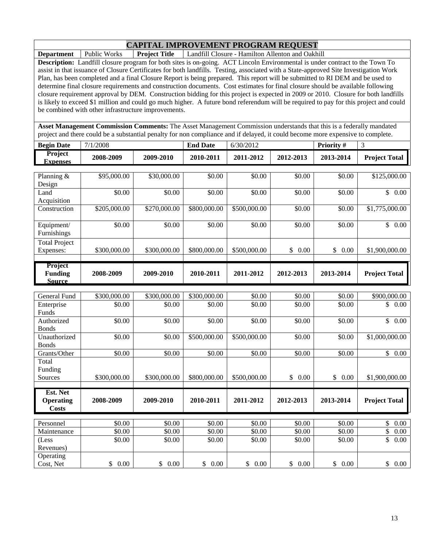**Department** Public Works **Project Title** Landfill Closure - Hamilton Allenton and Oakhill

**Description:** Landfill closure program for both sites is on-going. ACT Lincoln Environmental is under contract to the Town To assist in that issuance of Closure Certificates for both landfills. Testing, associated with a State-approved Site Investigation Work Plan, has been completed and a final Closure Report is being prepared. This report will be submitted to RI DEM and be used to determine final closure requirements and construction documents. Cost estimates for final closure should be available following closure requirement approval by DEM. Construction bidding for this project is expected in 2009 or 2010. Closure for both landfills is likely to exceed \$1 million and could go much higher. A future bond referendum will be required to pay for this project and could be combined with other infrastructure improvements.

**Asset Management Commission Comments:** The Asset Management Commission understands that this is a federally mandated project and there could be a substantial penalty for non compliance and if delayed, it could become more expensive to complete.

| <b>Begin Date</b>                            | 7/1/2008              |              | <b>End Date</b> | 6/30/2012    |                      | Priority #           | 3                                |
|----------------------------------------------|-----------------------|--------------|-----------------|--------------|----------------------|----------------------|----------------------------------|
| <b>Project</b><br><b>Expenses</b>            | 2008-2009             | 2009-2010    | 2010-2011       | 2011-2012    | 2012-2013            | 2013-2014            | <b>Project Total</b>             |
| Planning &<br>Design                         | \$95,000.00           | \$30,000.00  | \$0.00          | \$0.00       | \$0.00               | \$0.00               | \$125,000.00                     |
| Land<br>Acquisition                          | \$0.00                | \$0.00       | \$0.00          | \$0.00       | \$0.00               | \$0.00               | \$0.00                           |
| Construction                                 | \$205,000.00          | \$270,000.00 | \$800,000.00    | \$500,000.00 | \$0.00               | \$0.00               | \$1,775,000.00                   |
| Equipment/<br>Furnishings                    | \$0.00                | \$0.00       | \$0.00          | \$0.00       | \$0.00               | \$0.00               | $\mathbb{S}$<br>0.00             |
| <b>Total Project</b><br>Expenses:            | \$300,000.00          | \$300,000.00 | \$800,000.00    | \$500,000.00 | \$<br>0.00           | \$<br>0.00           | \$1,900,000.00                   |
| Project<br><b>Funding</b><br><b>Source</b>   | 2008-2009             | 2009-2010    | 2010-2011       | 2011-2012    | 2012-2013            | 2013-2014            | <b>Project Total</b>             |
|                                              |                       |              |                 |              |                      |                      |                                  |
| General Fund                                 | \$300,000.00          | \$300,000.00 | \$300,000.00    | \$0.00       | \$0.00               | \$0.00               | \$900,000.00                     |
| Enterprise<br>Funds                          | \$0.00                | \$0.00       | \$0.00          | \$0.00       | \$0.00               | \$0.00               | \$<br>0.00                       |
| Authorized<br><b>Bonds</b>                   | \$0.00                | \$0.00       | \$0.00          | \$0.00       | \$0.00               | \$0.00               | $\mathbf{\hat{S}}$<br>0.00       |
| Unauthorized<br><b>Bonds</b>                 | \$0.00                | \$0.00       | \$500,000.00    | \$500,000.00 | \$0.00               | \$0.00               | \$1,000,000.00                   |
| Grants/Other                                 | \$0.00                | \$0.00       | \$0.00          | \$0.00       | \$0.00               | \$0.00               | \$<br>0.00                       |
| Total<br>Funding<br>Sources                  | \$300,000.00          | \$300,000.00 | \$800,000.00    | \$500,000.00 | \$<br>0.00           | $\mathbb{S}$<br>0.00 | \$1,900,000.00                   |
| Est. Net<br><b>Operating</b><br><b>Costs</b> | 2008-2009             | 2009-2010    | 2010-2011       | 2011-2012    | 2012-2013            | 2013-2014            | <b>Project Total</b>             |
| Personnel                                    | \$0.00                | \$0.00       | \$0.00          | \$0.00       | \$0.00               | \$0.00               | \$<br>0.00                       |
| Maintenance                                  | \$0.00                | \$0.00       | \$0.00          | \$0.00       | \$0.00               | \$0.00               | \$<br>0.00                       |
| (Less<br>Revenues)                           | \$0.00                | \$0.00       | \$0.00          | \$0.00       | \$0.00               | \$0.00               | $\overline{\mathcal{S}}$<br>0.00 |
| Operating<br>Cost, Net                       | $\mathcal{S}$<br>0.00 | \$<br>0.00   | \$<br>0.00      | \$0.00       | $\mathbb{S}$<br>0.00 | \$<br>0.00           | \$<br>$0.00\,$                   |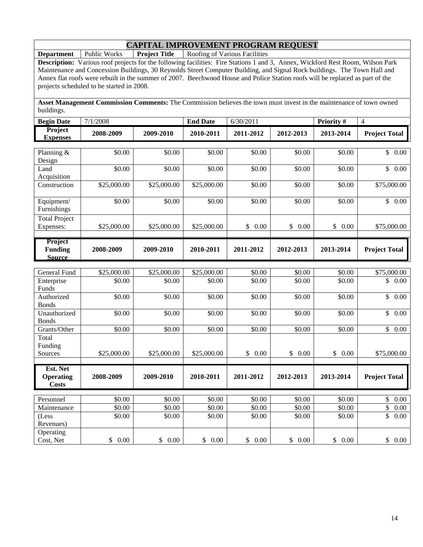**Department** Public Works **Project Title** Roofing of Various Facilities

**Description:** Various roof projects for the following facilities: Fire Stations 1 and 3, Annex, Wickford Rest Room, Wilson Park Maintenance and Concession Buildings, 30 Reynolds Street Computer Building, and Signal Rock buildings. The Town Hall and Annex flat roofs were rebuilt in the summer of 2007. Beechwood House and Police Station roofs will be replaced as part of the projects scheduled to be started in 2008.

**Asset Management Commission Comments:** The Commission believes the town must invest in the maintenance of town owned buildings.

| <b>Begin Date</b>                            | 7/1/2008              |                       | <b>End Date</b> | 6/30/2011  |                        | Priority #           | $\overline{4}$                   |
|----------------------------------------------|-----------------------|-----------------------|-----------------|------------|------------------------|----------------------|----------------------------------|
| Project<br><b>Expenses</b>                   | 2008-2009             | 2009-2010             | 2010-2011       | 2011-2012  | 2012-2013              | 2013-2014            | <b>Project Total</b>             |
|                                              |                       |                       |                 |            |                        |                      |                                  |
| Planning &<br>Design                         | \$0.00                | \$0.00                | \$0.00          | \$0.00     | \$0.00                 | \$0.00               | $\mathbb{S}$<br>0.00             |
| Land<br>Acquisition                          | \$0.00                | \$0.00                | \$0.00          | \$0.00     | \$0.00                 | \$0.00               | $\mathbb{S}$<br>0.00             |
| Construction                                 | \$25,000.00           | \$25,000.00           | \$25,000.00     | \$0.00     | \$0.00                 | \$0.00               | \$75,000.00                      |
| Equipment/<br>Furnishings                    | \$0.00                | $\overline{$}0.00$    | \$0.00          | \$0.00     | \$0.00                 | \$0.00               | $\mathbb{S}$<br>0.00             |
| <b>Total Project</b><br>Expenses:            | \$25,000.00           | \$25,000.00           | \$25,000.00     | \$<br>0.00 | \$<br>0.00             | \$<br>0.00           | \$75,000.00                      |
| Project<br><b>Funding</b><br><b>Source</b>   | 2008-2009             | 2009-2010             | 2010-2011       | 2011-2012  | 2012-2013              | 2013-2014            | <b>Project Total</b>             |
|                                              |                       |                       |                 |            |                        |                      |                                  |
| <b>General Fund</b>                          | \$25,000.00           | \$25,000.00           | \$25,000.00     | \$0.00     | \$0.00                 | \$0.00               | \$75,000.00                      |
| Enterprise<br>Funds                          | \$0.00                | \$0.00                | \$0.00          | \$0.00     | \$0.00                 | \$0.00               | \$<br>0.00                       |
| Authorized<br><b>Bonds</b>                   | \$0.00                | \$0.00                | \$0.00          | \$0.00     | \$0.00                 | \$0.00               | \$<br>0.00                       |
| Unauthorized<br><b>Bonds</b>                 | \$0.00                | \$0.00                | \$0.00          | \$0.00     | \$0.00                 | \$0.00               | $\mathbb{S}$<br>0.00             |
| Grants/Other                                 | \$0.00                | \$0.00                | \$0.00          | \$0.00     | \$0.00                 | \$0.00               | $\overline{\mathcal{S}}$<br>0.00 |
| Total<br>Funding<br>Sources                  | \$25,000.00           | \$25,000.00           | \$25,000.00     | \$0.00     | $\mathbb{S}^-$<br>0.00 | $\mathbb{S}$<br>0.00 | \$75,000.00                      |
| Est. Net<br><b>Operating</b><br><b>Costs</b> | 2008-2009             | 2009-2010             | 2010-2011       | 2011-2012  | 2012-2013              | 2013-2014            | <b>Project Total</b>             |
| Personnel                                    | \$0.00                | \$0.00                | \$0.00          | \$0.00     | \$0.00                 | \$0.00               | \$<br>0.00                       |
| Maintenance                                  | \$0.00                | \$0.00                | \$0.00          | \$0.00     | \$0.00                 | \$0.00               | \$<br>0.00                       |
| (Less<br>Revenues)                           | \$0.00                | \$0.00                | \$0.00          | \$0.00     | \$0.00                 | \$0.00               | \$<br>0.00                       |
| Operating<br>Cost, Net                       | $\mathcal{S}$<br>0.00 | $\mathcal{S}$<br>0.00 | \$<br>0.00      | \$0.00     | \$0.00                 | \$<br>0.00           | $\frac{1}{2}$<br>$0.00\,$        |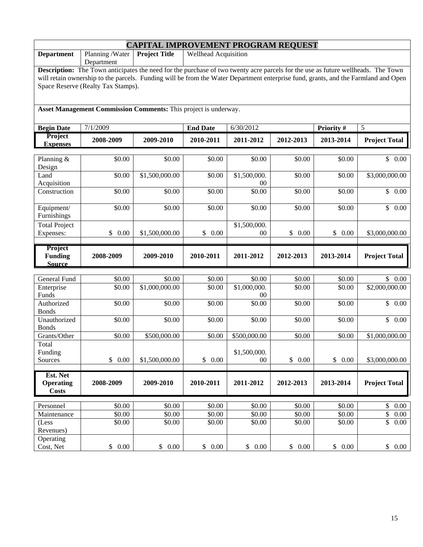| <b>CAPITAL IMPROVEMENT PROGRAM REQUEST</b>                                       |                                                                                                                                    |                            |                      |              |                    |           |                         |  |  |  |  |
|----------------------------------------------------------------------------------|------------------------------------------------------------------------------------------------------------------------------------|----------------------------|----------------------|--------------|--------------------|-----------|-------------------------|--|--|--|--|
| <b>Department</b>                                                                | Planning /Water<br>Department                                                                                                      | <b>Project Title</b>       | Wellhead Acquisition |              |                    |           |                         |  |  |  |  |
|                                                                                  | Description: The Town anticipates the need for the purchase of two twenty acre parcels for the use as future wellheads. The Town   |                            |                      |              |                    |           |                         |  |  |  |  |
|                                                                                  | will retain ownership to the parcels. Funding will be from the Water Department enterprise fund, grants, and the Farmland and Open |                            |                      |              |                    |           |                         |  |  |  |  |
| Space Reserve (Realty Tax Stamps).                                               |                                                                                                                                    |                            |                      |              |                    |           |                         |  |  |  |  |
|                                                                                  |                                                                                                                                    |                            |                      |              |                    |           |                         |  |  |  |  |
| Asset Management Commission Comments: This project is underway.                  |                                                                                                                                    |                            |                      |              |                    |           |                         |  |  |  |  |
| <b>End Date</b><br>5<br><b>Begin Date</b><br>7/1/2009<br>6/30/2012<br>Priority # |                                                                                                                                    |                            |                      |              |                    |           |                         |  |  |  |  |
| Project<br><b>Expenses</b>                                                       | 2008-2009                                                                                                                          | 2009-2010                  | 2010-2011            | 2011-2012    | 2012-2013          | 2013-2014 | <b>Project Total</b>    |  |  |  |  |
|                                                                                  |                                                                                                                                    |                            |                      |              |                    |           |                         |  |  |  |  |
| Planning &                                                                       | \$0.00                                                                                                                             | \$0.00                     | \$0.00               | \$0.00       | \$0.00             | \$0.00    | \$0.00                  |  |  |  |  |
| Design<br>Land                                                                   | \$0.00                                                                                                                             | \$1,500,000.00             | \$0.00               | \$1,500,000. | \$0.00             | \$0.00    | \$3,000,000.00          |  |  |  |  |
| Acquisition                                                                      |                                                                                                                                    |                            |                      | 00           |                    |           |                         |  |  |  |  |
| Construction                                                                     | \$0.00                                                                                                                             | \$0.00                     | \$0.00               | \$0.00       | \$0.00             | \$0.00    | $\mathbb{S}$<br>0.00    |  |  |  |  |
|                                                                                  |                                                                                                                                    |                            |                      |              |                    |           |                         |  |  |  |  |
| Equipment/                                                                       | \$0.00                                                                                                                             | \$0.00                     | \$0.00               | \$0.00       | \$0.00             | \$0.00    | \$0.00                  |  |  |  |  |
| Furnishings                                                                      |                                                                                                                                    |                            |                      |              |                    |           |                         |  |  |  |  |
| <b>Total Project</b>                                                             |                                                                                                                                    |                            |                      | \$1,500,000. |                    |           |                         |  |  |  |  |
| Expenses:                                                                        | \$0.00                                                                                                                             | \$1,500,000.00             | \$<br>0.00           | $00\,$       | \$0.00             | \$0.00    | \$3,000,000.00          |  |  |  |  |
|                                                                                  |                                                                                                                                    |                            |                      |              |                    |           |                         |  |  |  |  |
|                                                                                  |                                                                                                                                    |                            |                      |              |                    |           |                         |  |  |  |  |
| Project<br><b>Funding</b>                                                        | 2008-2009                                                                                                                          | 2009-2010                  | 2010-2011            | 2011-2012    | 2012-2013          | 2013-2014 | <b>Project Total</b>    |  |  |  |  |
| <b>Source</b>                                                                    |                                                                                                                                    |                            |                      |              |                    |           |                         |  |  |  |  |
|                                                                                  |                                                                                                                                    |                            |                      |              |                    |           |                         |  |  |  |  |
| General Fund                                                                     | \$0.00                                                                                                                             | \$0.00                     | \$0.00               | \$0.00       | \$0.00             | \$0.00    | 0.00<br>S.              |  |  |  |  |
| Enterprise                                                                       | \$0.00                                                                                                                             | $\overline{$1,000,000.00}$ | \$0.00               | \$1,000,000. | \$0.00             | \$0.00    | \$2,000,000.00          |  |  |  |  |
| Funds                                                                            |                                                                                                                                    |                            |                      | $00\,$       |                    |           |                         |  |  |  |  |
| Authorized                                                                       | \$0.00                                                                                                                             | \$0.00                     | \$0.00               | \$0.00       | \$0.00             | \$0.00    | \$<br>0.00              |  |  |  |  |
| <b>Bonds</b><br>Unauthorized                                                     | \$0.00                                                                                                                             | \$0.00                     | \$0.00               | \$0.00       | $\overline{$}0.00$ | \$0.00    | \$0.00                  |  |  |  |  |
| <b>Bonds</b>                                                                     |                                                                                                                                    |                            |                      |              |                    |           |                         |  |  |  |  |
| Grants/Other                                                                     | \$0.00                                                                                                                             | \$500,000.00               | \$0.00               | \$500,000.00 | \$0.00             | \$0.00    | \$1,000,000.00          |  |  |  |  |
| Total                                                                            |                                                                                                                                    |                            |                      |              |                    |           |                         |  |  |  |  |
| Funding                                                                          |                                                                                                                                    |                            |                      | \$1,500,000. |                    |           |                         |  |  |  |  |
| Sources                                                                          | \$<br>0.00                                                                                                                         | \$1,500,000.00             | \$<br>0.00           | $00\,$       | \$0.00             | \$0.00    | \$3,000,000.00          |  |  |  |  |
|                                                                                  |                                                                                                                                    |                            |                      |              |                    |           |                         |  |  |  |  |
| Est. Net                                                                         |                                                                                                                                    |                            |                      |              |                    |           |                         |  |  |  |  |
| <b>Operating</b><br><b>Costs</b>                                                 | 2008-2009                                                                                                                          | 2009-2010                  | 2010-2011            | 2011-2012    | 2012-2013          | 2013-2014 | <b>Project Total</b>    |  |  |  |  |
|                                                                                  |                                                                                                                                    |                            |                      |              |                    |           |                         |  |  |  |  |
| Personnel                                                                        | \$0.00                                                                                                                             | \$0.00                     | \$0.00               | \$0.00       | \$0.00             | \$0.00    | \$<br>$0.00\,$          |  |  |  |  |
| Maintenance                                                                      | \$0.00                                                                                                                             | \$0.00                     | \$0.00               | \$0.00       | \$0.00             | \$0.00    | $\overline{\$}$<br>0.00 |  |  |  |  |
| (Less                                                                            | \$0.00                                                                                                                             | \$0.00                     | \$0.00               | \$0.00       | \$0.00             | \$0.00    | $\overline{\$}$<br>0.00 |  |  |  |  |
| Revenues)<br>Operating                                                           |                                                                                                                                    |                            |                      |              |                    |           |                         |  |  |  |  |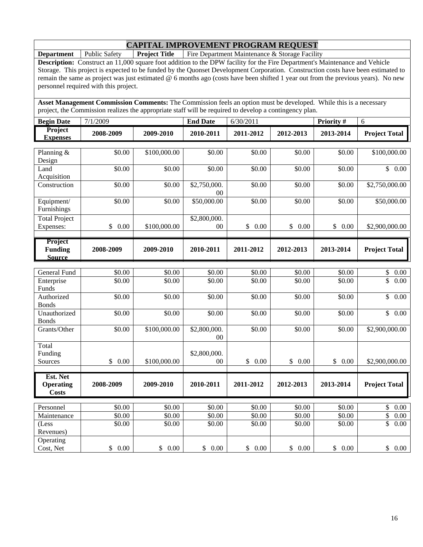**Department** Public Safety **Project Title** Fire Department Maintenance & Storage Facility

**Description:** Construct an 11,000 square foot addition to the DPW facility for the Fire Department's Maintenance and Vehicle Storage. This project is expected to be funded by the Quonset Development Corporation. Construction costs have been estimated to remain the same as project was just estimated @ 6 months ago (costs have been shifted 1 year out from the previous years). No new personnel required with this project.

**Asset Management Commission Comments:** The Commission feels an option must be developed. While this is a necessary project, the Commission realizes the appropriate staff will be required to develop a contingency plan.

| <b>Begin Date</b>                          | 7/1/2009             |                    | <b>End Date</b>        | 6/30/2011            |            | Priority # | 6                       |
|--------------------------------------------|----------------------|--------------------|------------------------|----------------------|------------|------------|-------------------------|
| Project<br><b>Expenses</b>                 | 2008-2009            | 2009-2010          | 2010-2011              | 2011-2012            | 2012-2013  | 2013-2014  | <b>Project Total</b>    |
| Planning &<br>Design                       | \$0.00               | \$100,000.00       | \$0.00                 | \$0.00               | \$0.00     | \$0.00     | \$100,000.00            |
| Land<br>Acquisition                        | \$0.00               | \$0.00             | \$0.00                 | \$0.00               | \$0.00     | \$0.00     | \$0.00                  |
| Construction                               | \$0.00               | \$0.00             | \$2,750,000.<br>$00\,$ | \$0.00               | \$0.00     | \$0.00     | \$2,750,000.00          |
| Equipment/<br>Furnishings                  | \$0.00               | $\overline{$}0.00$ | \$50,000.00            | $\overline{$}0.00$   | \$0.00     | \$0.00     | \$50,000.00             |
| <b>Total Project</b><br>Expenses:          | $\mathbb{S}$<br>0.00 | \$100,000.00       | \$2,800,000.<br>00     | $\mathbb{S}$<br>0.00 | \$<br>0.00 | \$<br>0.00 | \$2,900,000.00          |
| Project<br><b>Funding</b><br><b>Source</b> | 2008-2009            | 2009-2010          | 2010-2011              | 2011-2012            | 2012-2013  | 2013-2014  | <b>Project Total</b>    |
|                                            |                      |                    |                        |                      |            |            |                         |
| General Fund                               | \$0.00               | \$0.00             | \$0.00                 | \$0.00               | \$0.00     | \$0.00     | \$<br>$0.00\,$          |
| Enterprise<br>Funds                        | \$0.00               | \$0.00             | \$0.00                 | \$0.00               | \$0.00     | \$0.00     | \$<br>$\overline{0.00}$ |
| Authorized<br><b>Bonds</b>                 | \$0.00               | \$0.00             | \$0.00                 | \$0.00               | \$0.00     | \$0.00     | \$<br>0.00              |
| Unauthorized<br><b>Bonds</b>               | \$0.00               | \$0.00             | \$0.00                 | \$0.00               | \$0.00     | \$0.00     | \$<br>$\overline{0.00}$ |
| Grants/Other                               | \$0.00               | \$100,000.00       | \$2,800,000.<br>$00\,$ | \$0.00               | \$0.00     | \$0.00     | \$2,900,000.00          |
| Total                                      |                      |                    |                        |                      |            |            |                         |
| Funding<br>Sources                         | \$0.00               | \$100,000.00       | \$2,800,000.<br>00     | \$0.00               | \$0.00     | \$0.00     | \$2,900,000.00          |
| Est. Net                                   |                      |                    |                        |                      |            |            |                         |
| <b>Operating</b><br><b>Costs</b>           | 2008-2009            | 2009-2010          | 2010-2011              | 2011-2012            | 2012-2013  | 2013-2014  | <b>Project Total</b>    |
| Personnel                                  | \$0.00               | \$0.00             | \$0.00                 | \$0.00               | \$0.00     | \$0.00     | \$<br>$0.00\,$          |
| Maintenance                                | $\frac{1}{0.00}$     | \$0.00             | \$0.00                 | \$0.00               | \$0.00     | \$0.00     | \$<br>$0.00\,$          |
| (Less<br>Revenues)                         | \$0.00               | \$0.00             | \$0.00                 | \$0.00               | \$0.00     | \$0.00     | \$<br>0.00              |
| Operating<br>Cost, Net                     | \$0.00               | \$0.00             | \$<br>0.00             | \$0.00               | 0.00<br>\$ | \$0.00     | \$0.00                  |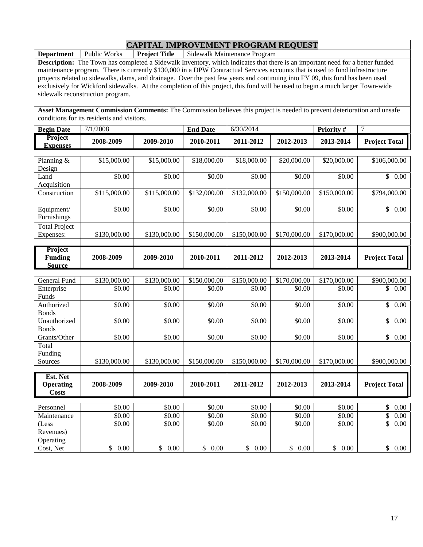**Department** Public Works **Project Title** Sidewalk Maintenance Program

**Description:** The Town has completed a Sidewalk Inventory, which indicates that there is an important need for a better funded maintenance program. There is currently \$130,000 in a DPW Contractual Services accounts that is used to fund infrastructure projects related to sidewalks, dams, and drainage. Over the past few years and continuing into FY 09, this fund has been used exclusively for Wickford sidewalks. At the completion of this project, this fund will be used to begin a much larger Town-wide sidewalk reconstruction program.

**Asset Management Commission Comments:** The Commission believes this project is needed to prevent deterioration and unsafe conditions for its residents and visitors.

| <b>Begin Date</b>                            | 7/1/2008     |                    | <b>End Date</b>    | 6/30/2014        |                  | Priority #   | $\tau$               |
|----------------------------------------------|--------------|--------------------|--------------------|------------------|------------------|--------------|----------------------|
| Project<br><b>Expenses</b>                   | 2008-2009    | 2009-2010          | 2010-2011          | 2011-2012        | 2012-2013        | 2013-2014    | <b>Project Total</b> |
|                                              |              |                    |                    |                  |                  |              |                      |
| Planning &<br>Design                         | \$15,000.00  | \$15,000.00        | \$18,000.00        | \$18,000.00      | \$20,000.00      | \$20,000.00  | \$106,000.00         |
| Land<br>Acquisition                          | \$0.00       | $\overline{$}0.00$ | \$0.00             | \$0.00           | \$0.00           | \$0.00       | \$0.00               |
| Construction                                 | \$115,000.00 | \$115,000.00       | \$132,000.00       | \$132,000.00     | \$150,000.00     | \$150,000.00 | \$794,000.00         |
| Equipment/<br>Furnishings                    | \$0.00       | \$0.00             | \$0.00             | \$0.00           | \$0.00           | \$0.00       | \$0.00               |
| <b>Total Project</b><br>Expenses:            | \$130,000.00 | \$130,000.00       | \$150,000.00       | \$150,000.00     | \$170,000.00     | \$170,000.00 | \$900,000.00         |
| Project<br><b>Funding</b><br><b>Source</b>   | 2008-2009    | 2009-2010          | 2010-2011          | 2011-2012        | 2012-2013        | 2013-2014    | <b>Project Total</b> |
|                                              |              |                    |                    |                  |                  |              |                      |
| General Fund                                 | \$130,000.00 | \$130,000.00       | \$150,000.00       | \$150,000.00     | \$170,000.00     | \$170,000.00 | \$900,000.00         |
| Enterprise<br>Funds                          | \$0.00       | \$0.00             | \$0.00             | \$0.00           | \$0.00           | \$0.00       | \$0.00               |
| Authorized<br><b>Bonds</b>                   | \$0.00       | \$0.00             | $\overline{$}0.00$ | \$0.00           | \$0.00           | \$0.00       | \$<br>0.00           |
| Unauthorized<br><b>Bonds</b>                 | \$0.00       | \$0.00             | \$0.00             | \$0.00           | \$0.00           | \$0.00       | $\mathbb{S}$<br>0.00 |
| Grants/Other                                 | \$0.00       | \$0.00             | \$0.00             | \$0.00           | \$0.00           | \$0.00       | $\mathbb{S}$<br>0.00 |
| Total<br>Funding<br>Sources                  | \$130,000.00 | \$130,000.00       | \$150,000.00       | \$150,000.00     | \$170,000.00     | \$170,000.00 | \$900,000.00         |
|                                              |              |                    |                    |                  |                  |              |                      |
| Est. Net<br><b>Operating</b><br><b>Costs</b> | 2008-2009    | 2009-2010          | 2010-2011          | 2011-2012        | 2012-2013        | 2013-2014    | <b>Project Total</b> |
|                                              | \$0.00       | \$0.00             | \$0.00             |                  |                  | \$0.00       |                      |
| Personnel<br>Maintenance                     | \$0.00       | \$0.00             | \$0.00             | \$0.00<br>\$0.00 | \$0.00<br>\$0.00 | \$0.00       | \$<br>0.00<br>0.00   |
| (Less                                        | \$0.00       | \$0.00             | \$0.00             | \$0.00           | \$0.00           | \$0.00       | \$<br>\$<br>0.00     |
| Revenues)                                    |              |                    |                    |                  |                  |              |                      |
| Operating<br>Cost, Net                       | \$0.00       | \$<br>0.00         | \$<br>0.00         | \$0.00           | \$0.00           | \$0.00       | \$0.00               |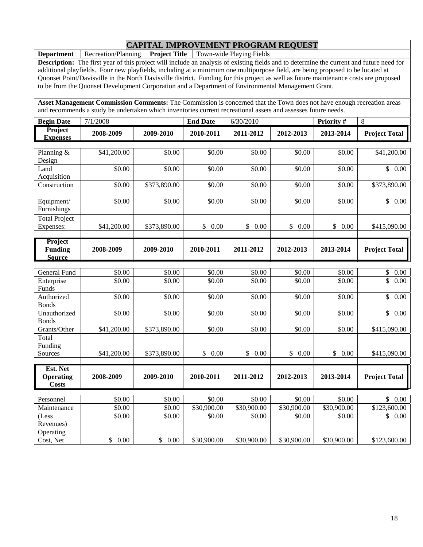**Department** Recreation/Planning **Project Title** Town-wide Playing Fields

**Description:** The first year of this project will include an analysis of existing fields and to determine the current and future need for additional playfields. Four new playfields, including at a minimum one multipurpose field, are being proposed to be located at Quonset Point/Davisville in the North Davisville district. Funding for this project as well as future maintenance costs are proposed to be from the Quonset Development Corporation and a Department of Environmental Management Grant.

**Asset Management Commission Comments:** The Commission is concerned that the Town does not have enough recreation areas and recommends a study be undertaken which inventories current recreational assets and assesses future needs.

| <b>Begin Date</b>                            | 7/1/2008                     |                              | <b>End Date</b>       | 6/30/2010       |                  | Priority #             | 8                               |
|----------------------------------------------|------------------------------|------------------------------|-----------------------|-----------------|------------------|------------------------|---------------------------------|
| Project<br><b>Expenses</b>                   | 2008-2009                    | 2009-2010                    | 2010-2011             | 2011-2012       | 2012-2013        | 2013-2014              | <b>Project Total</b>            |
| Planning &<br>Design                         | \$41,200.00                  | \$0.00                       | \$0.00                | \$0.00          | \$0.00           | \$0.00                 | \$41,200.00                     |
| Land<br>Acquisition                          | \$0.00                       | \$0.00                       | \$0.00                | \$0.00          | \$0.00           | \$0.00                 | \$0.00                          |
| Construction                                 | \$0.00                       | \$373,890.00                 | \$0.00                | \$0.00          | \$0.00           | \$0.00                 | \$373,890.00                    |
| Equipment/<br>Furnishings                    | \$0.00                       | \$0.00                       | \$0.00                | \$0.00          | \$0.00           | \$0.00                 | \$0.00                          |
| <b>Total Project</b><br>Expenses:            | \$41,200.00                  | \$373,890.00                 | \$<br>0.00            | \$<br>0.00      | \$<br>0.00       | \$<br>0.00             | \$415,090.00                    |
| Project<br><b>Funding</b><br><b>Source</b>   | 2008-2009                    | 2009-2010                    | 2010-2011             | 2011-2012       | 2012-2013        | 2013-2014              | <b>Project Total</b>            |
|                                              |                              |                              |                       |                 |                  |                        |                                 |
| General Fund<br>Enterprise<br>Funds          | $\overline{$}0.00$<br>\$0.00 | $\overline{$}0.00$<br>\$0.00 | \$0.00<br>\$0.00      | 50.00<br>\$0.00 | \$0.00<br>\$0.00 | \$0.00<br>\$0.00       | \$<br>0.00<br>0.00<br>\$        |
| Authorized<br><b>Bonds</b>                   | \$0.00                       | \$0.00                       | \$0.00                | \$0.00          | \$0.00           | \$0.00                 | \$<br>0.00                      |
| Unauthorized<br><b>Bonds</b>                 | \$0.00                       | \$0.00                       | \$0.00                | \$0.00          | \$0.00           | \$0.00                 | $\overline{\mathbb{S}}$<br>0.00 |
| Grants/Other                                 | \$41,200.00                  | \$373,890.00                 | \$0.00                | \$0.00          | \$0.00           | \$0.00                 | \$415,090.00                    |
| Total<br>Funding<br>Sources                  | \$41,200.00                  | \$373,890.00                 | $\mathcal{S}$<br>0.00 | \$<br>0.00      | \$<br>0.00       | $\mathbb{S}^-$<br>0.00 | \$415,090.00                    |
|                                              |                              |                              |                       |                 |                  |                        |                                 |
| Est. Net<br><b>Operating</b><br><b>Costs</b> | 2008-2009                    | 2009-2010                    | 2010-2011             | 2011-2012       | 2012-2013        | 2013-2014              | <b>Project Total</b>            |
| Personnel                                    | $\overline{50.00}$           | $\overline{50.00}$           | \$0.00                | \$0.00          | 50.00            | \$0.00                 | \$<br>0.00                      |
| Maintenance                                  | \$0.00                       | \$0.00                       | \$30,900.00           | \$30,900.00     | \$30,900.00      | \$30,900.00            | \$123,600.00                    |
| (Less<br>Revenues)                           | \$0.00                       | \$0.00                       | \$0.00                | \$0.00          | \$0.00           | \$0.00                 | \$<br>0.00                      |
| Operating<br>Cost, Net                       | \$0.00                       | \$0.00                       | \$30,900.00           | \$30,900.00     | \$30,900.00      | \$30,900.00            | \$123,600.00                    |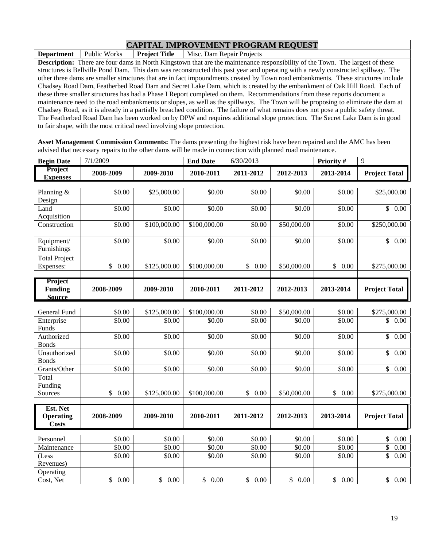**Department** | Public Works | **Project Title** | Misc. Dam Repair Projects

**Operating** 

**Description:** There are four dams in North Kingstown that are the maintenance responsibility of the Town. The largest of these structures is Bellville Pond Dam. This dam was reconstructed this past year and operating with a newly constructed spillway. The other three dams are smaller structures that are in fact impoundments created by Town road embankments. These structures include Chadsey Road Dam, Featherbed Road Dam and Secret Lake Dam, which is created by the embankment of Oak Hill Road. Each of these three smaller structures has had a Phase I Report completed on them. Recommendations from these reports document a maintenance need to the road embankments or slopes, as well as the spillways. The Town will be proposing to eliminate the dam at Chadsey Road, as it is already in a partially breached condition. The failure of what remains does not pose a public safety threat. The Featherbed Road Dam has been worked on by DPW and requires additional slope protection. The Secret Lake Dam is in good to fair shape, with the most critical need involving slope protection.

**Asset Management Commission Comments:** The dams presenting the highest risk have been repaired and the AMC has been advised that necessary repairs to the other dams will be made in connection with planned road maintenance.

| <b>Begin Date</b>                 | 7/1/2009   |              | <b>End Date</b> | 6/30/2013  |             | Priority # | 9                               |
|-----------------------------------|------------|--------------|-----------------|------------|-------------|------------|---------------------------------|
| <b>Project</b><br><b>Expenses</b> | 2008-2009  | 2009-2010    | 2010-2011       | 2011-2012  | 2012-2013   | 2013-2014  | <b>Project Total</b>            |
|                                   |            |              |                 |            |             |            |                                 |
| Planning &<br>Design              | \$0.00     | \$25,000.00  | \$0.00          | \$0.00     | \$0.00      | \$0.00     | \$25,000.00                     |
| Land<br>Acquisition               | \$0.00     | \$0.00       | \$0.00          | \$0.00     | \$0.00      | \$0.00     | \$0.00                          |
| Construction                      | \$0.00     | \$100,000.00 | \$100,000.00    | \$0.00     | \$50,000.00 | \$0.00     | \$250,000.00                    |
| Equipment/<br>Furnishings         | \$0.00     | \$0.00       | \$0.00          | \$0.00     | \$0.00      | \$0.00     | $\mathbb{S}$<br>0.00            |
| <b>Total Project</b>              |            |              |                 |            |             |            |                                 |
| Expenses:                         | 0.00<br>\$ | \$125,000.00 | \$100,000.00    | \$<br>0.00 | \$50,000.00 | \$<br>0.00 | \$275,000.00                    |
| <b>Project</b>                    |            |              |                 |            |             |            |                                 |
| <b>Funding</b><br><b>Source</b>   | 2008-2009  | 2009-2010    | 2010-2011       | 2011-2012  | 2012-2013   | 2013-2014  | <b>Project Total</b>            |
|                                   |            |              |                 |            |             |            |                                 |
| <b>General Fund</b>               | \$0.00     | \$125,000.00 | \$100,000.00    | \$0.00     | \$50,000.00 | \$0.00     | \$275,000.00                    |
| Enterprise<br>Funds               | \$0.00     | \$0.00       | \$0.00          | \$0.00     | \$0.00      | \$0.00     | \$<br>0.00                      |
| Authorized<br><b>Bonds</b>        | \$0.00     | \$0.00       | \$0.00          | \$0.00     | \$0.00      | \$0.00     | $\overline{\mathbb{S}}$<br>0.00 |
| Unauthorized<br><b>Bonds</b>      | \$0.00     | \$0.00       | \$0.00          | \$0.00     | \$0.00      | \$0.00     | $\mathbb{S}$<br>0.00            |
| Grants/Other                      | \$0.00     | \$0.00       | \$0.00          | \$0.00     | \$0.00      | \$0.00     | $\mathbb{S}$<br>0.00            |
| Total<br>Funding<br>Sources       | \$<br>0.00 | \$125,000.00 | \$100,000.00    | \$<br>0.00 | \$50,000.00 | \$<br>0.00 | \$275,000.00                    |
| Est. Net                          |            |              |                 |            |             |            |                                 |

| Costs       |        |        |        |            |          |        |                       |
|-------------|--------|--------|--------|------------|----------|--------|-----------------------|
|             |        |        |        |            |          |        |                       |
| Personnel   | \$0.00 | \$0.00 | \$0.00 | \$0.00     | \$0.00   | \$0.00 | 0.00<br>$\mathcal{D}$ |
| Maintenance | \$0.00 | \$0.00 | \$0.00 | \$0.00     | \$0.00   | \$0.00 | 0.00                  |
| (Less       | \$0.00 | \$0.00 | \$0.00 | \$0.00     | \$0.00   | \$0.00 | 0.00<br>D.            |
| Revenues)   |        |        |        |            |          |        |                       |
| Operating   |        |        |        |            |          |        |                       |
| Cost, Net   | 0.00   | \$0.00 | 0.00   | 0.00<br>\$ | $0.00\,$ | 0.00   | 0.00<br>D             |

**2008-2009 2009-2010 2010-2011 2011-2012 2012-2013 2013-2014 Project Total**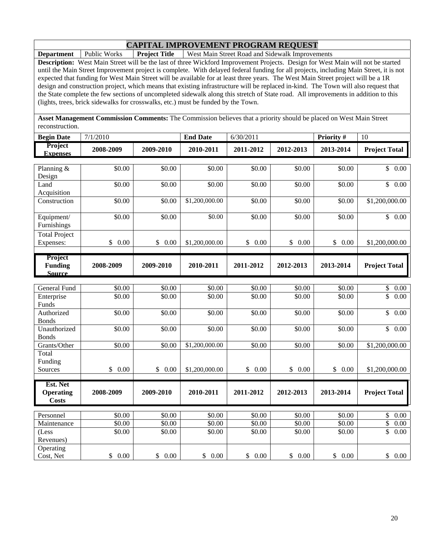**Department** Public Works **Project Title** West Main Street Road and Sidewalk Improvements

**Description:** West Main Street will be the last of three Wickford Improvement Projects. Design for West Main will not be started until the Main Street Improvement project is complete. With delayed federal funding for all projects, including Main Street, it is not expected that funding for West Main Street will be available for at least three years. The West Main Street project will be a 1R design and construction project, which means that existing infrastructure will be replaced in-kind. The Town will also request that the State complete the few sections of uncompleted sidewalk along this stretch of State road. All improvements in addition to this (lights, trees, brick sidewalks for crosswalks, etc.) must be funded by the Town.

**Asset Management Commission Comments:** The Commission believes that a priority should be placed on West Main Street reconstruction.

| <b>Begin Date</b>                            | 7/1/2010              |                      | <b>End Date</b>    | 6/30/2011            |                      | Priority #            | 10                   |
|----------------------------------------------|-----------------------|----------------------|--------------------|----------------------|----------------------|-----------------------|----------------------|
| <b>Project</b><br><b>Expenses</b>            | 2008-2009             | 2009-2010            | 2010-2011          | 2011-2012            | 2012-2013            | 2013-2014             | <b>Project Total</b> |
| Planning &<br>Design                         | \$0.00                | \$0.00               | \$0.00             | \$0.00               | \$0.00               | \$0.00                | 0.00<br>$\mathbb{S}$ |
| Land<br>Acquisition                          | \$0.00                | \$0.00               | \$0.00             | \$0.00               | \$0.00               | \$0.00                | $\mathbb{S}$<br>0.00 |
| Construction                                 | \$0.00                | \$0.00               | \$1,200,000.00     | \$0.00               | \$0.00               | \$0.00                | \$1,200,000.00       |
| Equipment/<br>Furnishings                    | \$0.00                | \$0.00               | \$0.00             | \$0.00               | \$0.00               | \$0.00                | \$0.00               |
| <b>Total Project</b><br>Expenses:            | \$<br>0.00            | \$<br>0.00           | \$1,200,000.00     | $\mathbb{S}$<br>0.00 | \$<br>0.00           | \$<br>0.00            | \$1,200,000.00       |
| Project<br><b>Funding</b><br><b>Source</b>   | 2008-2009             | 2009-2010            | 2010-2011          | 2011-2012            | 2012-2013            | 2013-2014             | <b>Project Total</b> |
|                                              |                       |                      |                    |                      |                      |                       |                      |
| General Fund                                 | \$0.00                | \$0.00               | \$0.00             | \$0.00               | \$0.00               | \$0.00                | \$<br>0.00           |
| Enterprise<br>Funds                          | \$0.00                | \$0.00               | $\overline{$}0.00$ | \$0.00               | \$0.00               | \$0.00                | \$<br>0.00           |
| Authorized<br><b>Bonds</b>                   | \$0.00                | \$0.00               | $\overline{$}0.00$ | \$0.00               | \$0.00               | \$0.00                | \$<br>0.00           |
| Unauthorized<br><b>Bonds</b>                 | \$0.00                | \$0.00               | \$0.00             | \$0.00               | \$0.00               | \$0.00                | $\mathbb{S}$<br>0.00 |
| Grants/Other<br>Total                        | \$0.00                | \$0.00               | \$1,200,000.00     | \$0.00               | \$0.00               | \$0.00                | \$1,200,000.00       |
| Funding<br>Sources                           | $\mathbb{S}$<br>0.00  | $\mathbb{S}$<br>0.00 | \$1,200,000.00     | \$ 0.00              | $\mathbb{S}$<br>0.00 | \$0.00                | \$1,200,000.00       |
| Est. Net<br><b>Operating</b><br><b>Costs</b> | 2008-2009             | 2009-2010            | 2010-2011          | 2011-2012            | 2012-2013            | 2013-2014             | <b>Project Total</b> |
| Personnel                                    | \$0.00                | \$0.00               | \$0.00             | \$0.00               | \$0.00               | \$0.00                | \$<br>0.00           |
| Maintenance                                  | \$0.00                | \$0.00               | \$0.00             | \$0.00               | \$0.00               | \$0.00                | \$<br>0.00           |
| (Less<br>Revenues)                           | \$0.00                | \$0.00               | \$0.00             | \$0.00               | \$0.00               | $\overline{$}0.00$    | \$<br>0.00           |
| Operating<br>Cost, Net                       | $\frac{1}{2}$<br>0.00 | \$<br>0.00           | \$<br>0.00         | \$0.00               | $\mathbb{S}$<br>0.00 | $\frac{1}{2}$<br>0.00 | \$0.00               |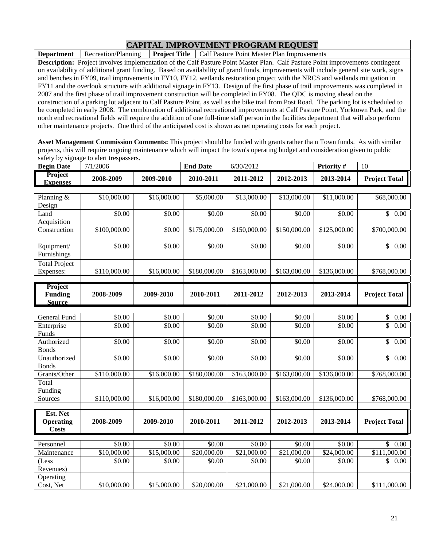**Department** Recreation/Planning **Project Title** Calf Pasture Point Master Plan Improvements

**Description:** Project involves implementation of the Calf Pasture Point Master Plan. Calf Pasture Point improvements contingent on availability of additional grant funding. Based on availability of grand funds, improvements will include general site work, signs and benches in FY09, trail improvements in FY10, FY12, wetlands restoration project with the NRCS and wetlands mitigation in FY11 and the overlook structure with additional signage in FY13. Design of the first phase of trail improvements was completed in 2007 and the first phase of trail improvement construction will be completed in FY08. The QDC is moving ahead on the construction of a parking lot adjacent to Calf Pasture Point, as well as the bike trail from Post Road. The parking lot is scheduled to be completed in early 2008. The combination of additional recreational improvements at Calf Pasture Point, Yorktown Park, and the north end recreational fields will require the addition of one full-time staff person in the facilities department that will also perform other maintenance projects. One third of the anticipated cost is shown as net operating costs for each project.

**Asset Management Commission Comments:** This project should be funded with grants rather tha n Town funds. As with similar projects, this will require ongoing maintenance which will impact the town's operating budget and consideration given to public safety by signage to alert trespassers.

| <b>Begin Date</b>                            | 7/1/2006         |                         | <b>End Date</b>  | 6/30/2012                |                  | Priority $#$     | 10                       |
|----------------------------------------------|------------------|-------------------------|------------------|--------------------------|------------------|------------------|--------------------------|
| Project<br><b>Expenses</b>                   | 2008-2009        | 2009-2010               | 2010-2011        | 2011-2012                | 2012-2013        | 2013-2014        | <b>Project Total</b>     |
| Planning &<br>Design                         | \$10,000.00      | \$16,000.00             | \$5,000.00       | \$13,000.00              | \$13,000.00      | \$11,000.00      | \$68,000.00              |
| Land<br>Acquisition                          | \$0.00           | \$0.00                  | \$0.00           | \$0.00                   | \$0.00           | \$0.00           | \$0.00                   |
| Construction                                 | \$100,000.00     | \$0.00                  | \$175,000.00     | \$150,000.00             | \$150,000.00     | \$125,000.00     | \$700,000.00             |
| Equipment/<br>Furnishings                    | \$0.00           | \$0.00                  | \$0.00           | \$0.00                   | \$0.00           | \$0.00           | \$0.00                   |
| <b>Total Project</b><br>Expenses:            | \$110,000.00     | \$16,000.00             | \$180,000.00     | \$163,000.00             | \$163,000.00     | \$136,000.00     | \$768,000.00             |
| Project<br><b>Funding</b><br><b>Source</b>   | 2008-2009        | 2009-2010               | 2010-2011        | 2011-2012                | 2012-2013        | 2013-2014        | <b>Project Total</b>     |
|                                              |                  |                         |                  |                          |                  |                  |                          |
| <b>General Fund</b><br>Enterprise<br>Funds   | \$0.00<br>\$0.00 | \$0.00<br>\$0.00        | \$0.00<br>\$0.00 | \$0.00<br>\$0.00         | \$0.00<br>\$0.00 | \$0.00<br>\$0.00 | \$<br>0.00<br>\$<br>0.00 |
| Authorized<br><b>Bonds</b>                   | \$0.00           | \$0.00                  | \$0.00           | \$0.00                   | \$0.00           | \$0.00           | \$<br>0.00               |
| Unauthorized<br><b>Bonds</b>                 | \$0.00           | \$0.00                  | \$0.00           | \$0.00                   | \$0.00           | \$0.00           | \$0.00                   |
| Grants/Other                                 | \$110,000.00     | \$16,000.00             | \$180,000.00     | $\overline{$}163,000.00$ | \$163,000.00     | \$136,000.00     | \$768,000.00             |
| Total<br>Funding                             |                  |                         |                  |                          |                  |                  |                          |
| Sources                                      | \$110,000.00     | \$16,000.00             | \$180,000.00     | \$163,000.00             | \$163,000.00     | \$136,000.00     | \$768,000.00             |
| Est. Net<br><b>Operating</b><br><b>Costs</b> | 2008-2009        | 2009-2010               | 2010-2011        | 2011-2012                | 2012-2013        | 2013-2014        | <b>Project Total</b>     |
| Personnel                                    | \$0.00           | \$0.00                  | \$0.00           | \$0.00                   | \$0.00           | \$0.00           | \$0.00                   |
| Maintenance                                  | \$10,000.00      | $\overline{$15,000.00}$ | \$20,000.00      | \$21,000.00              | \$21,000.00      | \$24,000.00      | \$111,000.00             |
| (Less<br>Revenues)                           | \$0.00           | \$0.00                  | \$0.00           | \$0.00                   | \$0.00           | \$0.00           | \$0.00                   |
| Operating<br>Cost, Net                       | \$10,000.00      | \$15,000.00             | \$20,000.00      | \$21,000.00              | \$21,000.00      | \$24,000.00      | \$111,000.00             |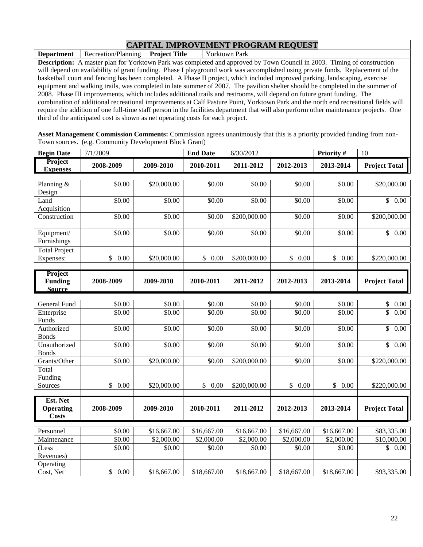**Department** Recreation/Planning **Project Title** Yorktown Park **Description:** A master plan for Yorktown Park was completed and approved by Town Council in 2003. Timing of construction will depend on availability of grant funding. Phase I playground work was accomplished using private funds. Replacement of the basketball court and fencing has been completed. A Phase II project, which included improved parking, landscaping, exercise equipment and walking trails, was completed in late summer of 2007. The pavilion shelter should be completed in the summer of 2008. Phase III improvements, which includes additional trails and restrooms, will depend on future grant funding. The combination of additional recreational improvements at Calf Pasture Point, Yorktown Park and the north end recreational fields will require the addition of one full-time staff person in the facilities department that will also perform other maintenance projects. One third of the anticipated cost is shown as net operating costs for each project.

**Asset Management Commission Comments:** Commission agrees unanimously that this is a priority provided funding from non-Town sources. (e.g. Community Development Block Grant)

| <b>Begin Date</b>                          | 7/1/2009             |                        | <b>End Date</b> | 6/30/2012    |             | Priority #  | 10                   |
|--------------------------------------------|----------------------|------------------------|-----------------|--------------|-------------|-------------|----------------------|
| Project<br><b>Expenses</b>                 | 2008-2009            | 2009-2010              | 2010-2011       | 2011-2012    | 2012-2013   | 2013-2014   | <b>Project Total</b> |
| Planning &<br>Design                       | \$0.00               | \$20,000.00            | \$0.00          | \$0.00       | \$0.00      | \$0.00      | \$20,000.00          |
| Land<br>Acquisition                        | \$0.00               | \$0.00                 | \$0.00          | \$0.00       | \$0.00      | \$0.00      | \$0.00               |
| Construction                               | \$0.00               | \$0.00                 | \$0.00          | \$200,000.00 | \$0.00      | \$0.00      | \$200,000.00         |
| Equipment/<br>Furnishings                  | \$0.00               | \$0.00                 | \$0.00          | \$0.00       | \$0.00      | \$0.00      | $\mathbb{S}$<br>0.00 |
| Total Project<br>Expenses:                 | $\mathbb{S}$<br>0.00 | \$20,000.00            | \$0.00          | \$200,000.00 | \$0.00      | \$<br>0.00  | \$220,000.00         |
| Project<br><b>Funding</b><br><b>Source</b> | 2008-2009            | 2009-2010              | 2010-2011       | 2011-2012    | 2012-2013   | 2013-2014   | <b>Project Total</b> |
|                                            |                      |                        |                 |              |             |             |                      |
| <b>General Fund</b>                        | \$0.00               | \$0.00                 | \$0.00          | \$0.00       | \$0.00      | \$0.00      | \$<br>0.00           |
| Enterprise<br>Funds                        | \$0.00               | \$0.00                 | \$0.00          | \$0.00       | \$0.00      | \$0.00      | \$<br>0.00           |
| Authorized<br><b>Bonds</b>                 | \$0.00               | \$0.00                 | \$0.00          | \$0.00       | \$0.00      | \$0.00      | $\mathbb{S}$<br>0.00 |
| Unauthorized<br><b>Bonds</b>               | \$0.00               | \$0.00                 | \$0.00          | \$0.00       | \$0.00      | \$0.00      | $\mathbb{S}$<br>0.00 |
| Grants/Other                               | \$0.00               | \$20,000.00            | \$0.00          | \$200,000.00 | \$0.00      | \$0.00      | \$220,000.00         |
| Total                                      |                      |                        |                 |              |             |             |                      |
| Funding                                    |                      |                        |                 |              |             |             |                      |
| Sources                                    | \$<br>0.00           | \$20,000.00            | \$<br>0.00      | \$200,000.00 | \$<br>0.00  | \$<br>0.00  | \$220,000.00         |
| Est. Net                                   |                      |                        |                 |              |             |             |                      |
| <b>Operating</b><br><b>Costs</b>           | 2008-2009            | 2009-2010              | 2010-2011       | 2011-2012    | 2012-2013   | 2013-2014   | <b>Project Total</b> |
| Personnel                                  | \$0.00               | \$16,667.00            | \$16,667.00     | \$16,667.00  | \$16,667.00 | \$16,667.00 | \$83,335.00          |
| Maintenance                                | \$0.00               | $\overline{$2,000.00}$ | \$2,000.00      | \$2,000.00   | \$2,000.00  | \$2,000.00  | \$10,000.00          |
| (Less                                      | \$0.00               | \$0.00                 | \$0.00          | \$0.00       | \$0.00      | \$0.00      | \$<br>0.00           |
| Revenues)                                  |                      |                        |                 |              |             |             |                      |
| Operating                                  |                      |                        |                 |              |             |             |                      |
| Cost, Net                                  | 0.00<br>$\mathbb{S}$ | \$18,667.00            | \$18,667.00     | \$18,667.00  | \$18,667.00 | \$18,667.00 | \$93,335.00          |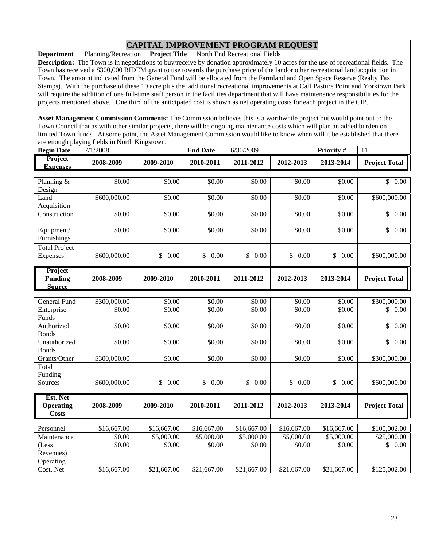**Department** Planning/Recreation **Project Title** North End Recreational Fields

**Description:** The Town is in negotiations to buy/receive by donation approximately 10 acres for the use of recreational fields. The Town has received a \$300,000 RIDEM grant to use towards the purchase price of the landor other recreational land acquisition in Town. The amount indicated from the General Fund will be allocated from the Farmland and Open Space Reserve (Realty Tax Stamps). With the purchase of these 10 acre plus the additional recreational improvements at Calf Pasture Point and Yorktown Park will require the addition of one full-time staff person in the facilities department that will have maintenance responsibilities for the projects mentioned above. One third of the anticipated cost is shown as net operating costs for each project in the CIP.

**Asset Management Commission Comments:** The Commission believes this is a worthwhile project but would point out to the Town Council that as with other similar projects, there will be ongoing maintenance costs which will plan an added burden on limited Town funds. At some point, the Asset Management Commission would like to know when will it be established that there are enough playing fields in North Kingstown.

| <b>Begin Date</b>                 | 7/1/2008     |            | <b>End Date</b> | 6/30/2009  |                        | <b>Priority#</b> | 11                   |
|-----------------------------------|--------------|------------|-----------------|------------|------------------------|------------------|----------------------|
| <b>Project</b><br><b>Expenses</b> | 2008-2009    | 2009-2010  | 2010-2011       | 2011-2012  | 2012-2013              | 2013-2014        | <b>Project Total</b> |
|                                   |              |            |                 |            |                        |                  |                      |
| Planning $&$                      | \$0.00       | \$0.00     | \$0.00          | \$0.00     | \$0.00                 | \$0.00           | $0.00\,$<br>\$       |
| Design                            |              |            |                 |            |                        |                  |                      |
| Land                              | \$600,000.00 | \$0.00     | \$0.00          | \$0.00     | \$0.00                 | \$0.00           | \$600,000.00         |
| Acquisition                       |              |            |                 |            |                        |                  |                      |
| Construction                      | \$0.00       | \$0.00     | \$0.00          | \$0.00     | \$0.00                 | \$0.00           | \$<br>0.00           |
|                                   |              |            |                 |            |                        |                  |                      |
| Equipment/                        | \$0.00       | \$0.00     | \$0.00          | \$0.00     | \$0.00                 | \$0.00           | 0.00<br>\$           |
| Furnishings                       |              |            |                 |            |                        |                  |                      |
| <b>Total Project</b>              |              |            |                 |            |                        |                  |                      |
| Expenses:                         | \$600,000.00 | 0.00<br>\$ | \$<br>0.00      | \$<br>0.00 | $\mathbb{S}^-$<br>0.00 | \$<br>0.00       | \$600,000.00         |
|                                   |              |            |                 |            |                        |                  |                      |
| <b>Project</b><br><b>Funding</b>  | 2008-2009    | 2009-2010  | 2010-2011       | 2011-2012  | 2012-2013              | 2013-2014        | <b>Project Total</b> |
| <b>Source</b>                     |              |            |                 |            |                        |                  |                      |

| General Fund     | \$300,000.00 | \$0.00      | \$0.00      | \$0.00      | \$0.00      | \$0.00      | \$300,000.00           |
|------------------|--------------|-------------|-------------|-------------|-------------|-------------|------------------------|
| Enterprise       | \$0.00       | \$0.00      | \$0.00      | \$0.00      | \$0.00      | \$0.00      | \$<br>0.00             |
| Funds            |              |             |             |             |             |             |                        |
| Authorized       | \$0.00       | \$0.00      | \$0.00      | \$0.00      | \$0.00      | \$0.00      | $\mathbb{S}^-$<br>0.00 |
| <b>Bonds</b>     |              |             |             |             |             |             |                        |
| Unauthorized     | \$0.00       | \$0.00      | \$0.00      | \$0.00      | \$0.00      | \$0.00      | \$<br>0.00             |
| <b>Bonds</b>     |              |             |             |             |             |             |                        |
| Grants/Other     | \$300,000.00 | \$0.00      | \$0.00      | \$0.00      | \$0.00      | \$0.00      | \$300,000.00           |
| Total            |              |             |             |             |             |             |                        |
| Funding          |              |             |             |             |             |             |                        |
| Sources          | \$600,000.00 | \$<br>0.00  | \$<br>0.00  | \$<br>0.00  | \$<br>0.00  | \$<br>0.00  | \$600,000.00           |
|                  |              |             |             |             |             |             |                        |
|                  |              |             |             |             |             |             |                        |
| Est. Net         |              |             |             |             |             |             |                        |
| <b>Operating</b> | 2008-2009    | 2009-2010   | 2010-2011   | 2011-2012   | 2012-2013   | 2013-2014   | <b>Project Total</b>   |
| <b>Costs</b>     |              |             |             |             |             |             |                        |
|                  |              |             |             |             |             |             |                        |
| Personnel        | \$16,667.00  | \$16,667.00 | \$16,667.00 | \$16,667.00 | \$16,667.00 | \$16,667.00 | \$100,002.00           |
| Maintenance      | \$0.00       | \$5,000.00  | \$5,000.00  | \$5,000.00  | \$5,000.00  | \$5,000.00  | \$25,000.00            |
| (Less            | \$0.00       | \$0.00      | \$0.00      | \$0.00      | \$0.00      | \$0.00      | \$<br>0.00             |
| Revenues)        |              |             |             |             |             |             |                        |
| Operating        |              |             |             |             |             |             |                        |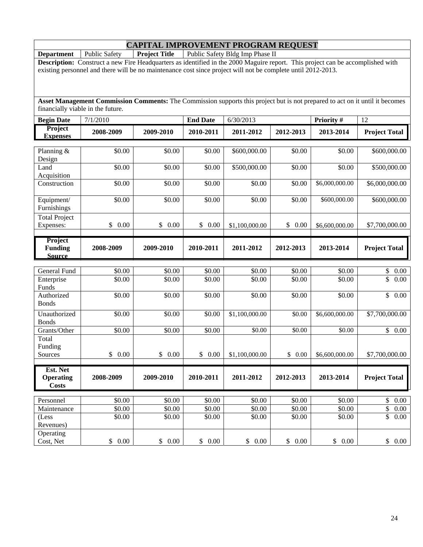| <b>Department</b>    | <b>Public Safety</b>                                                                                                           | <b>Project Title</b> |                 | Public Safety Bldg Imp Phase II |           |                |                      |
|----------------------|--------------------------------------------------------------------------------------------------------------------------------|----------------------|-----------------|---------------------------------|-----------|----------------|----------------------|
|                      | Description: Construct a new Fire Headquarters as identified in the 2000 Maguire report. This project can be accomplished with |                      |                 |                                 |           |                |                      |
|                      | existing personnel and there will be no maintenance cost since project will not be complete until 2012-2013.                   |                      |                 |                                 |           |                |                      |
|                      |                                                                                                                                |                      |                 |                                 |           |                |                      |
|                      |                                                                                                                                |                      |                 |                                 |           |                |                      |
|                      |                                                                                                                                |                      |                 |                                 |           |                |                      |
|                      | Asset Management Commission Comments: The Commission supports this project but is not prepared to act on it until it becomes   |                      |                 |                                 |           |                |                      |
|                      | financially viable in the future.                                                                                              |                      |                 |                                 |           |                |                      |
| <b>Begin Date</b>    | 7/1/2010                                                                                                                       |                      | <b>End Date</b> | 6/30/2013                       |           | Priority #     | 12                   |
| Project              |                                                                                                                                |                      |                 |                                 |           |                |                      |
| <b>Expenses</b>      | 2008-2009                                                                                                                      | 2009-2010            | 2010-2011       | 2011-2012                       | 2012-2013 | 2013-2014      | <b>Project Total</b> |
|                      |                                                                                                                                |                      |                 |                                 |           |                |                      |
| Planning &           | \$0.00                                                                                                                         | \$0.00               | \$0.00          | \$600,000.00                    | \$0.00    | \$0.00         | \$600,000.00         |
| Design               |                                                                                                                                |                      |                 |                                 |           |                |                      |
| Land                 | \$0.00                                                                                                                         | \$0.00               | \$0.00          | \$500,000.00                    | \$0.00    | \$0.00         | \$500,000.00         |
| Acquisition          |                                                                                                                                |                      |                 |                                 |           |                |                      |
| Construction         | \$0.00                                                                                                                         | \$0.00               | \$0.00          | \$0.00                          | \$0.00    | \$6,000,000.00 | \$6,000,000.00       |
|                      |                                                                                                                                |                      |                 |                                 |           |                |                      |
| Equipment/           | \$0.00                                                                                                                         | \$0.00               | \$0.00          | \$0.00                          | \$0.00    | \$600,000.00   | \$600,000.00         |
| Furnishings          |                                                                                                                                |                      |                 |                                 |           |                |                      |
| <b>Total Project</b> |                                                                                                                                |                      |                 |                                 |           |                |                      |
| Expenses:            | \$<br>0.00                                                                                                                     | \$0.00               | \$0.00          | \$1,100,000.00                  | \$0.00    | \$6,600,000.00 | \$7,700,000.00       |
|                      |                                                                                                                                |                      |                 |                                 |           |                |                      |
| Project              |                                                                                                                                |                      |                 |                                 |           |                |                      |
| <b>Funding</b>       | 2008-2009                                                                                                                      | 2009-2010            | 2010-2011       | 2011-2012                       | 2012-2013 | 2013-2014      | <b>Project Total</b> |
| <b>Source</b>        |                                                                                                                                |                      |                 |                                 |           |                |                      |
|                      |                                                                                                                                |                      |                 |                                 |           |                |                      |
| General Fund         | \$0.00                                                                                                                         | \$0.00               | \$0.00          | \$0.00                          | \$0.00    | \$0.00         | \$<br>$0.00\,$       |
| Enterprise           | \$0.00                                                                                                                         | \$0.00               | \$0.00          | \$0.00                          | \$0.00    | \$0.00         | \$<br>0.00           |
| Funds                |                                                                                                                                |                      |                 |                                 |           |                |                      |
| Authorized           | \$0.00                                                                                                                         | \$0.00               | \$0.00          | \$0.00                          | \$0.00    | \$0.00         | $\overline{\$}$ 0.00 |
| <b>Bonds</b>         |                                                                                                                                |                      |                 |                                 |           |                |                      |
| Unauthorized         |                                                                                                                                | \$0.00               |                 | \$1,100,000.00                  | \$0.00    | \$6,600,000.00 |                      |
|                      | \$0.00                                                                                                                         |                      | \$0.00          |                                 |           |                | \$7,700,000.00       |
| <b>Bonds</b>         |                                                                                                                                |                      |                 |                                 |           |                |                      |
| Grants/Other         | \$0.00                                                                                                                         | \$0.00               | \$0.00          | \$0.00                          | \$0.00    | \$0.00         | \$0.00               |
| Total                |                                                                                                                                |                      |                 |                                 |           |                |                      |
| Funding              |                                                                                                                                |                      |                 |                                 |           |                |                      |
| Sources              | \$0.00                                                                                                                         | \$0.00               | \$0.00          | \$1,100,000.00                  | \$0.00    | \$6,600,000.00 | \$7,700,000.00       |
| Est. Net             |                                                                                                                                |                      |                 |                                 |           |                |                      |
|                      | 2008-2009                                                                                                                      | 2009-2010            |                 | 2011-2012                       | 2012-2013 | 2013-2014      |                      |
| <b>Operating</b>     |                                                                                                                                |                      | 2010-2011       |                                 |           |                | <b>Project Total</b> |
| <b>Costs</b>         |                                                                                                                                |                      |                 |                                 |           |                |                      |
| Personnel            | \$0.00                                                                                                                         | $\overline{$}0.00$   | \$0.00          | \$0.00                          | \$0.00    | \$0.00         | \$<br>$0.00\,$       |
| Maintenance          | \$0.00                                                                                                                         | \$0.00               | \$0.00          | \$0.00                          | \$0.00    | \$0.00         | \$<br>$0.00\,$       |
|                      | \$0.00                                                                                                                         | \$0.00               | \$0.00          | \$0.00                          | \$0.00    | \$0.00         | \$<br>$0.00\,$       |
| (Less<br>Revenues)   |                                                                                                                                |                      |                 |                                 |           |                |                      |
|                      |                                                                                                                                |                      |                 |                                 |           |                |                      |
| Operating            |                                                                                                                                |                      |                 |                                 |           |                |                      |
| Cost, Net            | $0.00\,$<br>$\frac{1}{2}$                                                                                                      | \$0.00               | \$0.00          | \$0.00                          | \$0.00    | \$0.00         | \$0.00               |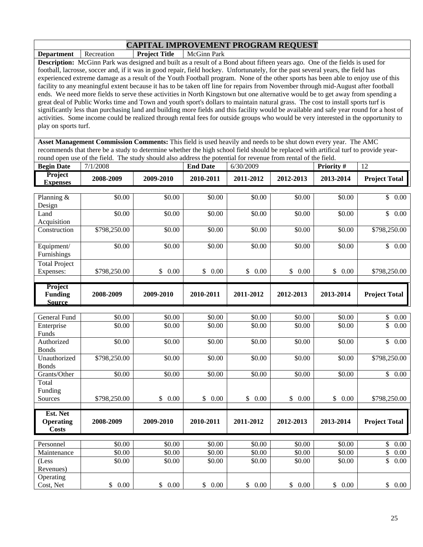**Department Recreation Project Title McGinn Park** 

**Description:** McGinn Park was designed and built as a result of a Bond about fifteen years ago. One of the fields is used for football, lacrosse, soccer and, if it was in good repair, field hockey. Unfortunately, for the past several years, the field has experienced extreme damage as a result of the Youth Football program. None of the other sports has been able to enjoy use of this facility to any meaningful extent because it has to be taken off line for repairs from November through mid-August after football ends. We need more fields to serve these activities in North Kingstown but one alternative would be to get away from spending a great deal of Public Works time and Town and youth sport's dollars to maintain natural grass. The cost to install sports turf is significantly less than purchasing land and building more fields and this facility would be available and safe year round for a host of activities. Some income could be realized through rental fees for outside groups who would be very interested in the opportunity to play on sports turf.

**Asset Management Commission Comments:** This field is used heavily and needs to be shut down every year. The AMC recommends that there be a study to determine whether the high school field should be replaced with artifical turf to provide yearround open use of the field. The study should also address the potential for revenue from rental of the field.

| <b>Begin Date</b>                 | 7/1/2008     |            | <b>End Date</b> | 6/30/2009      |            | <b>Priority#</b> | 12                         |
|-----------------------------------|--------------|------------|-----------------|----------------|------------|------------------|----------------------------|
| <b>Project</b><br><b>Expenses</b> | 2008-2009    | 2009-2010  | 2010-2011       | 2011-2012      | 2012-2013  | 2013-2014        | <b>Project Total</b>       |
|                                   |              |            |                 |                |            |                  |                            |
| Planning &                        | \$0.00       | \$0.00     | \$0.00          | \$0.00         | \$0.00     | \$0.00           | $\mathbb{S}^-$<br>$0.00\,$ |
| Design                            |              |            |                 |                |            |                  |                            |
| Land                              | \$0.00       | \$0.00     | \$0.00          | \$0.00         | \$0.00     | \$0.00           | \$<br>0.00                 |
| Acquisition                       |              |            |                 |                |            |                  |                            |
| Construction                      | \$798,250.00 | \$0.00     | \$0.00          | \$0.00         | \$0.00     | \$0.00           | \$798,250.00               |
|                                   |              |            |                 |                |            |                  |                            |
| Equipment/                        | \$0.00       | \$0.00     | \$0.00          | \$0.00         | \$0.00     | \$0.00           | \$<br>0.00                 |
| Furnishings                       |              |            |                 |                |            |                  |                            |
| <b>Total Project</b>              |              |            |                 |                |            |                  |                            |
| Expenses:                         | \$798,250.00 | 0.00<br>\$ | \$<br>0.00      | \$<br>$0.00\,$ | \$<br>0.00 | \$<br>0.00       | \$798,250.00               |
|                                   |              |            |                 |                |            |                  |                            |
| Project                           |              |            |                 |                |            |                  |                            |
| <b>Funding</b>                    | 2008-2009    | 2009-2010  | 2010-2011       | 2011-2012      | 2012-2013  | 2013-2014        | <b>Project Total</b>       |
| <b>Source</b>                     |              |            |                 |                |            |                  |                            |
|                                   |              |            |                 |                |            |                  |                            |
| General Fund                      | \$0.00       | \$0.00     | \$0.00          | \$0.00         | \$0.00     | \$0.00           | \$<br>0.00                 |
| Enterprise                        | \$0.00       | \$0.00     | \$0.00          | \$0.00         | \$0.00     | \$0.00           | \$<br>0.00                 |
| $E_{\rm{true}}$ de                |              |            |                 |                |            |                  |                            |

| Enterprise       | \$0.00       | \$0.00     | \$0.00     | \$0.00     | \$0.00     | \$0.00     | \$<br>0.00           |
|------------------|--------------|------------|------------|------------|------------|------------|----------------------|
| Funds            |              |            |            |            |            |            |                      |
| Authorized       | \$0.00       | \$0.00     | \$0.00     | \$0.00     | \$0.00     | \$0.00     | \$<br>0.00           |
| <b>Bonds</b>     |              |            |            |            |            |            |                      |
| Unauthorized     | \$798,250.00 | \$0.00     | \$0.00     | \$0.00     | \$0.00     | \$0.00     | \$798,250.00         |
| <b>Bonds</b>     |              |            |            |            |            |            |                      |
| Grants/Other     | \$0.00       | \$0.00     | \$0.00     | \$0.00     | \$0.00     | \$0.00     | \$<br>0.00           |
| Total            |              |            |            |            |            |            |                      |
| Funding          |              |            |            |            |            |            |                      |
| Sources          | \$798,250.00 | 0.00<br>\$ | \$<br>0.00 | \$<br>0.00 | \$<br>0.00 | \$<br>0.00 | \$798,250.00         |
|                  |              |            |            |            |            |            |                      |
|                  |              |            |            |            |            |            |                      |
| Est. Net         |              |            |            |            |            |            |                      |
| <b>Operating</b> | 2008-2009    | 2009-2010  | 2010-2011  | 2011-2012  | 2012-2013  | 2013-2014  | <b>Project Total</b> |
| Costs            |              |            |            |            |            |            |                      |
|                  |              |            |            |            |            |            |                      |
| Personnel        | \$0.00       | \$0.00     | \$0.00     | \$0.00     | \$0.00     | \$0.00     | \$<br>0.00           |
| Maintenance      | \$0.00       | \$0.00     | \$0.00     | \$0.00     | \$0.00     | \$0.00     | \$<br>0.00           |
| (Less            | \$0.00       | \$0.00     | \$0.00     | \$0.00     | \$0.00     | \$0.00     | \$<br>0.00           |
| Revenues)        |              |            |            |            |            |            |                      |
| Operating        |              |            |            |            |            |            |                      |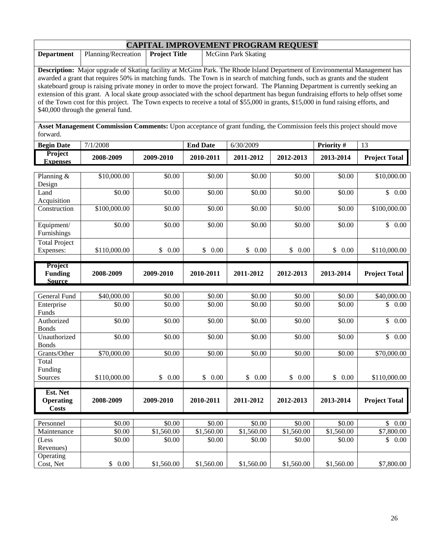| <b>CAPITAL IMPROVEMENT PROGRAM REQUEST</b> |                                     |  |                                                                                                                            |  |  |  |  |  |
|--------------------------------------------|-------------------------------------|--|----------------------------------------------------------------------------------------------------------------------------|--|--|--|--|--|
| <b>Department</b>                          | Planning/Recreation   Project Title |  | McGinn Park Skating                                                                                                        |  |  |  |  |  |
|                                            |                                     |  |                                                                                                                            |  |  |  |  |  |
|                                            |                                     |  | Description: Major upgrade of Skating facility at McGinn Park. The Rhode Island Department of Environmental Management has |  |  |  |  |  |

awarded a grant that requires 50% in matching funds. The Town is in search of matching funds, such as grants and the student skateboard group is raising private money in order to move the project forward. The Planning Department is currently seeking an extension of this grant. A local skate group associated with the school department has begun fundraising efforts to help offset some of the Town cost for this project. The Town expects to receive a total of \$55,000 in grants, \$15,000 in fund raising efforts, and \$40,000 through the general fund.

**Asset Management Commission Comments:** Upon acceptance of grant funding, the Commission feels this project should move forward.

| <b>Begin Date</b>                            | 7/1/2008              |                  | <b>End Date</b>              | 6/30/2009                    |                        | Priority #           | 13                    |
|----------------------------------------------|-----------------------|------------------|------------------------------|------------------------------|------------------------|----------------------|-----------------------|
| Project<br><b>Expenses</b>                   | 2008-2009             | 2009-2010        | 2010-2011                    | 2011-2012                    | 2012-2013              | 2013-2014            | <b>Project Total</b>  |
| Planning &<br>Design                         | \$10,000.00           | \$0.00           | \$0.00                       | \$0.00                       | \$0.00                 | \$0.00               | \$10,000.00           |
| Land<br>Acquisition                          | \$0.00                | \$0.00           | \$0.00                       | \$0.00                       | \$0.00                 | \$0.00               | \$0.00                |
| Construction                                 | \$100,000.00          | \$0.00           | \$0.00                       | \$0.00                       | \$0.00                 | \$0.00               | \$100,000.00          |
| Equipment/<br>Furnishings                    | \$0.00                | \$0.00           | \$0.00                       | \$0.00                       | \$0.00                 | \$0.00               | \$0.00                |
| <b>Total Project</b><br>Expenses:            | \$110,000.00          | \$<br>0.00       | \$<br>0.00                   | \$<br>0.00                   | \$0.00                 | \$<br>0.00           | \$110,000.00          |
| Project<br><b>Funding</b><br><b>Source</b>   | 2008-2009             | 2009-2010        | 2010-2011                    | 2011-2012                    | 2012-2013              | 2013-2014            | <b>Project Total</b>  |
|                                              |                       |                  |                              |                              |                        |                      |                       |
| General Fund<br>Enterprise<br>Funds          | \$40,000.00<br>\$0.00 | \$0.00<br>\$0.00 | $\overline{$}0.00$<br>\$0.00 | $\overline{$}0.00$<br>\$0.00 | \$0.00<br>\$0.00       | \$0.00<br>\$0.00     | \$40,000.00<br>\$0.00 |
| Authorized<br><b>Bonds</b>                   | \$0.00                | \$0.00           | \$0.00                       | \$0.00                       | \$0.00                 | \$0.00               | $\mathbb{S}$<br>0.00  |
| Unauthorized<br><b>Bonds</b>                 | \$0.00                | \$0.00           | \$0.00                       | \$0.00                       | \$0.00                 | \$0.00               | $\mathbb{S}$<br>0.00  |
| Grants/Other                                 | \$70,000.00           | \$0.00           | \$0.00                       | \$0.00                       | \$0.00                 | \$0.00               | \$70,000.00           |
| Total<br>Funding<br>Sources                  | \$110,000.00          | \$<br>0.00       | $\mathbb{S}$<br>0.00         | \$<br>0.00                   | \$0.00                 | $\mathbb{S}$<br>0.00 | \$110,000.00          |
|                                              |                       |                  |                              |                              |                        |                      |                       |
| Est. Net<br><b>Operating</b><br><b>Costs</b> | 2008-2009             | 2009-2010        | 2010-2011                    | 2011-2012                    | 2012-2013              | 2013-2014            | <b>Project Total</b>  |
| Personnel                                    | \$0.00                | \$0.00           | \$0.00                       | \$0.00                       | \$0.00                 | \$0.00               | $\mathbb{S}$<br>0.00  |
| Maintenance                                  | \$0.00                | \$1,560.00       | \$1,560.00                   | \$1,560.00                   | $\overline{$1,560.00}$ | \$1,560.00           | \$7,800.00            |
| (Less<br>Revenues)                           | \$0.00                | \$0.00           | \$0.00                       | \$0.00                       | \$0.00                 | \$0.00               | \$0.00                |
| Operating<br>Cost, Net                       | \$0.00                | \$1,560.00       | \$1,560.00                   | \$1,560.00                   | \$1,560.00             | \$1,560.00           | \$7,800.00            |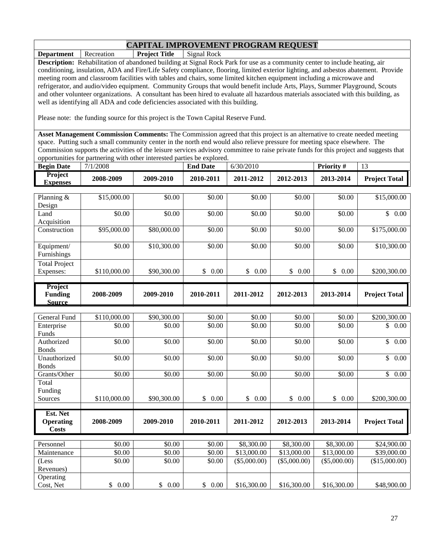**Department** Recreation **Project Title** Signal Rock

**Description:** Rehabilitation of abandoned building at Signal Rock Park for use as a community center to include heating, air conditioning, insulation, ADA and Fire/Life Safety compliance, flooring, limited exterior lighting, and asbestos abatement. Provide meeting room and classroom facilities with tables and chairs, some limited kitchen equipment including a microwave and refrigerator, and audio/video equipment. Community Groups that would benefit include Arts, Plays, Summer Playground, Scouts and other volunteer organizations. A consultant has been hired to evaluate all hazardous materials associated with this building, as well as identifying all ADA and code deficiencies associated with this building.

Please note: the funding source for this project is the Town Capital Reserve Fund.

**Asset Management Commission Comments:** The Commission agreed that this project is an alternative to create needed meeting space. Putting such a small community center in the north end would also relieve pressure for meeting space elsewhere. The Commission supports the activities of the leisure services advisory committee to raise private funds for this project and suggests that opportunities for partnering with other interested parties be explored.

| <b>Begin Date</b>                                 | 7/1/2008     |             | <b>End Date</b> | 6/30/2010  |            | Priority#  | 13                       |
|---------------------------------------------------|--------------|-------------|-----------------|------------|------------|------------|--------------------------|
| <b>Project</b><br><b>Expenses</b>                 | 2008-2009    | 2009-2010   | 2010-2011       | 2011-2012  | 2012-2013  | 2013-2014  | <b>Project Total</b>     |
|                                                   |              |             |                 |            |            |            |                          |
| Planning $&$<br>Design                            | \$15,000.00  | \$0.00      | \$0.00          | \$0.00     | \$0.00     | \$0.00     | \$15,000.00              |
| Land<br>Acquisition                               | \$0.00       | \$0.00      | \$0.00          | \$0.00     | \$0.00     | \$0.00     | $\mathbb{S}$<br>$0.00\,$ |
| Construction                                      | \$95,000.00  | \$80,000.00 | \$0.00          | \$0.00     | \$0.00     | \$0.00     | \$175,000.00             |
| Equipment/<br>Furnishings                         | \$0.00       | \$10,300.00 | \$0.00          | \$0.00     | \$0.00     | \$0.00     | \$10,300.00              |
| <b>Total Project</b>                              |              |             |                 |            |            |            |                          |
| Expenses:                                         | \$110,000.00 | \$90,300.00 | \$<br>0.00      | \$<br>0.00 | \$<br>0.00 | \$<br>0.00 | \$200,300.00             |
|                                                   |              |             |                 |            |            |            |                          |
| <b>Project</b><br><b>Funding</b><br><b>Source</b> | 2008-2009    | 2009-2010   | 2010-2011       | 2011-2012  | 2012-2013  | 2013-2014  | <b>Project Total</b>     |
|                                                   |              |             |                 |            |            |            |                          |

| General Fund           | \$110,000.00 | \$90,300.00 | \$0.00     | \$0.00         | \$0.00         | \$0.00         | \$200,300.00         |
|------------------------|--------------|-------------|------------|----------------|----------------|----------------|----------------------|
| Enterprise             | \$0.00       | \$0.00      | \$0.00     | \$0.00         | \$0.00         | \$0.00         | \$<br>0.00           |
| Funds                  |              |             |            |                |                |                |                      |
| Authorized             | \$0.00       | \$0.00      | \$0.00     | \$0.00         | \$0.00         | \$0.00         | \$<br>0.00           |
| <b>Bonds</b>           |              |             |            |                |                |                |                      |
| Unauthorized           | \$0.00       | \$0.00      | \$0.00     | \$0.00         | \$0.00         | \$0.00         | \$<br>0.00           |
| <b>Bonds</b>           |              |             |            |                |                |                |                      |
| Grants/Other           | \$0.00       | \$0.00      | \$0.00     | \$0.00         | \$0.00         | \$0.00         | \$<br>0.00           |
| Total                  |              |             |            |                |                |                |                      |
| Funding                |              |             |            |                |                |                |                      |
| Sources                | \$110,000.00 | \$90,300.00 | \$<br>0.00 | \$<br>0.00     | \$<br>0.00     | \$<br>0.00     | \$200,300.00         |
|                        |              |             |            |                |                |                |                      |
|                        |              |             |            |                |                |                |                      |
| Est. Net               |              |             |            |                |                |                |                      |
| <b>Operating</b>       | 2008-2009    | 2009-2010   | 2010-2011  | 2011-2012      | 2012-2013      | 2013-2014      | <b>Project Total</b> |
| Costs                  |              |             |            |                |                |                |                      |
|                        |              |             |            |                |                |                |                      |
| Personnel              | \$0.00       | \$0.00      | \$0.00     | \$8,300.00     | \$8,300.00     | \$8,300.00     | \$24,900.00          |
| Maintenance            | \$0.00       | \$0.00      | \$0.00     | \$13,000.00    | \$13,000.00    | \$13,000.00    | \$39,000.00          |
| (Less                  | \$0.00       | \$0.00      | \$0.00     | $(\$5,000.00)$ | $(\$5,000.00)$ | $(\$5,000.00)$ | (\$15,000.00)        |
| Revenues)              |              |             |            |                |                |                |                      |
| Operating<br>Cost, Net | 0.00<br>\$   | 0.00<br>\$  | \$<br>0.00 | \$16,300.00    | \$16,300.00    | \$16,300.00    | \$48,900.00          |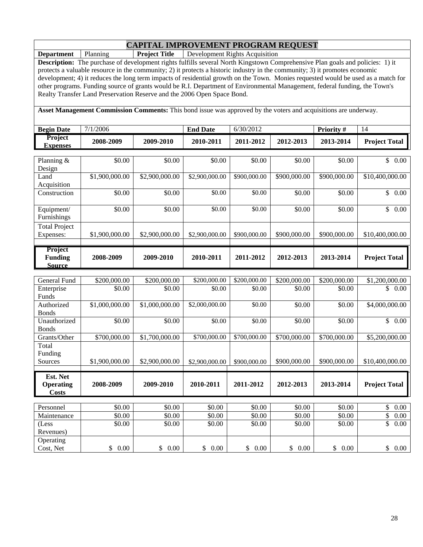**Department** Planning **Project Title** Development Rights Acquisition

**Description:** The purchase of development rights fulfills several North Kingstown Comprehensive Plan goals and policies: 1) it protects a valuable resource in the community; 2) it protects a historic industry in the community; 3) it promotes economic development; 4) it reduces the long term impacts of residential growth on the Town. Monies requested would be used as a match for other programs. Funding source of grants would be R.I. Department of Environmental Management, federal funding, the Town's Realty Transfer Land Preservation Reserve and the 2006 Open Space Bond.

**Asset Management Commission Comments:** This bond issue was approved by the voters and acquisitions are underway.

| <b>Begin Date</b>                            | 7/1/2006       |                | <b>End Date</b>            | 6/30/2012    |              | Priority #   | 14                              |
|----------------------------------------------|----------------|----------------|----------------------------|--------------|--------------|--------------|---------------------------------|
| Project<br><b>Expenses</b>                   | 2008-2009      | 2009-2010      | 2010-2011                  | 2011-2012    | 2012-2013    | 2013-2014    | <b>Project Total</b>            |
| Planning &<br>Design                         | \$0.00         | \$0.00         | \$0.00                     | \$0.00       | \$0.00       | \$0.00       | $\mathbb{S}^-$<br>0.00          |
| Land<br>Acquisition                          | \$1,900,000.00 | \$2,900,000.00 | \$2,900,000.00             | \$900,000.00 | \$900,000.00 | \$900,000.00 | $\overline{$10,400,000.00}$     |
| Construction                                 | \$0.00         | \$0.00         | \$0.00                     | \$0.00       | \$0.00       | \$0.00       | $\mathbb{S}$<br>0.00            |
| Equipment/<br>Furnishings                    | \$0.00         | \$0.00         | \$0.00                     | \$0.00       | \$0.00       | \$0.00       | $\mathbb{S}$<br>0.00            |
| <b>Total Project</b><br>Expenses:            | \$1,900,000.00 | \$2,900,000.00 | \$2,900,000.00             | \$900,000.00 | \$900,000.00 | \$900,000.00 | \$10,400,000.00                 |
| Project<br><b>Funding</b><br><b>Source</b>   | 2008-2009      | 2009-2010      | 2010-2011                  | 2011-2012    | 2012-2013    | 2013-2014    | <b>Project Total</b>            |
| <b>General Fund</b>                          | \$200,000.00   | \$200,000.00   | \$200,000.00               | \$200,000.00 | \$200,000.00 | \$200,000.00 | \$1,200,000.00                  |
| Enterprise<br>Funds                          | \$0.00         | \$0.00         | \$0.00                     | \$0.00       | \$0.00       | \$0.00       | \$0.00                          |
| Authorized<br><b>Bonds</b>                   | \$1,000,000.00 | \$1,000,000.00 | $\overline{$2,000,000.00}$ | \$0.00       | \$0.00       | \$0.00       | \$4,000,000.00                  |
| Unauthorized<br><b>Bonds</b>                 | \$0.00         | \$0.00         | \$0.00                     | \$0.00       | \$0.00       | \$0.00       | $\overline{\mathbb{S}}$<br>0.00 |
| Grants/Other<br>Total                        | \$700,000.00   | \$1,700,000.00 | \$700,000.00               | \$700,000.00 | \$700,000.00 | \$700,000.00 | \$5,200,000.00                  |
| Funding<br>Sources                           | \$1,900,000.00 | \$2,900,000.00 | \$2,900,000.00             | \$900,000.00 | \$900,000.00 | \$900,000.00 | \$10,400,000.00                 |
| Est. Net<br><b>Operating</b><br><b>Costs</b> | 2008-2009      | 2009-2010      | 2010-2011                  | 2011-2012    | 2012-2013    | 2013-2014    | <b>Project Total</b>            |
| Personnel                                    | \$0.00         | \$0.00         | \$0.00                     | \$0.00       | \$0.00       | \$0.00       | \$<br>$0.00\,$                  |
| Maintenance                                  | \$0.00         | \$0.00         | \$0.00                     | \$0.00       | \$0.00       | \$0.00       | \$<br>0.00                      |
| (Less<br>Revenues)                           | \$0.00         | \$0.00         | \$0.00                     | \$0.00       | \$0.00       | \$0.00       | \$<br>0.00                      |
| Operating<br>Cost, Net                       | \$0.00         | \$0.00         | \$0.00                     | \$0.00       | \$0.00       | \$0.00       | \$0.00                          |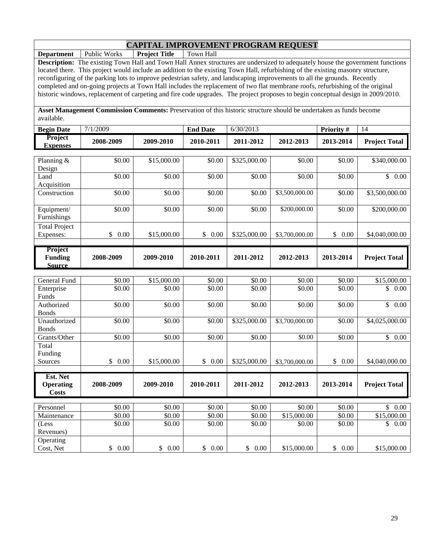**Department** Public Works **Project Title** Town Hall

**Description:** The existing Town Hall and Town Hall Annex structures are undersized to adequately house the government functions located there. This project would include an addition to the existing Town Hall, refurbishing of the existing masonry structure, reconfiguring of the parking lots to improve pedestrian safety, and landscaping improvements to all the grounds. Recently completed and on-going projects at Town Hall includes the replacement of two flat membrane roofs, refurbishing of the original historic windows, replacement of carpeting and fire code upgrades. The project proposes to begin conceptual design in 2009/2010.

**Asset Management Commission Comments:** Preservation of this historic structure should be undertaken as funds become available.

| <b>Begin Date</b>                            | 7/1/2009             |             | <b>End Date</b>      | 6/30/2013    |                | Priority #           | 14                   |
|----------------------------------------------|----------------------|-------------|----------------------|--------------|----------------|----------------------|----------------------|
| Project<br><b>Expenses</b>                   | 2008-2009            | 2009-2010   | 2010-2011            | 2011-2012    | 2012-2013      | 2013-2014            | <b>Project Total</b> |
| Planning &                                   | \$0.00               | \$15,000.00 | \$0.00               | \$325,000.00 | \$0.00         | \$0.00               | \$340,000.00         |
| Design                                       |                      |             |                      |              |                |                      |                      |
| Land                                         | \$0.00               | \$0.00      | \$0.00               | \$0.00       | \$0.00         | \$0.00               | \$0.00               |
| Acquisition                                  |                      |             |                      |              |                |                      |                      |
| Construction                                 | \$0.00               | \$0.00      | \$0.00               | \$0.00       | \$3,500,000.00 | \$0.00               | \$3,500,000.00       |
| Equipment/                                   | \$0.00               | \$0.00      | \$0.00               | \$0.00       | \$200,000.00   | \$0.00               | \$200,000.00         |
| Furnishings                                  |                      |             |                      |              |                |                      |                      |
| <b>Total Project</b>                         |                      |             |                      |              |                |                      |                      |
| Expenses:                                    | \$<br>0.00           | \$15,000.00 | \$0.00               | \$325,000.00 | \$3,700,000.00 | $\mathbb{S}$<br>0.00 | \$4,040,000.00       |
| Project                                      |                      |             |                      |              |                |                      |                      |
| <b>Funding</b><br><b>Source</b>              | 2008-2009            | 2009-2010   | 2010-2011            | 2011-2012    | 2012-2013      | 2013-2014            | <b>Project Total</b> |
|                                              |                      |             |                      |              |                |                      |                      |
| <b>General Fund</b>                          | \$0.00               | \$15,000.00 | \$0.00               | \$0.00       | \$0.00         | \$0.00               | \$15,000.00          |
| Enterprise                                   | \$0.00               | \$0.00      | \$0.00               | \$0.00       | \$0.00         | \$0.00               | $\mathbb{S}$<br>0.00 |
| Funds<br>Authorized                          | \$0.00               | \$0.00      | $\overline{$}0.00$   | \$0.00       | \$0.00         | \$0.00               | $\mathbb{S}$<br>0.00 |
| <b>Bonds</b>                                 |                      |             |                      |              |                |                      |                      |
| Unauthorized                                 | \$0.00               | \$0.00      | \$0.00               | \$325,000.00 | \$3,700,000.00 | \$0.00               | \$4,025,000.00       |
| <b>Bonds</b>                                 |                      |             |                      |              |                |                      |                      |
| Grants/Other                                 | \$0.00               | \$0.00      | \$0.00               | \$0.00       | \$0.00         | \$0.00               | \$0.00               |
| Total                                        |                      |             |                      |              |                |                      |                      |
| Funding<br>Sources                           | $\mathbb{S}$<br>0.00 | \$15,000.00 | $\mathbb{S}$<br>0.00 | \$325,000.00 | \$3,700,000.00 | \$0.00               | \$4,040,000.00       |
|                                              |                      |             |                      |              |                |                      |                      |
| Est. Net<br><b>Operating</b><br><b>Costs</b> | 2008-2009            | 2009-2010   | 2010-2011            | 2011-2012    | 2012-2013      | 2013-2014            | <b>Project Total</b> |
|                                              |                      |             |                      |              |                |                      |                      |
| Personnel                                    | \$0.00               | \$0.00      | \$0.00               | \$0.00       | \$0.00         | \$0.00               | $\mathbb{S}$<br>0.00 |
| Maintenance                                  | \$0.00               | \$0.00      | \$0.00               | \$0.00       | \$15,000.00    | \$0.00               | \$15,000.00          |
| (Less                                        | \$0.00               | \$0.00      | \$0.00               | \$0.00       | \$0.00         | \$0.00               | $\mathbb{S}$<br>0.00 |
| Revenues)                                    |                      |             |                      |              |                |                      |                      |
| Operating<br>Cost, Net                       | \$0.00               | \$<br>0.00  | \$<br>0.00           | \$0.00       | \$15,000.00    | \$0.00               | \$15,000.00          |
|                                              |                      |             |                      |              |                |                      |                      |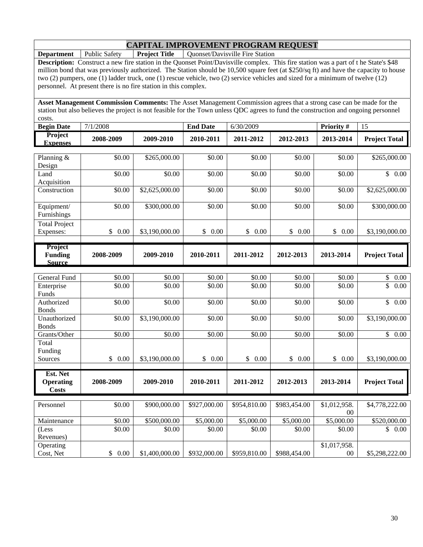**Department** Public Safety **Project Title** Quonset/Davisville Fire Station

**Description:** Construct a new fire station in the Quonset Point/Davisville complex. This fire station was a part of t he State's \$48 million bond that was previously authorized. The Station should be 10,500 square feet (at \$250/sq ft) and have the capacity to house two (2) pumpers, one (1) ladder truck, one (1) rescue vehicle, two (2) service vehicles and sized for a minimum of twelve (12) personnel. At present there is no fire station in this complex.

**Asset Management Commission Comments:** The Asset Management Commission agrees that a strong case can be made for the station but also believes the project is not feasible for the Town unless QDC agrees to fund the construction and ongoing personnel costs.

| costs.                            |           |           |                 |           |           |                  |                      |
|-----------------------------------|-----------|-----------|-----------------|-----------|-----------|------------------|----------------------|
| <b>Begin Date</b>                 | 7/1/2008  |           | <b>End Date</b> | 6/30/2009 |           | <b>Priority#</b> |                      |
| <b>Project</b><br><b>Expenses</b> | 2008-2009 | 2009-2010 | 2010-2011       | 2011-2012 | 2012-2013 | 2013-2014        | <b>Project Total</b> |
|                                   |           |           |                 |           |           |                  |                      |

| Planning $&$         | \$0.00                | \$265,000.00   | \$0.00       | \$0.00                | \$0.00       | \$0.00       | \$265,000.00                     |
|----------------------|-----------------------|----------------|--------------|-----------------------|--------------|--------------|----------------------------------|
| Design               |                       |                |              |                       |              |              |                                  |
| Land                 | \$0.00                | \$0.00         | \$0.00       | \$0.00                | \$0.00       | \$0.00       | $\overline{\mathcal{S}}$<br>0.00 |
| Acquisition          |                       |                |              |                       |              |              |                                  |
| Construction         | \$0.00                | \$2,625,000.00 | \$0.00       | \$0.00                | \$0.00       | \$0.00       | \$2,625,000.00                   |
| Equipment/           | \$0.00                | \$300,000.00   | \$0.00       | \$0.00                | \$0.00       | \$0.00       | \$300,000.00                     |
| Furnishings          |                       |                |              |                       |              |              |                                  |
|                      |                       |                |              |                       |              |              |                                  |
| <b>Total Project</b> |                       |                | 0.00         | 0.00                  |              |              |                                  |
| Expenses:            | \$<br>0.00            | \$3,190,000.00 | \$           | \$                    | \$<br>0.00   | \$<br>0.00   | \$3,190,000.00                   |
| Project              |                       |                |              |                       |              |              |                                  |
| <b>Funding</b>       | 2008-2009             | 2009-2010      | 2010-2011    | 2011-2012             | 2012-2013    | 2013-2014    | <b>Project Total</b>             |
| <b>Source</b>        |                       |                |              |                       |              |              |                                  |
|                      |                       |                |              |                       |              |              |                                  |
| General Fund         | \$0.00                | \$0.00         | \$0.00       | \$0.00                | \$0.00       | \$0.00       | \$<br>0.00                       |
| Enterprise           | \$0.00                | \$0.00         | \$0.00       | \$0.00                | \$0.00       | \$0.00       | \$<br>0.00                       |
| Funds                |                       |                |              |                       |              |              |                                  |
| Authorized           | \$0.00                | \$0.00         | \$0.00       | \$0.00                | \$0.00       | \$0.00       | $\mathbb{S}$<br>0.00             |
| <b>Bonds</b>         |                       |                |              |                       |              |              |                                  |
| Unauthorized         | \$0.00                | \$3,190,000.00 | \$0.00       | \$0.00                | \$0.00       | \$0.00       | \$3,190,000.00                   |
| <b>Bonds</b>         |                       |                |              |                       |              |              |                                  |
| Grants/Other         | \$0.00                | \$0.00         | \$0.00       | \$0.00                | \$0.00       | \$0.00       | $\mathbb{S}$<br>0.00             |
| Total                |                       |                |              |                       |              |              |                                  |
| Funding              |                       |                |              |                       |              |              |                                  |
| Sources              | $\mathsf{\$}$<br>0.00 | \$3,190,000.00 | 0.00<br>\$   | $\mathcal{S}$<br>0.00 | \$<br>0.00   | \$<br>0.00   | \$3,190,000.00                   |
| Est. Net             |                       |                |              |                       |              |              |                                  |
| <b>Operating</b>     | 2008-2009             | 2009-2010      | 2010-2011    | 2011-2012             | 2012-2013    | 2013-2014    | <b>Project Total</b>             |
| <b>Costs</b>         |                       |                |              |                       |              |              |                                  |
|                      |                       |                |              |                       |              |              |                                  |
| Personnel            | \$0.00                | \$900,000.00   | \$927,000.00 | \$954,810.00          | \$983,454.00 | \$1,012,958. | \$4,778,222.00                   |
|                      |                       |                |              |                       |              | $00\,$       |                                  |
| Maintenance          | \$0.00                | \$500,000.00   | \$5,000.00   | \$5,000.00            | \$5,000.00   | \$5,000.00   | \$520,000.00                     |
| (Less                | \$0.00                | \$0.00         | \$0.00       | \$0.00                | \$0.00       | \$0.00       | \$0.00                           |
| Revenues)            |                       |                |              |                       |              |              |                                  |
| Operating            |                       |                |              |                       |              | \$1,017,958. |                                  |
| Cost, Net            | \$0.00                | \$1,400,000.00 | \$932,000.00 | \$959,810.00          | \$988,454.00 | $00\,$       | \$5,298,222.00                   |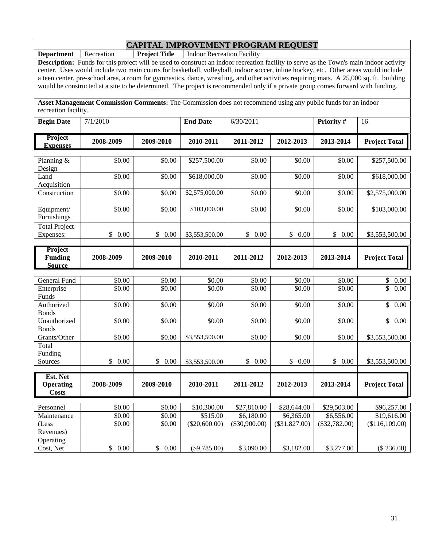**Department** Recreation **Project Title** Indoor Recreation Facility

**Description:** Funds for this project will be used to construct an indoor recreation facility to serve as the Town's main indoor activity center. Uses would include two main courts for basketball, volleyball, indoor soccer, inline hockey, etc. Other areas would include a teen center, pre-school area, a room for gymnastics, dance, wrestling, and other activities requiring mats. A 25,000 sq. ft. building would be constructed at a site to be determined. The project is recommended only if a private group comes forward with funding.

**Asset Management Commission Comments:** The Commission does not recommend using any public funds for an indoor recreation facility.

| <b>Begin Date</b>                            | 7/1/2010           |                    | <b>End Date</b> | 6/30/2011            |                 | Priority #      | 16                      |
|----------------------------------------------|--------------------|--------------------|-----------------|----------------------|-----------------|-----------------|-------------------------|
| <b>Project</b><br><b>Expenses</b>            | 2008-2009          | 2009-2010          | 2010-2011       | 2011-2012            | 2012-2013       | 2013-2014       | <b>Project Total</b>    |
| Planning &<br>Design                         | \$0.00             | \$0.00             | \$257,500.00    | \$0.00               | \$0.00          | \$0.00          | \$257,500.00            |
| Land<br>Acquisition                          | \$0.00             | \$0.00             | \$618,000.00    | \$0.00               | \$0.00          | \$0.00          | \$618,000.00            |
| Construction                                 | \$0.00             | \$0.00             | \$2,575,000.00  | \$0.00               | \$0.00          | \$0.00          | \$2,575,000.00          |
| Equipment/<br>Furnishings                    | \$0.00             | \$0.00             | \$103,000.00    | \$0.00               | \$0.00          | \$0.00          | \$103,000.00            |
| <b>Total Project</b><br>Expenses:            | \$<br>0.00         | \$<br>0.00         | \$3,553,500.00  | $\mathbb{S}$<br>0.00 | \$<br>0.00      | \$<br>0.00      | \$3,553,500.00          |
| Project<br><b>Funding</b><br><b>Source</b>   | 2008-2009          | 2009-2010          | 2010-2011       | 2011-2012            | 2012-2013       | 2013-2014       | <b>Project Total</b>    |
| General Fund                                 | \$0.00             | \$0.00             | \$0.00          | \$0.00               | \$0.00          | \$0.00          | \$<br>0.00              |
| Enterprise<br>Funds                          | \$0.00             | \$0.00             | \$0.00          | \$0.00               | \$0.00          | \$0.00          | \$<br>0.00              |
| Authorized<br><b>Bonds</b>                   | \$0.00             | \$0.00             | \$0.00          | \$0.00               | \$0.00          | \$0.00          | $\mathbb{S}$<br>0.00    |
| Unauthorized<br><b>Bonds</b>                 | \$0.00             | \$0.00             | \$0.00          | \$0.00               | \$0.00          | \$0.00          | $\overline{\$}$<br>0.00 |
| Grants/Other                                 | \$0.00             | \$0.00             | \$3,553,500.00  | \$0.00               | \$0.00          | \$0.00          | \$3,553,500.00          |
| Total<br>Funding<br>Sources                  | \$<br>0.00         | \$<br>0.00         | \$3,553,500.00  | $\mathbb{S}$<br>0.00 | \$<br>0.00      | \$<br>0.00      | \$3,553,500.00          |
| Est. Net<br><b>Operating</b><br><b>Costs</b> | 2008-2009          | 2009-2010          | 2010-2011       | 2011-2012            | 2012-2013       | 2013-2014       | <b>Project Total</b>    |
| Personnel                                    | $\overline{$}0.00$ | $\overline{$}0.00$ | \$10,300.00     | \$27,810.00          | \$28,644.00     | \$29,503.00     | \$96,257.00             |
| Maintenance                                  | \$0.00             | \$0.00             | \$515.00        | \$6,180.00           | \$6,365.00      | \$6,556.00      | \$19,616.00             |
| (Less<br>Revenues)                           | \$0.00             | \$0.00             | $(\$20,600.00)$ | $(\$30,900.00)$      | $(\$31,827.00)$ | $(\$32,782.00)$ | (\$116,109.00)          |
| Operating<br>Cost, Net                       | \$<br>0.00         | \$<br>0.00         | $(\$9,785.00)$  | \$3,090.00           | \$3,182.00      | \$3,277.00      | (\$236.00)              |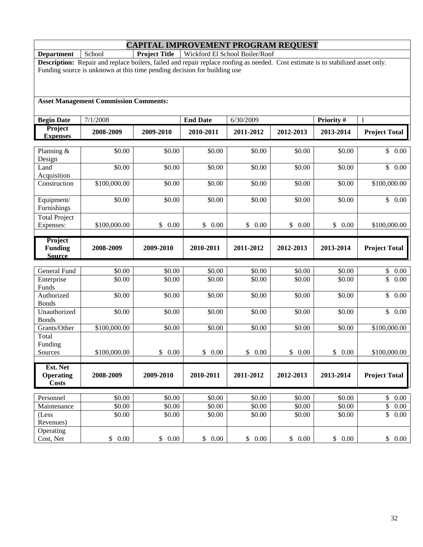**Department** School **Project Title** Wickford El School Boiler/Roof

**Description:** Repair and replace boilers, failed and repair replace roofing as needed. Cost estimate is to stabilized asset only. Funding source is unknown at this time pending decision for building use

#### **Asset Management Commission Comments:**

| <b>Begin Date</b>          | 7/1/2008           |                      | <b>End Date</b>      | 6/30/2009            |                      | Priority #           | $\mathbf{1}$                      |
|----------------------------|--------------------|----------------------|----------------------|----------------------|----------------------|----------------------|-----------------------------------|
| Project<br><b>Expenses</b> | 2008-2009          | 2009-2010            | 2010-2011            | 2011-2012            | 2012-2013            | 2013-2014            | <b>Project Total</b>              |
|                            |                    |                      |                      |                      |                      |                      |                                   |
| Planning &                 | \$0.00             | \$0.00               | \$0.00               | \$0.00               | \$0.00               | \$0.00               | $\overline{\mathcal{S}}$<br>0.00  |
| Design                     |                    |                      |                      |                      |                      |                      |                                   |
| Land                       | $\frac{1}{0.00}$   | \$0.00               | \$0.00               | \$0.00               | \$0.00               | \$0.00               | \$<br>0.00                        |
| Acquisition                |                    | \$0.00               | \$0.00               | \$0.00               | \$0.00               | \$0.00               |                                   |
| Construction               | \$100,000.00       |                      |                      |                      |                      |                      | \$100,000.00                      |
| Equipment/                 | \$0.00             | \$0.00               | \$0.00               | \$0.00               | \$0.00               | \$0.00               | \$0.00                            |
| Furnishings                |                    |                      |                      |                      |                      |                      |                                   |
| <b>Total Project</b>       |                    |                      |                      |                      |                      |                      |                                   |
| Expenses:                  | \$100,000.00       | $\mathbb{S}$<br>0.00 | \$<br>0.00           | \$0.00               | $\mathbb{S}$<br>0.00 | \$0.00               | \$100,000.00                      |
| Project                    |                    |                      |                      |                      |                      |                      |                                   |
| <b>Funding</b>             | 2008-2009          | 2009-2010            | 2010-2011            | 2011-2012            | 2012-2013            | 2013-2014            | <b>Project Total</b>              |
| <b>Source</b>              |                    |                      |                      |                      |                      |                      |                                   |
| General Fund               | \$0.00             | \$0.00               | \$0.00               | \$0.00               | \$0.00               | \$0.00               | \$<br>0.00                        |
| Enterprise                 | \$0.00             | \$0.00               | \$0.00               | \$0.00               | \$0.00               | \$0.00               | \$<br>0.00                        |
| Funds                      |                    |                      |                      |                      |                      |                      |                                   |
| Authorized                 | \$0.00             | \$0.00               | \$0.00               | \$0.00               | \$0.00               | \$0.00               | \$<br>$\overline{0.00}$           |
| <b>Bonds</b>               |                    |                      |                      |                      |                      |                      |                                   |
| Unauthorized               | \$0.00             | \$0.00               | \$0.00               | \$0.00               | \$0.00               | \$0.00               | $\frac{1}{2}$ 0.00                |
| <b>Bonds</b>               |                    |                      |                      |                      |                      |                      |                                   |
| Grants/Other               | \$100,000.00       | \$0.00               | \$0.00               | \$0.00               | \$0.00               | $\overline{$}0.00$   | \$100,000.00                      |
| Total                      |                    |                      |                      |                      |                      |                      |                                   |
| Funding<br>Sources         | \$100,000.00       | \$0.00               | $\mathbb{S}$<br>0.00 | $\mathbb{S}$<br>0.00 | \$<br>0.00           | $\mathbb{S}$<br>0.00 | \$100,000.00                      |
|                            |                    |                      |                      |                      |                      |                      |                                   |
| Est. Net                   |                    |                      |                      |                      |                      |                      |                                   |
| <b>Operating</b>           | 2008-2009          | 2009-2010            | 2010-2011            | 2011-2012            | 2012-2013            | 2013-2014            | <b>Project Total</b>              |
| <b>Costs</b>               |                    |                      |                      |                      |                      |                      |                                   |
| Personnel                  | \$0.00             | \$0.00               | \$0.00               | \$0.00               | \$0.00               | \$0.00               | $\boldsymbol{\mathsf{S}}$<br>0.00 |
| Maintenance                | $\overline{$}0.00$ | \$0.00               | \$0.00               | \$0.00               | \$0.00               | \$0.00               | \$<br>$0.00\,$                    |
| (Less                      | \$0.00             | \$0.00               | \$0.00               | \$0.00               | \$0.00               | \$0.00               | \$<br>0.00                        |
| Revenues)                  |                    |                      |                      |                      |                      |                      |                                   |
| Operating                  |                    |                      |                      |                      |                      |                      |                                   |
| Cost, Net                  | \$0.00             | \$0.00               | \$<br>0.00           | $\mathbb{S}$<br>0.00 | \$0.00               | \$0.00               | \$0.00                            |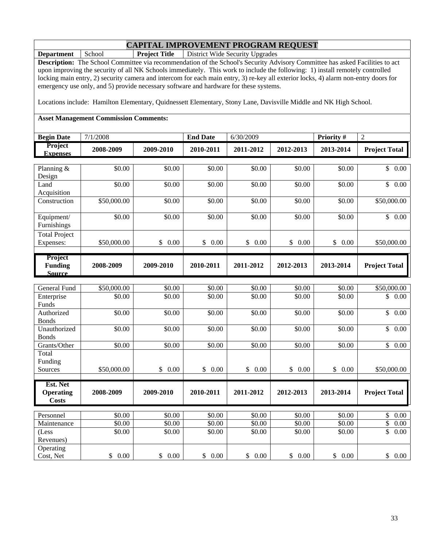**Department** School **Project Title** District Wide Security Upgrades

**Description:** The School Committee via recommendation of the School's Security Advisory Committee has asked Facilities to act upon improving the security of all NK Schools immediately. This work to include the following: 1) install remotely controlled locking main entry, 2) security camera and intercom for each main entry, 3) re-key all exterior locks, 4) alarm non-entry doors for emergency use only, and 5) provide necessary software and hardware for these systems.

Locations include: Hamilton Elementary, Quidnessett Elementary, Stony Lane, Davisville Middle and NK High School.

#### **Asset Management Commission Comments:**

(Less Revenues)

**Operating** 

| <b>Begin Date</b>                            | 7/1/2008    |            | <b>End Date</b>      | 6/30/2009  |            | Priority#  | $\overline{2}$         |
|----------------------------------------------|-------------|------------|----------------------|------------|------------|------------|------------------------|
| Project<br><b>Expenses</b>                   | 2008-2009   | 2009-2010  | 2010-2011            | 2011-2012  | 2012-2013  | 2013-2014  | <b>Project Total</b>   |
|                                              |             |            |                      |            |            |            |                        |
| Planning &                                   | \$0.00      | \$0.00     | \$0.00               | \$0.00     | \$0.00     | \$0.00     | \$<br>0.00             |
| Design<br>Land                               | \$0.00      | \$0.00     | \$0.00               | \$0.00     | \$0.00     | \$0.00     | $\mathbb{S}$<br>0.00   |
| Acquisition                                  |             |            |                      |            |            |            |                        |
| Construction                                 | \$50,000.00 | \$0.00     | \$0.00               | \$0.00     | \$0.00     | \$0.00     | \$50,000.00            |
| Equipment/<br>Furnishings                    | \$0.00      | \$0.00     | \$0.00               | \$0.00     | \$0.00     | \$0.00     | $\mathbb{S}^-$<br>0.00 |
| <b>Total Project</b>                         |             |            |                      |            |            |            |                        |
| Expenses:                                    | \$50,000.00 | \$<br>0.00 | \$<br>0.00           | \$<br>0.00 | \$<br>0.00 | \$<br>0.00 | \$50,000.00            |
|                                              |             |            |                      |            |            |            |                        |
| Project<br><b>Funding</b><br><b>Source</b>   | 2008-2009   | 2009-2010  | 2010-2011            | 2011-2012  | 2012-2013  | 2013-2014  | <b>Project Total</b>   |
|                                              |             |            |                      |            |            |            |                        |
| <b>General Fund</b>                          | \$50,000.00 | \$0.00     | \$0.00               | \$0.00     | \$0.00     | \$0.00     | \$50,000.00            |
| Enterprise<br>Funds                          | \$0.00      | \$0.00     | \$0.00               | \$0.00     | \$0.00     | \$0.00     | \$<br>0.00             |
| Authorized<br><b>Bonds</b>                   | \$0.00      | \$0.00     | \$0.00               | \$0.00     | \$0.00     | \$0.00     | \$<br>0.00             |
| Unauthorized<br><b>Bonds</b>                 | \$0.00      | \$0.00     | \$0.00               | \$0.00     | \$0.00     | \$0.00     | \$<br>0.00             |
| Grants/Other                                 | \$0.00      | \$0.00     | \$0.00               | \$0.00     | \$0.00     | \$0.00     | \$<br>0.00             |
| Total                                        |             |            |                      |            |            |            |                        |
| Funding                                      |             |            |                      |            |            |            |                        |
| Sources                                      | \$50,000.00 | \$<br>0.00 | $\mathbb{S}$<br>0.00 | \$<br>0.00 | \$<br>0.00 | \$<br>0.00 | \$50,000.00            |
| Est. Net<br><b>Operating</b><br><b>Costs</b> | 2008-2009   | 2009-2010  | 2010-2011            | 2011-2012  | 2012-2013  | 2013-2014  | <b>Project Total</b>   |

Personnel | \$0.00 | \$0.00 | \$0.00 | \$0.00 \$0.00 \$0.00 \$0.00 \$0.00 \$0.00 \$0.00 \$1 0.00 \$1 0.00 \$1 0.00 Maintenance | \$0.00 | \$0.00 | \$0.00 \$0.00 \$0.00 \$0.00 \$0.00 \$0.00 \$0.00 \$0.00

Cost, Net \$ 0.00 \$ 0.00 \$ 0.00 \$ 0.00 \$ 0.00 \$ 0.00 \$ 0.00

 $$0.00$   $$0.00$   $$0.00$   $$0.00$   $$0.00$   $$0.00$   $$0.00$   $$0.00$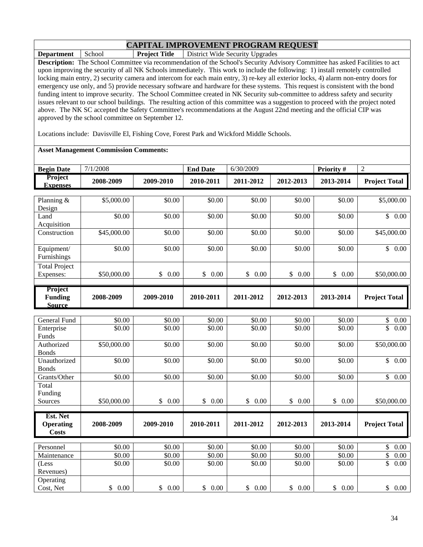**Department** School **Project Title** District Wide Security Upgrades **Description:** The School Committee via recommendation of the School's Security Advisory Committee has asked Facilities to act upon improving the security of all NK Schools immediately. This work to include the following: 1) install remotely controlled locking main entry, 2) security camera and intercom for each main entry, 3) re-key all exterior locks, 4) alarm non-entry doors for emergency use only, and 5) provide necessary software and hardware for these systems. This request is consistent with the bond funding intent to improve security. The School Committee created in NK Security sub-committee to address safety and security issues relevant to our school buildings. The resulting action of this committee was a suggestion to proceed with the project noted above. The NK SC accepted the Safety Committee's recommendations at the August 22nd meeting and the official CIP was approved by the school committee on September 12.

Locations include: Davisville El, Fishing Cove, Forest Park and Wickford Middle Schools.

#### **Asset Management Commission Comments:**

| <b>Begin Date</b>                          | 7/1/2008         |            | <b>End Date</b>      | 6/30/2009  |                      | Priority #         | $\overline{2}$                        |
|--------------------------------------------|------------------|------------|----------------------|------------|----------------------|--------------------|---------------------------------------|
| Project<br><b>Expenses</b>                 | 2008-2009        | 2009-2010  | 2010-2011            | 2011-2012  | 2012-2013            | 2013-2014          | <b>Project Total</b>                  |
| Planning &<br>Design                       | \$5,000.00       | \$0.00     | \$0.00               | \$0.00     | \$0.00               | \$0.00             | \$5,000.00                            |
| Land<br>Acquisition                        | \$0.00           | \$0.00     | \$0.00               | \$0.00     | \$0.00               | \$0.00             | \$0.00                                |
| Construction                               | \$45,000.00      | \$0.00     | \$0.00               | \$0.00     | \$0.00               | $\overline{$}0.00$ | $\overline{$45,000.00}$               |
| Equipment/<br>Furnishings                  | \$0.00           | \$0.00     | \$0.00               | \$0.00     | \$0.00               | \$0.00             | $\overline{\mathbb{S}}$<br>0.00       |
| <b>Total Project</b><br>Expenses:          | \$50,000.00      | \$0.00     | $\mathbb{S}$<br>0.00 | \$0.00     | $\mathbb{S}$<br>0.00 | \$0.00             | \$50,000.00                           |
| Project<br><b>Funding</b><br><b>Source</b> | 2008-2009        | 2009-2010  | 2010-2011            | 2011-2012  | 2012-2013            | 2013-2014          | <b>Project Total</b>                  |
|                                            |                  |            |                      |            |                      |                    |                                       |
| General Fund                               | \$0.00<br>\$0.00 | \$0.00     | \$0.00               | \$0.00     | \$0.00               | \$0.00             | \$<br>0.00<br>$\overline{\mathbb{S}}$ |
| Enterprise<br>Funds                        |                  | \$0.00     | \$0.00               | \$0.00     | \$0.00               | \$0.00             | 0.00                                  |
| Authorized<br><b>Bonds</b>                 | \$50,000.00      | \$0.00     | \$0.00               | \$0.00     | \$0.00               | \$0.00             | \$50,000.00                           |
| Unauthorized<br><b>Bonds</b>               | \$0.00           | \$0.00     | \$0.00               | \$0.00     | \$0.00               | \$0.00             | $\overline{\mathbb{S}}$<br>0.00       |
| Grants/Other                               | \$0.00           | \$0.00     | \$0.00               | \$0.00     | \$0.00               | \$0.00             | $\overline{\mathbb{S}}$<br>0.00       |
| Total                                      |                  |            |                      |            |                      |                    |                                       |
| Funding                                    |                  |            |                      |            |                      |                    |                                       |
| Sources                                    | \$50,000.00      | \$<br>0.00 | \$<br>0.00           | \$<br>0.00 | $\mathbb{S}$<br>0.00 | \$<br>0.00         | \$50,000.00                           |
| Est. Net                                   |                  |            |                      |            |                      |                    |                                       |
| <b>Operating</b><br><b>Costs</b>           | 2008-2009        | 2009-2010  | 2010-2011            | 2011-2012  | 2012-2013            | 2013-2014          | <b>Project Total</b>                  |
| Personnel                                  | \$0.00           | \$0.00     | \$0.00               | \$0.00     | \$0.00               | \$0.00             | \$<br>0.00                            |
| Maintenance                                | \$0.00           | \$0.00     | \$0.00               | \$0.00     | \$0.00               | \$0.00             | \$<br>0.00                            |
| (Less<br>Revenues)                         | \$0.00           | \$0.00     | \$0.00               | \$0.00     | \$0.00               | \$0.00             | \$<br>0.00                            |
| Operating<br>Cost, Net                     | 0.00<br>\$       | \$0.00     | 0.00<br>\$           | \$0.00     | 0.00<br>\$           | \$0.00             | \$0.00                                |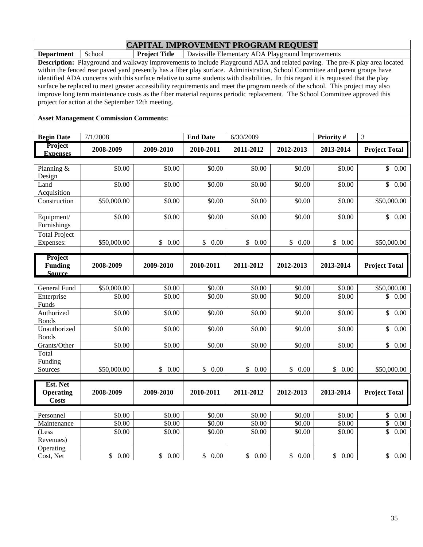**Department** School **Project Title** Davisville Elementary ADA Playground Improvements

**Description:** Playground and walkway improvements to include Playground ADA and related paving. The pre-K play area located within the fenced rear paved yard presently has a fiber play surface. Administration, School Committee and parent groups have identified ADA concerns with this surface relative to some students with disabilities. In this regard it is requested that the play surface be replaced to meet greater accessibility requirements and meet the program needs of the school. This project may also improve long term maintenance costs as the fiber material requires periodic replacement. The School Committee approved this project for action at the September 12th meeting.

#### **Asset Management Commission Comments:**

| <b>Begin Date</b>                  | 7/1/2008    |                          | <b>End Date</b> | 6/30/2009          |                       | Priority # | 3                       |
|------------------------------------|-------------|--------------------------|-----------------|--------------------|-----------------------|------------|-------------------------|
| Project<br><b>Expenses</b>         | 2008-2009   | 2009-2010                | 2010-2011       | 2011-2012          | 2012-2013             | 2013-2014  | <b>Project Total</b>    |
|                                    |             |                          |                 |                    |                       |            |                         |
| Planning &                         | \$0.00      | \$0.00                   | \$0.00          | \$0.00             | \$0.00                | \$0.00     | \$<br>0.00              |
| Design                             | \$0.00      |                          |                 |                    |                       | \$0.00     | \$                      |
| Land<br>Acquisition                |             | \$0.00                   | \$0.00          | $\overline{$}0.00$ | \$0.00                |            | 0.00                    |
| Construction                       | \$50,000.00 | \$0.00                   | \$0.00          | \$0.00             | \$0.00                | \$0.00     | \$50,000.00             |
|                                    |             |                          |                 |                    |                       |            |                         |
| Equipment/                         | \$0.00      | \$0.00                   | \$0.00          | \$0.00             | \$0.00                | \$0.00     | \$0.00                  |
| Furnishings                        |             |                          |                 |                    |                       |            |                         |
| Total Project                      |             |                          |                 |                    |                       |            |                         |
| Expenses:                          | \$50,000.00 | \$<br>0.00               | \$<br>0.00      | \$<br>0.00         | $\mathcal{S}$<br>0.00 | \$<br>0.00 | \$50,000.00             |
|                                    |             |                          |                 |                    |                       |            |                         |
| Project<br><b>Funding</b>          | 2008-2009   | 2009-2010                | 2010-2011       | 2011-2012          | 2012-2013             | 2013-2014  | <b>Project Total</b>    |
| <b>Source</b>                      |             |                          |                 |                    |                       |            |                         |
|                                    |             |                          |                 |                    |                       |            |                         |
| General Fund                       | \$50,000.00 | \$0.00                   | \$0.00          | \$0.00             | \$0.00                | \$0.00     | \$50,000.00             |
| Enterprise                         | \$0.00      | \$0.00                   | \$0.00          | \$0.00             | \$0.00                | \$0.00     | \$<br>0.00              |
| Funds                              |             |                          |                 |                    |                       |            |                         |
| Authorized                         | \$0.00      | \$0.00                   | \$0.00          | \$0.00             | \$0.00                | \$0.00     | \$<br>$\overline{0.00}$ |
| <b>Bonds</b>                       |             |                          |                 |                    |                       |            |                         |
| Unauthorized<br><b>Bonds</b>       | \$0.00      | \$0.00                   | \$0.00          | \$0.00             | \$0.00                | \$0.00     | \$<br>0.00              |
| Grants/Other                       | \$0.00      | \$0.00                   | \$0.00          | \$0.00             | \$0.00                | \$0.00     | \$<br>0.00              |
| Total                              |             |                          |                 |                    |                       |            |                         |
| Funding                            |             |                          |                 |                    |                       |            |                         |
| Sources                            | \$50,000.00 | $0.00\,$<br>$\mathbb{S}$ | \$0.00          | \$0.00             | \$0.00                | \$0.00     | \$50,000.00             |
|                                    |             |                          |                 |                    |                       |            |                         |
| Est. Net                           |             |                          |                 |                    |                       |            |                         |
| <b>Operating</b><br><b>Costs</b>   | 2008-2009   | 2009-2010                | 2010-2011       | 2011-2012          | 2012-2013             | 2013-2014  | <b>Project Total</b>    |
|                                    |             |                          |                 |                    |                       |            |                         |
| Personnel                          | \$0.00      | \$0.00                   | \$0.00          | \$0.00             | \$0.00                | \$0.00     | 0.00<br>\$              |
| $\overline{\mathrm{M}}$ aintenance | \$0.00      | \$0.00                   | \$0.00          | \$0.00             | \$0.00                | \$0.00     | \$<br>0.00              |
| (Less                              | \$0.00      | \$0.00                   | \$0.00          | \$0.00             | \$0.00                | \$0.00     | \$<br>0.00              |
| Revenues)                          |             |                          |                 |                    |                       |            |                         |
| Operating                          |             |                          |                 |                    |                       |            |                         |

Cost, Net \$ 0.00 \$ 0.00 \$ 0.00 \$ 0.00 \$ 0.00 \$ 0.00 \$ 0.00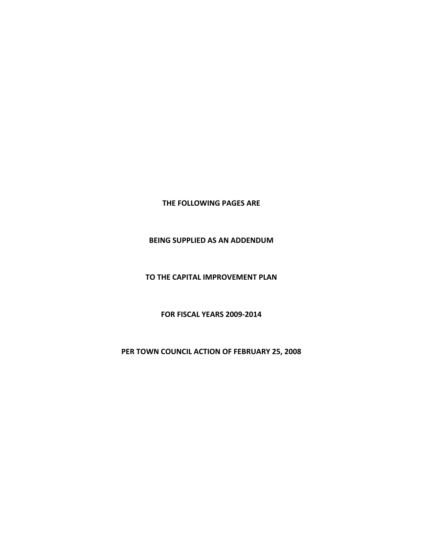**THE FOLLOWING PAGES ARE**

#### **BEING SUPPLIED AS AN ADDENDUM**

**TO THE CAPITAL IMPROVEMENT PLAN**

**FOR FISCAL YEARS 2009‐2014**

**PER TOWN COUNCIL ACTION OF FEBRUARY 25, 2008**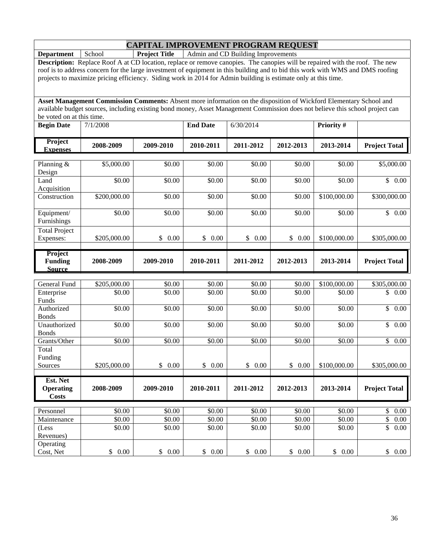**Department** School **Project Title** Admin and CD Building Improvements

**Description:** Replace Roof A at CD location, replace or remove canopies. The canopies will be repaired with the roof. The new roof is to address concern for the large investment of equipment in this building and to bid this work with WMS and DMS roofing projects to maximize pricing efficiency. Siding work in 2014 for Admin building is estimate only at this time.

| be voted on at this time.         |            |           |                 |           |           |                   |                      |
|-----------------------------------|------------|-----------|-----------------|-----------|-----------|-------------------|----------------------|
| <b>Begin Date</b>                 | 7/1/2008   |           | <b>End Date</b> | 6/30/2014 |           | <b>Priority</b> # |                      |
| <b>Project</b><br><b>Expenses</b> | 2008-2009  | 2009-2010 | 2010-2011       | 2011-2012 | 2012-2013 | 2013-2014         | <b>Project Total</b> |
|                                   |            |           |                 |           |           |                   |                      |
| Planning $\&$<br>Design           | \$5,000.00 | \$0.00    | \$0.00          | \$0.00    | \$0.00    | \$0.00            | \$5,000.00           |

| Design                    |              |                      |            |                |                      |              |                                 |
|---------------------------|--------------|----------------------|------------|----------------|----------------------|--------------|---------------------------------|
| Land                      | \$0.00       | \$0.00               | \$0.00     | \$0.00         | \$0.00               | \$0.00       | $\overline{\$}$ 0.00            |
| Acquisition               |              |                      |            |                |                      |              |                                 |
| Construction              | \$200,000.00 | \$0.00               | \$0.00     | \$0.00         | \$0.00               | \$100,000.00 | \$300,000.00                    |
|                           | \$0.00       | \$0.00               | \$0.00     | \$0.00         | \$0.00               | \$0.00       | $\mathbb{S}$<br>0.00            |
| Equipment/<br>Furnishings |              |                      |            |                |                      |              |                                 |
|                           |              |                      |            |                |                      |              |                                 |
| <b>Total Project</b>      |              |                      |            |                |                      |              |                                 |
| Expenses:                 | \$205,000.00 | \$0.00               | \$<br>0.00 | \$<br>0.00     | $\mathbb{S}$<br>0.00 | \$100,000.00 | \$305,000.00                    |
| Project                   |              |                      |            |                |                      |              |                                 |
| <b>Funding</b>            | 2008-2009    | 2009-2010            | 2010-2011  | 2011-2012      | 2012-2013            | 2013-2014    | <b>Project Total</b>            |
| <b>Source</b>             |              |                      |            |                |                      |              |                                 |
| <b>General Fund</b>       | \$205,000.00 | \$0.00               | \$0.00     | \$0.00         | \$0.00               | \$100,000.00 | \$305,000.00                    |
|                           | \$0.00       | \$0.00               | \$0.00     | \$0.00         | \$0.00               | \$0.00       | \$0.00                          |
| Enterprise<br>Funds       |              |                      |            |                |                      |              |                                 |
| Authorized                | \$0.00       | \$0.00               | \$0.00     | \$0.00         | \$0.00               | \$0.00       | $\mathsf{\$}$<br>0.00           |
| <b>Bonds</b>              |              |                      |            |                |                      |              |                                 |
| Unauthorized              | \$0.00       | \$0.00               | \$0.00     | \$0.00         | \$0.00               | \$0.00       | \$<br>0.00                      |
| <b>Bonds</b>              |              |                      |            |                |                      |              |                                 |
| Grants/Other              | \$0.00       | \$0.00               | \$0.00     | \$0.00         | \$0.00               | \$0.00       | $\mathbb{S}$<br>0.00            |
| Total                     |              |                      |            |                |                      |              |                                 |
| Funding                   |              |                      |            |                |                      |              |                                 |
| Sources                   | \$205,000.00 | $\mathbb{S}$<br>0.00 | \$<br>0.00 | \$<br>$0.00\,$ | $\mathbb{S}$<br>0.00 | \$100,000.00 | \$305,000.00                    |
| Est. Net                  |              |                      |            |                |                      |              |                                 |
| <b>Operating</b>          | 2008-2009    | 2009-2010            | 2010-2011  | 2011-2012      | 2012-2013            | 2013-2014    | <b>Project Total</b>            |
| <b>Costs</b>              |              |                      |            |                |                      |              |                                 |
|                           |              |                      |            |                |                      |              |                                 |
| Personnel                 | \$0.00       | \$0.00               | \$0.00     | \$0.00         | \$0.00               | \$0.00       | $\mathbb{S}$<br>0.00            |
| Maintenance               | \$0.00       | \$0.00               | \$0.00     | \$0.00         | \$0.00               | \$0.00       | \$<br>0.00                      |
| (Less                     | \$0.00       | \$0.00               | \$0.00     | \$0.00         | \$0.00               | \$0.00       | $\overline{\mathbb{S}}$<br>0.00 |
| Revenues)                 |              |                      |            |                |                      |              |                                 |
| Operating                 |              |                      |            |                |                      |              |                                 |
| Cost, Net                 | \$<br>0.00   | \$<br>0.00           | \$<br>0.00 | \$<br>0.00     | \$<br>0.00           | \$<br>0.00   | \$<br>0.00                      |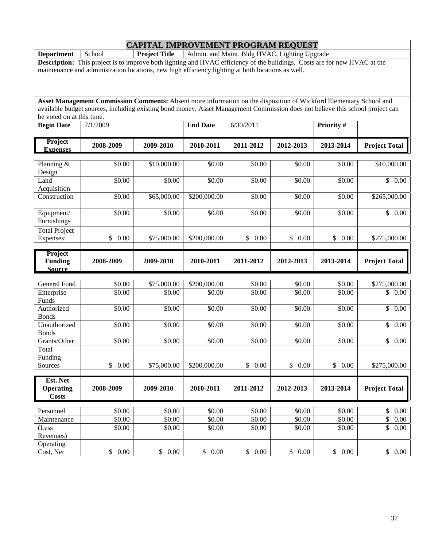**Department** School **Project Title** Admin. and Maint. Bldg HVAC, Lighting Upgrade

**Description:** This project is to improve both lighting and HVAC efficiency of the buildings. Costs are for new HVAC at the maintenance and administration locations, new high efficiency lighting at both locations as well.

| <b>Begin Date</b>            | 7/1/2009              |             | <b>End Date</b> | 6/30/2011             |            | Priority #         |                                   |
|------------------------------|-----------------------|-------------|-----------------|-----------------------|------------|--------------------|-----------------------------------|
| Project<br><b>Expenses</b>   | 2008-2009             | 2009-2010   | 2010-2011       | 2011-2012             | 2012-2013  | 2013-2014          | <b>Project Total</b>              |
|                              |                       |             |                 |                       |            |                    |                                   |
| Planning $&$<br>Design       | \$0.00                | \$10,000.00 | \$0.00          | \$0.00                | \$0.00     | \$0.00             | \$10,000.00                       |
| Land<br>Acquisition          | \$0.00                | \$0.00      | \$0.00          | \$0.00                | \$0.00     | \$0.00             | $\mathsf{\$}$<br>0.00             |
| Construction                 | \$0.00                | \$65,000.00 | \$200,000.00    | \$0.00                | \$0.00     | \$0.00             | \$265,000.00                      |
| Equipment/<br>Furnishings    | \$0.00                | \$0.00      | \$0.00          | \$0.00                | \$0.00     | \$0.00             | \$0.00                            |
| <b>Total Project</b>         |                       |             |                 |                       |            |                    |                                   |
| Expenses:                    | $\mathbb{S}$<br>0.00  | \$75,000.00 | \$200,000.00    | $\mathbb{S}$<br>0.00  | \$0.00     | \$0.00             | \$275,000.00                      |
| Project                      |                       |             |                 |                       |            |                    |                                   |
| <b>Funding</b>               | 2008-2009             | 2009-2010   | 2010-2011       | 2011-2012             | 2012-2013  | 2013-2014          | <b>Project Total</b>              |
| <b>Source</b>                |                       |             |                 |                       |            |                    |                                   |
| <b>General Fund</b>          | \$0.00                | \$75,000.00 | \$200,000.00    | \$0.00                | \$0.00     | \$0.00             | \$275,000.00                      |
| Enterprise<br>Funds          | \$0.00                | \$0.00      | \$0.00          | \$0.00                | \$0.00     | \$0.00             | \$<br>0.00                        |
| Authorized<br><b>Bonds</b>   | \$0.00                | \$0.00      | \$0.00          | \$0.00                | \$0.00     | \$0.00             | \$<br>$0.00\,$                    |
| Unauthorized<br><b>Bonds</b> | \$0.00                | \$0.00      | \$0.00          | \$0.00                | \$0.00     | \$0.00             | $\mathbb{S}$<br>0.00              |
| Grants/Other                 | \$0.00                | \$0.00      | \$0.00          | \$0.00                | \$0.00     | $\overline{$}0.00$ | $\overline{\mathcal{S}}$<br>0.00  |
| Total<br>Funding             |                       |             |                 |                       |            |                    |                                   |
| Sources                      | $\mathsf{\$}$<br>0.00 | \$75,000.00 | \$200,000.00    | $\mathcal{S}$<br>0.00 | \$<br>0.00 | \$<br>0.00         | \$275,000.00                      |
| Est. Net                     |                       |             |                 |                       |            |                    |                                   |
| <b>Operating</b>             | 2008-2009             | 2009-2010   | 2010-2011       | 2011-2012             | 2012-2013  | 2013-2014          | <b>Project Total</b>              |
| <b>Costs</b>                 |                       |             |                 |                       |            |                    |                                   |
| Personnel                    | \$0.00                | \$0.00      | \$0.00          | \$0.00                | \$0.00     | \$0.00             | $\boldsymbol{\mathsf{S}}$<br>0.00 |
| Maintenance                  | \$0.00                | \$0.00      | \$0.00          | \$0.00                | \$0.00     | \$0.00             | \$<br>$0.00\,$                    |
| (Less<br>Revenues)           | \$0.00                | \$0.00      | \$0.00          | \$0.00                | \$0.00     | \$0.00             | \$<br>0.00                        |
| Operating<br>Cost, Net       | \$0.00                | \$0.00      | \$<br>0.00      | \$0.00                | \$0.00     | \$<br>0.00         | \$0.00                            |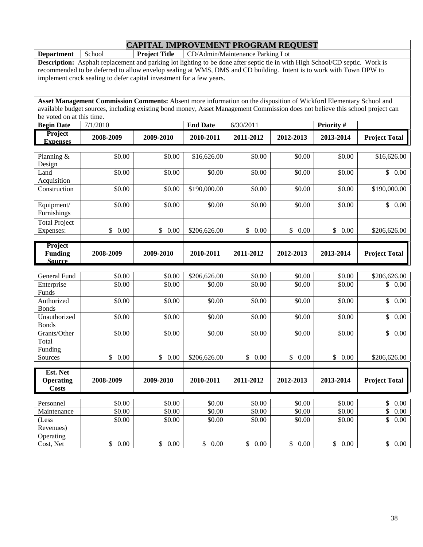**Department** School **Project Title** CD/Admin/Maintenance Parking Lot

**Description:** Asphalt replacement and parking lot lighting to be done after septic tie in with High School/CD septic. Work is recommended to be deferred to allow envelop sealing at WMS, DMS and CD building. Intent is to work with Town DPW to implement crack sealing to defer capital investment for a few years.

| <b>Begin Date</b>                            | 7/1/2010             |                      | <b>End Date</b>        | 6/30/2011        |                  | Priority #           |                            |
|----------------------------------------------|----------------------|----------------------|------------------------|------------------|------------------|----------------------|----------------------------|
| Project<br><b>Expenses</b>                   | 2008-2009            | 2009-2010            | 2010-2011              | 2011-2012        | 2012-2013        | 2013-2014            | <b>Project Total</b>       |
| Planning &<br>Design                         | \$0.00               | \$0.00               | \$16,626.00            | \$0.00           | \$0.00           | \$0.00               | \$16,626.00                |
| Land<br>Acquisition                          | \$0.00               | \$0.00               | \$0.00                 | \$0.00           | \$0.00           | \$0.00               | $\mathbb{S}$<br>0.00       |
| Construction                                 | \$0.00               | \$0.00               | \$190,000.00           | \$0.00           | \$0.00           | \$0.00               | \$190,000.00               |
| Equipment/<br>Furnishings                    | \$0.00               | \$0.00               | \$0.00                 | \$0.00           | \$0.00           | \$0.00               | \$0.00                     |
| <b>Total Project</b><br>Expenses:            | \$<br>0.00           | $\mathbb{S}$<br>0.00 | \$206,626.00           | \$<br>0.00       | \$<br>0.00       | \$<br>0.00           | \$206,626.00               |
| Project<br><b>Funding</b><br><b>Source</b>   | 2008-2009            | 2009-2010            | 2010-2011              | 2011-2012        | 2012-2013        | 2013-2014            | <b>Project Total</b>       |
|                                              |                      |                      |                        |                  |                  |                      |                            |
| General Fund<br>Enterprise<br>Funds          | \$0.00<br>\$0.00     | \$0.00<br>\$0.00     | \$206,626.00<br>\$0.00 | \$0.00<br>\$0.00 | \$0.00<br>\$0.00 | \$0.00<br>\$0.00     | \$206,626.00<br>\$0.00     |
| Authorized<br><b>Bonds</b>                   | \$0.00               | \$0.00               | \$0.00                 | \$0.00           | \$0.00           | \$0.00               | \$<br>0.00                 |
| Unauthorized<br><b>Bonds</b>                 | \$0.00               | \$0.00               | \$0.00                 | \$0.00           | \$0.00           | \$0.00               | $\mathbb{S}$<br>0.00       |
| Grants/Other                                 | \$0.00               | \$0.00               | \$0.00                 | \$0.00           | \$0.00           | \$0.00               | $\mathbf{\hat{S}}$<br>0.00 |
| Total<br>Funding                             |                      |                      |                        |                  |                  |                      |                            |
| Sources                                      | $\mathbb{S}$<br>0.00 | $\mathbb{S}$<br>0.00 | \$206,626.00           | \$<br>0.00       | \$0.00           | $\mathbb{S}$<br>0.00 | \$206,626.00               |
| Est. Net<br><b>Operating</b><br><b>Costs</b> | 2008-2009            | 2009-2010            | 2010-2011              | 2011-2012        | 2012-2013        | 2013-2014            | <b>Project Total</b>       |
|                                              |                      |                      |                        |                  |                  |                      |                            |
| Personnel<br>Maintenance                     | \$0.00<br>\$0.00     | \$0.00<br>\$0.00     | \$0.00<br>\$0.00       | \$0.00<br>\$0.00 | \$0.00<br>\$0.00 | \$0.00<br>\$0.00     | \$<br>0.00<br>\$<br>0.00   |
| (Less<br>Revenues)                           | \$0.00               | \$0.00               | \$0.00                 | \$0.00           | \$0.00           | \$0.00               | \$<br>0.00                 |
| Operating<br>Cost, Net                       | \$0.00               | \$0.00               | \$0.00                 | \$0.00           | \$0.00           | \$<br>0.00           | \$0.00                     |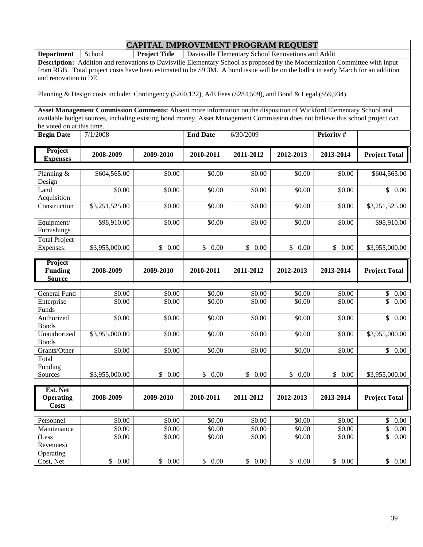**Department** School **Project Title** Davisville Elementary School Renovations and Addit

**Description:** Addition and renovations to Davisville Elementary School as proposed by the Modernization Committee with input from RGB. Total project costs have been estimated to be \$9.3M. A bond issue will be on the ballot in early March for an addition and renovation to DE.

Planning & Design costs include: Contingency (\$260,122), A/E Fees (\$284,509), and Bond & Legal (\$59,934).

| <b>Begin Date</b>                          | 7/1/2008       |                      | <b>End Date</b>      | 6/30/2009  |                    | <b>Priority#</b> |                         |
|--------------------------------------------|----------------|----------------------|----------------------|------------|--------------------|------------------|-------------------------|
| Project<br><b>Expenses</b>                 | 2008-2009      | 2009-2010            | 2010-2011            | 2011-2012  | 2012-2013          | 2013-2014        | <b>Project Total</b>    |
|                                            |                |                      |                      |            |                    |                  |                         |
| Planning &<br>Design                       | \$604,565.00   | \$0.00               | \$0.00               | \$0.00     | \$0.00             | \$0.00           | \$604,565.00            |
| Land<br>Acquisition                        | \$0.00         | \$0.00               | \$0.00               | \$0.00     | \$0.00             | \$0.00           | \$0.00                  |
| Construction                               | \$3,251,525.00 | \$0.00               | \$0.00               | \$0.00     | $\overline{$}0.00$ | \$0.00           | \$3,251,525.00          |
| Equipment/<br>Furnishings                  | \$98,910.00    | \$0.00               | \$0.00               | \$0.00     | \$0.00             | \$0.00           | \$98,910.00             |
| <b>Total Project</b>                       |                |                      |                      |            |                    |                  |                         |
| Expenses:                                  | \$3,955,000.00 | \$0.00               | \$0.00               | \$0.00     | \$0.00             | \$<br>0.00       | \$3,955,000.00          |
| Project<br><b>Funding</b><br><b>Source</b> | 2008-2009      | 2009-2010            | 2010-2011            | 2011-2012  | 2012-2013          | 2013-2014        | <b>Project Total</b>    |
|                                            |                |                      |                      |            |                    |                  |                         |
| <b>General Fund</b>                        | \$0.00         | \$0.00               | \$0.00               | \$0.00     | \$0.00             | \$0.00           | \$<br>0.00              |
| Enterprise<br>Funds                        | \$0.00         | \$0.00               | \$0.00               | \$0.00     | \$0.00             | \$0.00           | \$<br>0.00              |
| Authorized<br><b>Bonds</b>                 | \$0.00         | \$0.00               | \$0.00               | \$0.00     | \$0.00             | \$0.00           | \$<br>0.00              |
| Unauthorized<br><b>Bonds</b>               | \$3,955,000.00 | \$0.00               | \$0.00               | \$0.00     | \$0.00             | \$0.00           | \$3,955,000.00          |
| Grants/Other                               | \$0.00         | \$0.00               | \$0.00               | \$0.00     | \$0.00             | \$0.00           | $\overline{\$}$<br>0.00 |
| Total                                      |                |                      |                      |            |                    |                  |                         |
| Funding                                    |                |                      |                      |            |                    |                  |                         |
| Sources                                    | \$3,955,000.00 | $\mathbb{S}$<br>0.00 | $\mathbb{S}$<br>0.00 | \$<br>0.00 | \$0.00             | \$<br>0.00       | \$3,955,000.00          |
| Est. Net                                   |                |                      |                      |            |                    |                  |                         |
| <b>Operating</b><br><b>Costs</b>           | 2008-2009      | 2009-2010            | 2010-2011            | 2011-2012  | 2012-2013          | 2013-2014        | <b>Project Total</b>    |
|                                            |                |                      |                      |            |                    |                  |                         |
| Personnel                                  | \$0.00         | \$0.00               | \$0.00               | \$0.00     | \$0.00             | \$0.00           | \$<br>0.00              |
| $\overline{\mathrm{M}}$ aintenance         | \$0.00         | \$0.00               | \$0.00               | \$0.00     | \$0.00             | \$0.00           | \$<br>0.00              |
| (Less<br>Revenues)                         | \$0.00         | \$0.00               | \$0.00               | \$0.00     | \$0.00             | \$0.00           | \$<br>0.00              |
| Operating<br>Cost, Net                     | 0.00<br>\$     | \$<br>0.00           | \$0.00               | \$0.00     | \$0.00             | \$<br>0.00       | \$<br>0.00              |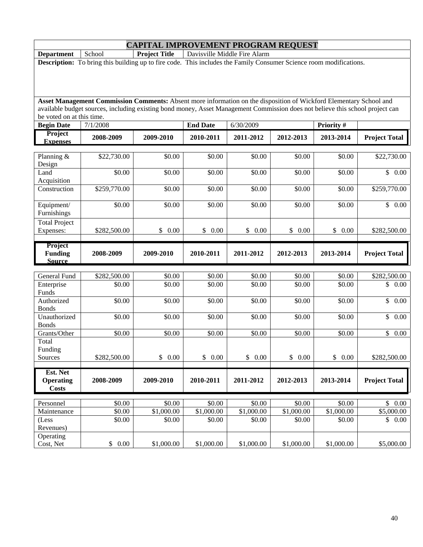**Department** School **Project Title** Davisville Middle Fire Alarm **Description:** To bring this building up to fire code. This includes the Family Consumer Science room modifications.

| <b>Begin Date</b>                            | 7/1/2008               |                  | <b>End Date</b>                  | 6/30/2009             |                      | Priority #           |                                  |
|----------------------------------------------|------------------------|------------------|----------------------------------|-----------------------|----------------------|----------------------|----------------------------------|
| Project<br><b>Expenses</b>                   | 2008-2009              | 2009-2010        | 2010-2011                        | 2011-2012             | 2012-2013            | 2013-2014            | <b>Project Total</b>             |
| Planning &<br>Design                         | \$22,730.00            | \$0.00           | \$0.00                           | \$0.00                | \$0.00               | \$0.00               | \$22,730.00                      |
| Land<br>Acquisition                          | \$0.00                 | \$0.00           | \$0.00                           | \$0.00                | \$0.00               | \$0.00               | $\overline{\mathcal{S}}$<br>0.00 |
| Construction                                 | \$259,770.00           | \$0.00           | \$0.00                           | \$0.00                | \$0.00               | \$0.00               | \$259,770.00                     |
| Equipment/<br>Furnishings                    | \$0.00                 | \$0.00           | \$0.00                           | \$0.00                | \$0.00               | \$0.00               | \$0.00                           |
| <b>Total Project</b><br>Expenses:            | \$282,500.00           | \$<br>0.00       | \$<br>0.00                       | \$0.00                | $\mathbb{S}$<br>0.00 | $\mathbb{S}$<br>0.00 | \$282,500.00                     |
| Project<br><b>Funding</b><br><b>Source</b>   | 2008-2009              | 2009-2010        | 2010-2011                        | 2011-2012             | 2012-2013            | 2013-2014            | <b>Project Total</b>             |
|                                              |                        |                  |                                  |                       |                      |                      |                                  |
| <b>General Fund</b><br>Enterprise<br>Funds   | \$282,500.00<br>\$0.00 | \$0.00<br>\$0.00 | \$0.00<br>\$0.00                 | \$0.00<br>\$0.00      | \$0.00<br>\$0.00     | \$0.00<br>\$0.00     | \$282,500.00<br>\$0.00           |
| Authorized<br><b>Bonds</b>                   | \$0.00                 | \$0.00           | \$0.00                           | \$0.00                | \$0.00               | \$0.00               | $\mathbb{S}$<br>0.00             |
| Unauthorized<br><b>Bonds</b>                 | \$0.00                 | \$0.00           | \$0.00                           | \$0.00                | \$0.00               | \$0.00               | \$<br>0.00                       |
| Grants/Other                                 | \$0.00                 | \$0.00           | \$0.00                           | \$0.00                | \$0.00               | \$0.00               | $\mathbb{S}$<br>0.00             |
| Total<br>Funding                             |                        |                  |                                  |                       |                      |                      |                                  |
| Sources                                      | \$282,500.00           | \$<br>0.00       | $\mathbb{S}$<br>0.00             | $\mathsf{\$}$<br>0.00 | $\mathbb{S}$<br>0.00 | $\mathbb{S}$<br>0.00 | \$282,500.00                     |
| Est. Net<br><b>Operating</b><br><b>Costs</b> | 2008-2009              | 2009-2010        | 2010-2011                        | 2011-2012             | 2012-2013            | 2013-2014            | <b>Project Total</b>             |
| Personnel                                    | $\overline{$}0.00$     | \$0.00           |                                  |                       |                      | \$0.00               | $\mathbb{S}$                     |
| $\overline{\mathrm{M}}$ aintenance           | \$0.00                 | \$1,000.00       | $\overline{$}0.00$<br>\$1,000.00 | \$0.00<br>\$1,000.00  | \$0.00<br>\$1,000.00 | \$1,000.00           | 0.00<br>\$5,000.00               |
| (Less<br>Revenues)                           | \$0.00                 | \$0.00           | \$0.00                           | \$0.00                | \$0.00               | \$0.00               | \$<br>0.00                       |
| Operating<br>Cost, Net                       | \$0.00                 | \$1,000.00       | \$1,000.00                       | \$1,000.00            | \$1,000.00           | \$1,000.00           | \$5,000.00                       |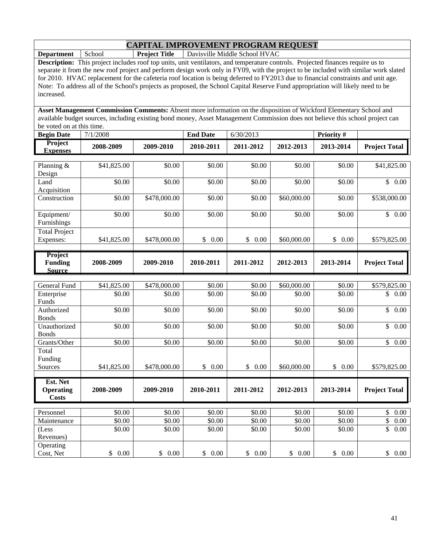**Department** School **Project Title** Davisville Middle School HVAC

**Description:** This project includes roof top units, unit ventilators, and temperature controls. Projected finances require us to separate it from the new roof project and perform design work only in FY09, with the project to be included with similar work slated for 2010. HVAC replacement for the cafeteria roof location is being deferred to FY2013 due to financial constraints and unit age. Note: To address all of the School's projects as proposed, the School Capital Reserve Fund appropriation will likely need to be increased.

| <b>Begin Date</b>          | 7/1/2008    |           | <b>End Date</b> | 6/30/2013 |           | <b>Priority #</b> |                      |
|----------------------------|-------------|-----------|-----------------|-----------|-----------|-------------------|----------------------|
| Project<br><b>Expenses</b> | 2008-2009   | 2009-2010 | 2010-2011       | 2011-2012 | 2012-2013 | 2013-2014         | <b>Project Total</b> |
|                            |             |           |                 |           |           |                   |                      |
| Planning $\&$              | \$41,825.00 | \$0.00    | \$0.00          | \$0.00    | \$0.00    | \$0.00            | \$41,825.00          |
| Design                     |             |           |                 |           |           |                   |                      |
| Land                       | \$0.00      | \$0.00    | \$0.00          | \$0.00    | \$0.00    | \$0.00            | 0.00                 |
| Acquisition                |             |           |                 |           |           |                   |                      |

| <b>Project</b><br><b>Funding</b><br><b>Source</b> | 2008-2009   | 2009-2010    | 2010-2011  | 2011-2012  | 2012-2013   | 2013-2014 | <b>Project Total</b> |
|---------------------------------------------------|-------------|--------------|------------|------------|-------------|-----------|----------------------|
|                                                   |             |              |            |            |             |           |                      |
| <b>Total Project</b><br>Expenses:                 | \$41,825.00 | \$478,000.00 | 0.00<br>S. | 0.00<br>\$ | \$60,000.00 | 0.00<br>S | \$579,825.00         |
| Equipment/<br>Furnishings                         | \$0.00      | \$0.00       | \$0.00     | \$0.00     | \$0.00      | \$0.00    | \$0.00               |
| Construction                                      | \$0.00      | \$478,000.00 | \$0.00     | \$0.00     | \$60,000.00 | \$0.00    | \$538,000.00         |
| Acquisition                                       |             |              |            |            |             |           |                      |

| General Fund     | \$41,825.00 | \$478,000.00 | \$0.00     | \$0.00     | \$60,000.00 | \$0.00     | \$579,825.00         |
|------------------|-------------|--------------|------------|------------|-------------|------------|----------------------|
| Enterprise       | \$0.00      | \$0.00       | \$0.00     | \$0.00     | \$0.00      | \$0.00     | \$<br>0.00           |
| Funds            |             |              |            |            |             |            |                      |
| Authorized       | \$0.00      | \$0.00       | \$0.00     | \$0.00     | \$0.00      | \$0.00     | \$<br>0.00           |
| <b>Bonds</b>     |             |              |            |            |             |            |                      |
| Unauthorized     | \$0.00      | \$0.00       | \$0.00     | \$0.00     | \$0.00      | \$0.00     | \$<br>0.00           |
| <b>Bonds</b>     |             |              |            |            |             |            |                      |
| Grants/Other     | \$0.00      | \$0.00       | \$0.00     | \$0.00     | \$0.00      | \$0.00     | \$<br>0.00           |
| Total            |             |              |            |            |             |            |                      |
| Funding          |             |              |            |            |             |            |                      |
| Sources          |             | \$478,000.00 | \$<br>0.00 | \$<br>0.00 | \$60,000.00 | \$<br>0.00 |                      |
|                  | \$41,825.00 |              |            |            |             |            | \$579,825.00         |
|                  |             |              |            |            |             |            |                      |
| Est. Net         |             |              |            |            |             |            |                      |
| <b>Operating</b> | 2008-2009   | 2009-2010    | 2010-2011  | 2011-2012  | 2012-2013   | 2013-2014  | <b>Project Total</b> |
| Costs            |             |              |            |            |             |            |                      |
|                  |             |              |            |            |             |            |                      |
| Personnel        | \$0.00      | \$0.00       | \$0.00     | \$0.00     | \$0.00      | \$0.00     | \$<br>0.00           |
| Maintenance      | \$0.00      | \$0.00       | \$0.00     | \$0.00     | \$0.00      | \$0.00     | \$<br>0.00           |
| (Less            | \$0.00      | \$0.00       | \$0.00     | \$0.00     | \$0.00      | \$0.00     | \$<br>0.00           |
| Revenues)        |             |              |            |            |             |            |                      |
| Operating        |             |              |            |            |             |            |                      |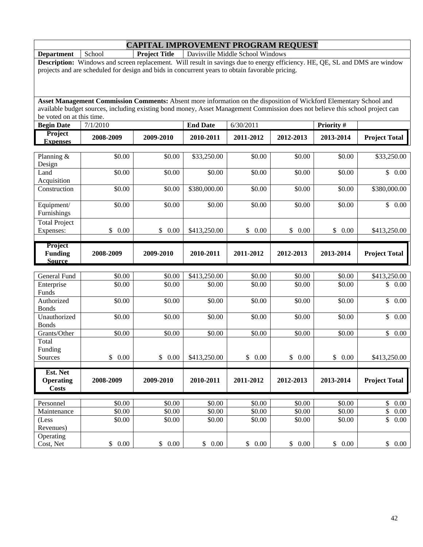**Department** School **Project Title** Davisville Middle School Windows

**Description:** Windows and screen replacement. Will result in savings due to energy efficiency. HE, QE, SL and DMS are window projects and are scheduled for design and bids in concurrent years to obtain favorable pricing.

| <b>Begin Date</b>                            | 7/1/2010             |                    | <b>End Date</b>        | 6/30/2011            |                  | Priority #           |                           |
|----------------------------------------------|----------------------|--------------------|------------------------|----------------------|------------------|----------------------|---------------------------|
| Project<br><b>Expenses</b>                   | 2008-2009            | 2009-2010          | 2010-2011              | 2011-2012            | 2012-2013        | 2013-2014            | <b>Project Total</b>      |
| Planning &<br>Design                         | \$0.00               | \$0.00             | \$33,250.00            | \$0.00               | \$0.00           | \$0.00               | \$33,250.00               |
| Land<br>Acquisition                          | \$0.00               | \$0.00             | \$0.00                 | \$0.00               | \$0.00           | \$0.00               | \$0.00                    |
| Construction                                 | \$0.00               | \$0.00             | \$380,000.00           | \$0.00               | \$0.00           | \$0.00               | \$380,000.00              |
| Equipment/<br>Furnishings                    | \$0.00               | \$0.00             | \$0.00                 | \$0.00               | \$0.00           | \$0.00               | \$0.00                    |
| <b>Total Project</b><br>Expenses:            | $\mathbb{S}$<br>0.00 | \$0.00             | \$413,250.00           | $\mathbb{S}$<br>0.00 | \$<br>0.00       | \$<br>0.00           | \$413,250.00              |
| Project<br><b>Funding</b><br><b>Source</b>   | 2008-2009            | 2009-2010          | 2010-2011              | 2011-2012            | 2012-2013        | 2013-2014            | <b>Project Total</b>      |
|                                              |                      |                    |                        |                      |                  |                      |                           |
| General Fund<br>Enterprise<br>Funds          | \$0.00<br>\$0.00     | \$0.00<br>\$0.00   | \$413,250.00<br>\$0.00 | \$0.00<br>\$0.00     | \$0.00<br>\$0.00 | \$0.00<br>\$0.00     | \$413,250.00<br>\$0.00    |
| Authorized<br><b>Bonds</b>                   | \$0.00               | \$0.00             | \$0.00                 | \$0.00               | \$0.00           | \$0.00               | \$<br>0.00                |
| Unauthorized<br><b>Bonds</b>                 | \$0.00               | \$0.00             | \$0.00                 | \$0.00               | \$0.00           | \$0.00               | $\mathbb{S}$<br>0.00      |
| Grants/Other                                 | \$0.00               | \$0.00             | \$0.00                 | \$0.00               | \$0.00           | \$0.00               | $\mathsf{\$}$<br>$0.00\,$ |
| Total<br>Funding                             |                      |                    |                        |                      |                  |                      |                           |
| Sources                                      | $\mathbb{S}$<br>0.00 | \$0.00             | \$413,250.00           | \$<br>0.00           | \$<br>0.00       | $\mathbb{S}$<br>0.00 | \$413,250.00              |
| Est. Net<br><b>Operating</b><br><b>Costs</b> | 2008-2009            | 2009-2010          | 2010-2011              | 2011-2012            | 2012-2013        | 2013-2014            | <b>Project Total</b>      |
| Personnel                                    | \$0.00               | \$0.00             | \$0.00                 | \$0.00               | \$0.00           | \$0.00               | \$<br>$0.00\,$            |
| Maintenance                                  | $\overline{$}0.00$   | $\overline{$}0.00$ | $\overline{$}0.00$     | $\overline{$}0.00$   | \$0.00           | $\overline{$}0.00$   | \$<br>$0.00\,$            |
| (Less<br>Revenues)                           | \$0.00               | \$0.00             | \$0.00                 | \$0.00               | \$0.00           | \$0.00               | \$<br>0.00                |
| Operating<br>Cost, Net                       | \$0.00               | \$0.00             | \$0.00                 | \$0.00               | \$0.00           | \$0.00               | $\mathbb{S}$<br>0.00      |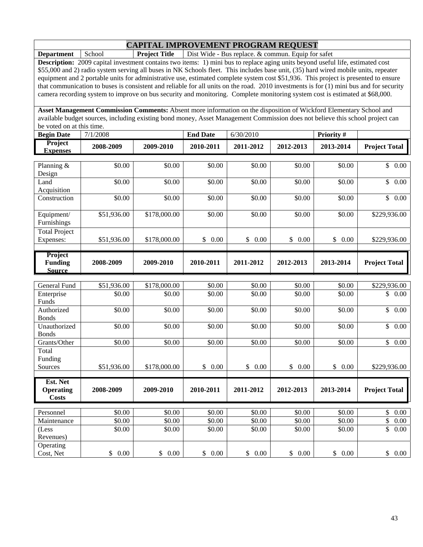**Department** School **Project Title** Dist Wide - Bus replace. & commun. Equip for safet

**Description:** 2009 capital investment contains two items: 1) mini bus to replace aging units beyond useful life, estimated cost \$55,000 and 2) radio system serving all buses in NK Schools fleet. This includes base unit, (35) hard wired mobile units, repeater equipment and 2 portable units for administrative use, estimated complete system cost \$51,936. This project is presented to ensure that communication to buses is consistent and reliable for all units on the road. 2010 investments is for (1) mini bus and for security camera recording system to improve on bus security and monitoring. Complete monitoring system cost is estimated at \$68,000.

**Asset Management Commission Comments:** Absent more information on the disposition of Wickford Elementary School and available budget sources, including existing bond money, Asset Management Commission does not believe this school project can be voted on at this time.

| <b>Begin Date</b>                 | 7/1/2008  |           | <b>End Date</b> | 6/30/2010 |           | <b>Priority</b> # |                      |
|-----------------------------------|-----------|-----------|-----------------|-----------|-----------|-------------------|----------------------|
| <b>Project</b><br><b>Expenses</b> | 2008-2009 | 2009-2010 | 2010-2011       | 2011-2012 | 2012-2013 | 2013-2014         | <b>Project Total</b> |

| Planning &           | \$0.00      | \$0.00       | \$0.00     | \$0.00         | \$0.00               | \$0.00             | \$<br>0.00              |
|----------------------|-------------|--------------|------------|----------------|----------------------|--------------------|-------------------------|
| Design               |             |              |            |                |                      |                    |                         |
| Land                 | \$0.00      | \$0.00       | \$0.00     | \$0.00         | \$0.00               | \$0.00             | $\overline{\$}$<br>0.00 |
| Acquisition          |             |              |            |                |                      |                    |                         |
| Construction         | \$0.00      | \$0.00       | \$0.00     | \$0.00         | \$0.00               | \$0.00             | $\mathsf{\$}$<br>0.00   |
| Equipment/           | \$51,936.00 | \$178,000.00 | \$0.00     | \$0.00         | \$0.00               | \$0.00             | \$229,936.00            |
| Furnishings          |             |              |            |                |                      |                    |                         |
|                      |             |              |            |                |                      |                    |                         |
| <b>Total Project</b> |             |              |            |                |                      |                    |                         |
| Expenses:            | \$51,936.00 | \$178,000.00 | \$<br>0.00 | \$<br>0.00     | $\mathbb{S}$<br>0.00 | \$<br>0.00         | \$229,936.00            |
| Project              |             |              |            |                |                      |                    |                         |
| <b>Funding</b>       | 2008-2009   | 2009-2010    | 2010-2011  | 2011-2012      | 2012-2013            | 2013-2014          | <b>Project Total</b>    |
| <b>Source</b>        |             |              |            |                |                      |                    |                         |
|                      |             |              |            |                |                      |                    |                         |
| <b>General Fund</b>  | \$51,936.00 | \$178,000.00 | \$0.00     | \$0.00         | \$0.00               | \$0.00             | \$229,936.00            |
| Enterprise           | \$0.00      | \$0.00       | \$0.00     | \$0.00         | \$0.00               | \$0.00             | $\mathbb{S}$<br>0.00    |
| Funds                |             |              |            |                |                      |                    |                         |
| Authorized           | \$0.00      | \$0.00       | \$0.00     | \$0.00         | \$0.00               | \$0.00             | \$<br>0.00              |
| <b>Bonds</b>         |             |              |            |                |                      |                    |                         |
| Unauthorized         | \$0.00      | \$0.00       | \$0.00     | \$0.00         | \$0.00               | \$0.00             | \$<br>0.00              |
| <b>Bonds</b>         |             |              |            |                |                      |                    |                         |
| Grants/Other         | \$0.00      | \$0.00       | \$0.00     | \$0.00         | \$0.00               | \$0.00             | $\mathbb{S}^-$<br>0.00  |
| Total                |             |              |            |                |                      |                    |                         |
| Funding              |             |              |            |                |                      |                    |                         |
| Sources              | \$51,936.00 | \$178,000.00 | \$<br>0.00 | \$<br>0.00     | \$<br>0.00           | \$<br>0.00         | \$229,936.00            |
|                      |             |              |            |                |                      |                    |                         |
| Est. Net             |             |              |            |                |                      |                    |                         |
| <b>Operating</b>     | 2008-2009   | 2009-2010    | 2010-2011  | 2011-2012      | 2012-2013            | 2013-2014          | <b>Project Total</b>    |
| <b>Costs</b>         |             |              |            |                |                      |                    |                         |
| Personnel            | \$0.00      | \$0.00       | \$0.00     | \$0.00         | \$0.00               | \$0.00             | \$<br>0.00              |
| Maintenance          | \$0.00      | \$0.00       | \$0.00     | \$0.00         | \$0.00               | $\overline{$}0.00$ | \$<br>0.00              |
| (Less                | \$0.00      | \$0.00       | \$0.00     | $\sqrt{$0.00}$ | \$0.00               | \$0.00             | \$<br>0.00              |
|                      |             |              |            |                |                      |                    |                         |

Cost, Net \$ 0.00 \$ 0.00 \$ 0.00 \$ 0.00 \$ 0.00 \$ 0.00 \$ 0.00

 $$0.00$   $$0.00$   $$0.00$   $$0.00$   $$0.00$   $$0.00$   $$0.00$   $$0.00$ 

Revenues)

**Operating**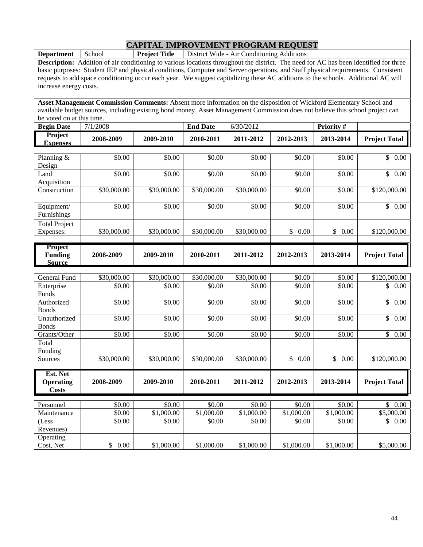**Department** School **Project Title** District Wide - Air Conditioning Additions

**Description:** Addition of air conditioning to various locations throughout the district. The need for AC has been identified for three basic purposes: Student IEP and physical conditions, Computer and Server operations, and Staff physical requirements. Consistent requests to add space conditioning occur each year. We suggest capitalizing these AC additions to the schools. Additional AC will increase energy costs.

| <b>Begin</b><br><b>Date</b>       | 7/1/2008  |           | <b>End Date</b> | 6/30/2012 |           | <b>Priority</b> # |                      |
|-----------------------------------|-----------|-----------|-----------------|-----------|-----------|-------------------|----------------------|
| <b>Project</b><br><b>Expenses</b> | 2008-2009 | 2009-2010 | 2010-2011       | 2011-2012 | 2012-2013 | 2013-2014         | <b>Project Total</b> |

| Planning &<br>Design                         | \$0.00      | \$0.00      | \$0.00      | \$0.00      | \$0.00               | \$0.00     | \$<br>0.00                      |
|----------------------------------------------|-------------|-------------|-------------|-------------|----------------------|------------|---------------------------------|
| Land<br>Acquisition                          | \$0.00      | \$0.00      | \$0.00      | \$0.00      | \$0.00               | \$0.00     | $\mathbb{S}$<br>0.00            |
| Construction                                 | \$30,000.00 | \$30,000.00 | \$30,000.00 | \$30,000.00 | \$0.00               | \$0.00     | \$120,000.00                    |
| Equipment/<br>Furnishings                    | \$0.00      | \$0.00      | \$0.00      | \$0.00      | \$0.00               | \$0.00     | $\mathbb{S}$<br>0.00            |
| <b>Total Project</b><br>Expenses:            | \$30,000.00 | \$30,000.00 | \$30,000.00 | \$30,000.00 | $\mathbb{S}$<br>0.00 | \$<br>0.00 | \$120,000.00                    |
| Project<br><b>Funding</b><br><b>Source</b>   | 2008-2009   | 2009-2010   | 2010-2011   | 2011-2012   | 2012-2013            | 2013-2014  | <b>Project Total</b>            |
| <b>General Fund</b>                          | \$30,000.00 | \$30,000.00 | \$30,000.00 | \$30,000.00 | \$0.00               | 50.00      | \$120,000.00                    |
| Enterprise<br>Funds                          | \$0.00      | \$0.00      | \$0.00      | \$0.00      | \$0.00               | \$0.00     | $\mathbb{S}$<br>0.00            |
| Authorized<br><b>Bonds</b>                   | \$0.00      | \$0.00      | \$0.00      | \$0.00      | \$0.00               | \$0.00     | \$<br>0.00                      |
| Unauthorized<br><b>Bonds</b>                 | \$0.00      | \$0.00      | \$0.00      | \$0.00      | \$0.00               | \$0.00     | \$<br>0.00                      |
| Grants/Other                                 | \$0.00      | \$0.00      | \$0.00      | \$0.00      | \$0.00               | \$0.00     | $\overline{\mathbb{S}}$<br>0.00 |
| Total<br>Funding<br>Sources                  | \$30,000.00 | \$30,000.00 | \$30,000.00 | \$30,000.00 | \$0.00               | \$<br>0.00 | \$120,000.00                    |
| Est. Net<br><b>Operating</b><br><b>Costs</b> | 2008-2009   | 2009-2010   | 2010-2011   | 2011-2012   | 2012-2013            | 2013-2014  | <b>Project Total</b>            |
| Personnel                                    | \$0.00      | \$0.00      | \$0.00      | \$0.00      | \$0.00               | \$0.00     | $\mathbb{S}$<br>0.00            |
| Maintenance                                  | \$0.00      | \$1,000.00  | \$1,000.00  | \$1,000.00  | \$1,000.00           | \$1,000.00 | \$5,000.00                      |
| (Less<br>Revenues)                           | \$0.00      | \$0.00      | \$0.00      | \$0.00      | \$0.00               | \$0.00     | \$<br>0.00                      |
| Operating<br>Cost, Net                       | \$<br>0.00  | \$1,000.00  | \$1,000.00  | \$1,000.00  | \$1,000.00           | \$1,000.00 | \$5,000.00                      |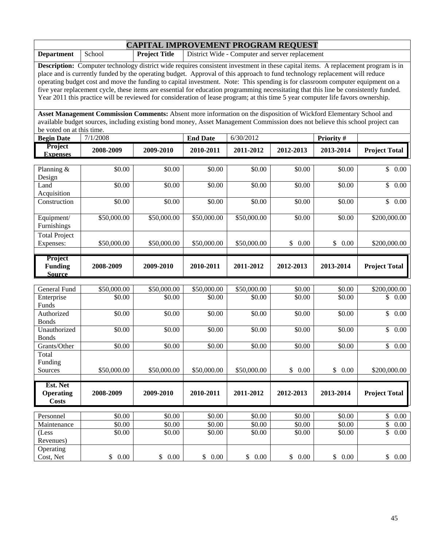|                                                                                                                                                                                                                                                                                                                                                                                                                                                                                                                                                                                                                                                                                        |                       | <b>CAPITAL IMPROVEMENT PROGRAM REQUEST</b> |                       |                                                 |                  |                  |                                       |  |  |  |  |
|----------------------------------------------------------------------------------------------------------------------------------------------------------------------------------------------------------------------------------------------------------------------------------------------------------------------------------------------------------------------------------------------------------------------------------------------------------------------------------------------------------------------------------------------------------------------------------------------------------------------------------------------------------------------------------------|-----------------------|--------------------------------------------|-----------------------|-------------------------------------------------|------------------|------------------|---------------------------------------|--|--|--|--|
| <b>Department</b>                                                                                                                                                                                                                                                                                                                                                                                                                                                                                                                                                                                                                                                                      | School                | <b>Project Title</b>                       |                       | District Wide - Computer and server replacement |                  |                  |                                       |  |  |  |  |
| <b>Description:</b> Computer technology district wide requires consistent investment in these capital items. A replacement program is in<br>place and is currently funded by the operating budget. Approval of this approach to fund technology replacement will reduce<br>operating budget cost and move the funding to capital investment. Note: This spending is for classroom computer equipment on a<br>five year replacement cycle, these items are essential for education programming necessitating that this line be consistently funded.<br>Year 2011 this practice will be reviewed for consideration of lease program; at this time 5 year computer life favors ownership. |                       |                                            |                       |                                                 |                  |                  |                                       |  |  |  |  |
| Asset Management Commission Comments: Absent more information on the disposition of Wickford Elementary School and<br>available budget sources, including existing bond money, Asset Management Commission does not believe this school project can<br>be voted on at this time.                                                                                                                                                                                                                                                                                                                                                                                                       |                       |                                            |                       |                                                 |                  |                  |                                       |  |  |  |  |
| <b>Begin Date</b>                                                                                                                                                                                                                                                                                                                                                                                                                                                                                                                                                                                                                                                                      | 7/1/2008              |                                            | <b>End Date</b>       | 6/30/2012                                       |                  | Priority#        |                                       |  |  |  |  |
| Project<br><b>Expenses</b>                                                                                                                                                                                                                                                                                                                                                                                                                                                                                                                                                                                                                                                             | 2008-2009             | 2009-2010                                  | 2010-2011             | 2011-2012                                       | 2012-2013        | 2013-2014        | <b>Project Total</b>                  |  |  |  |  |
| Planning &<br>Design                                                                                                                                                                                                                                                                                                                                                                                                                                                                                                                                                                                                                                                                   | \$0.00                | \$0.00                                     | \$0.00                | \$0.00                                          | \$0.00           | \$0.00           | \$<br>0.00                            |  |  |  |  |
| Land<br>Acquisition                                                                                                                                                                                                                                                                                                                                                                                                                                                                                                                                                                                                                                                                    | \$0.00                | \$0.00                                     | \$0.00                | \$0.00                                          | \$0.00           | \$0.00           | \$<br>0.00                            |  |  |  |  |
| Construction                                                                                                                                                                                                                                                                                                                                                                                                                                                                                                                                                                                                                                                                           | \$0.00                | \$0.00                                     | \$0.00                | \$0.00                                          | \$0.00           | \$0.00           | $\mathbb{S}$<br>0.00                  |  |  |  |  |
| Equipment/<br>Furnishings                                                                                                                                                                                                                                                                                                                                                                                                                                                                                                                                                                                                                                                              | \$50,000.00           | \$50,000.00                                | \$50,000.00           | \$50,000.00                                     | \$0.00           | \$0.00           | \$200,000.00                          |  |  |  |  |
| <b>Total Project</b><br>Expenses:                                                                                                                                                                                                                                                                                                                                                                                                                                                                                                                                                                                                                                                      | \$50,000.00           | \$50,000.00                                | \$50,000.00           | \$50,000.00                                     | \$0.00           | \$<br>0.00       | \$200,000.00                          |  |  |  |  |
|                                                                                                                                                                                                                                                                                                                                                                                                                                                                                                                                                                                                                                                                                        |                       |                                            |                       |                                                 |                  |                  |                                       |  |  |  |  |
| Project<br><b>Funding</b><br><b>Source</b>                                                                                                                                                                                                                                                                                                                                                                                                                                                                                                                                                                                                                                             | 2008-2009             | 2009-2010                                  | 2010-2011             | 2011-2012                                       | 2012-2013        | 2013-2014        | <b>Project Total</b>                  |  |  |  |  |
|                                                                                                                                                                                                                                                                                                                                                                                                                                                                                                                                                                                                                                                                                        |                       |                                            |                       |                                                 |                  |                  |                                       |  |  |  |  |
| General Fund<br>Enterprise                                                                                                                                                                                                                                                                                                                                                                                                                                                                                                                                                                                                                                                             | \$50,000.00<br>\$0.00 | \$50,000.00<br>\$0.00                      | \$50,000.00<br>\$0.00 | \$50,000.00<br>\$0.00                           | \$0.00<br>\$0.00 | \$0.00<br>\$0.00 | \$200,000.00<br>\$<br>0.00            |  |  |  |  |
| Funds<br>Authorized                                                                                                                                                                                                                                                                                                                                                                                                                                                                                                                                                                                                                                                                    | \$0.00                | \$0.00                                     | \$0.00                | \$0.00                                          | \$0.00           | \$0.00           | \$<br>0.00                            |  |  |  |  |
| <b>Bonds</b><br>Unauthorized                                                                                                                                                                                                                                                                                                                                                                                                                                                                                                                                                                                                                                                           | \$0.00                | \$0.00                                     | \$0.00                | \$0.00                                          | \$0.00           | \$0.00           | \$0.00                                |  |  |  |  |
| <b>Bonds</b><br>Grants/Other                                                                                                                                                                                                                                                                                                                                                                                                                                                                                                                                                                                                                                                           | \$0.00                | \$0.00                                     | \$0.00                | \$0.00                                          | \$0.00           | \$0.00           | \$0.00                                |  |  |  |  |
| Total<br>Funding<br>Sources                                                                                                                                                                                                                                                                                                                                                                                                                                                                                                                                                                                                                                                            | \$50,000.00           | \$50,000.00                                | \$50,000.00           | \$50,000.00                                     | \$0.00           | \$0.00           | \$200,000.00                          |  |  |  |  |
| Est. Net<br><b>Operating</b><br><b>Costs</b>                                                                                                                                                                                                                                                                                                                                                                                                                                                                                                                                                                                                                                           | 2008-2009             | 2009-2010                                  | 2010-2011             | 2011-2012                                       | 2012-2013        | 2013-2014        | <b>Project Total</b>                  |  |  |  |  |
| Personnel                                                                                                                                                                                                                                                                                                                                                                                                                                                                                                                                                                                                                                                                              | \$0.00                |                                            |                       |                                                 |                  | \$0.00           |                                       |  |  |  |  |
| Maintenance                                                                                                                                                                                                                                                                                                                                                                                                                                                                                                                                                                                                                                                                            | \$0.00                | \$0.00<br>\$0.00                           | \$0.00<br>\$0.00      | \$0.00<br>\$0.00                                | \$0.00<br>\$0.00 | \$0.00           | \$<br>0.00<br>$\overline{\$}$<br>0.00 |  |  |  |  |
| (Less<br>Revenues)<br>Operating                                                                                                                                                                                                                                                                                                                                                                                                                                                                                                                                                                                                                                                        | \$0.00                | \$0.00                                     | \$0.00                | \$0.00                                          | \$0.00           | \$0.00           | $\overline{\$}$<br>0.00               |  |  |  |  |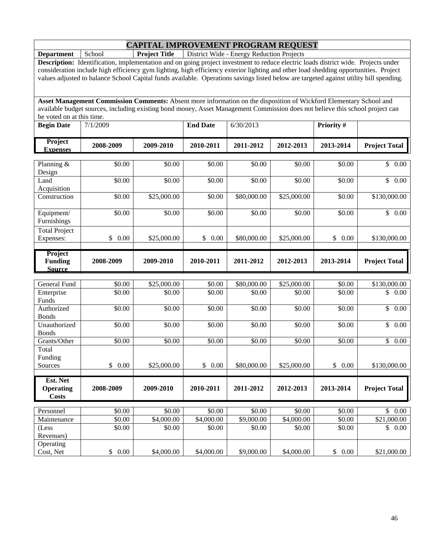**Department** School **Project Title** District Wide - Energy Reduction Projects

**Description:** Identification, implementation and on going project investment to reduce electric loads district wide. Projects under consideration include high efficiency gym lighting, high efficiency exterior lighting and other load shedding opportunities. Project values adjusted to balance School Capital funds available. Operations savings listed below are targeted against utility bill spending.

| <b>Begin Date</b>                            | 7/1/2009              |                      | <b>End Date</b>      | 6/30/2013            |                      | Priority #         |                                  |
|----------------------------------------------|-----------------------|----------------------|----------------------|----------------------|----------------------|--------------------|----------------------------------|
| Project<br><b>Expenses</b>                   | 2008-2009             | 2009-2010            | 2010-2011            | 2011-2012            | 2012-2013            | 2013-2014          | <b>Project Total</b>             |
|                                              |                       |                      |                      |                      |                      |                    |                                  |
| Planning $&$<br>Design                       | \$0.00                | \$0.00               | \$0.00               | \$0.00               | \$0.00               | \$0.00             | $\mathbb{S}$<br>0.00             |
| Land<br>Acquisition                          | \$0.00                | \$0.00               | \$0.00               | \$0.00               | \$0.00               | \$0.00             | $\overline{\mathcal{S}}$<br>0.00 |
| Construction                                 | \$0.00                | \$25,000.00          | \$0.00               | \$80,000.00          | \$25,000.00          | \$0.00             | \$130,000.00                     |
| Equipment/<br>Furnishings                    | \$0.00                | \$0.00               | \$0.00               | \$0.00               | \$0.00               | \$0.00             | \$0.00                           |
| <b>Total Project</b>                         |                       |                      |                      |                      |                      |                    |                                  |
| Expenses:                                    | $\mathbb{S}$<br>0.00  | \$25,000.00          | \$<br>0.00           | \$80,000.00          | \$25,000.00          | \$0.00             | \$130,000.00                     |
| Project<br><b>Funding</b>                    | 2008-2009             | 2009-2010            | 2010-2011            | 2011-2012            | 2012-2013            | 2013-2014          | <b>Project Total</b>             |
| <b>Source</b>                                |                       |                      |                      |                      |                      |                    |                                  |
| <b>General Fund</b>                          | \$0.00                | \$25,000.00          | \$0.00               | \$80,000.00          | \$25,000.00          | \$0.00             | \$130,000.00                     |
| Enterprise<br>Funds                          | \$0.00                | \$0.00               | \$0.00               | \$0.00               | \$0.00               | \$0.00             | \$<br>0.00                       |
| Authorized<br><b>Bonds</b>                   | \$0.00                | \$0.00               | \$0.00               | \$0.00               | \$0.00               | \$0.00             | \$<br>0.00                       |
| Unauthorized<br><b>Bonds</b>                 | \$0.00                | \$0.00               | \$0.00               | \$0.00               | \$0.00               | \$0.00             | $\mathbb{S}$<br>0.00             |
| Grants/Other                                 | \$0.00                | \$0.00               | \$0.00               | \$0.00               | \$0.00               | $\overline{$}0.00$ | $\overline{\mathcal{S}}$<br>0.00 |
| Total                                        |                       |                      |                      |                      |                      |                    |                                  |
| Funding<br>Sources                           | $\mathsf{\$}$<br>0.00 | \$25,000.00          | \$<br>0.00           | \$80,000.00          | \$25,000.00          | \$<br>0.00         | \$130,000.00                     |
|                                              |                       |                      |                      |                      |                      |                    |                                  |
| Est. Net<br><b>Operating</b><br><b>Costs</b> | 2008-2009             | 2009-2010            | 2010-2011            | 2011-2012            | 2012-2013            | 2013-2014          | <b>Project Total</b>             |
|                                              |                       |                      |                      |                      |                      |                    |                                  |
| Personnel<br>Maintenance                     | \$0.00                | \$0.00               | \$0.00<br>\$4,000.00 | \$0.00               | \$0.00               | \$0.00             | $\mathbb{S}$<br>0.00             |
| (Less                                        | \$0.00<br>\$0.00      | \$4,000.00<br>\$0.00 | \$0.00               | \$9,000.00<br>\$0.00 | \$4,000.00<br>\$0.00 | \$0.00<br>\$0.00   | \$21,000.00<br>\$<br>0.00        |
| Revenues)                                    |                       |                      |                      |                      |                      |                    |                                  |
| Operating<br>Cost, Net                       | \$0.00                | \$4,000.00           | \$4,000.00           | \$9,000.00           | \$4,000.00           | \$0.00             | \$21,000.00                      |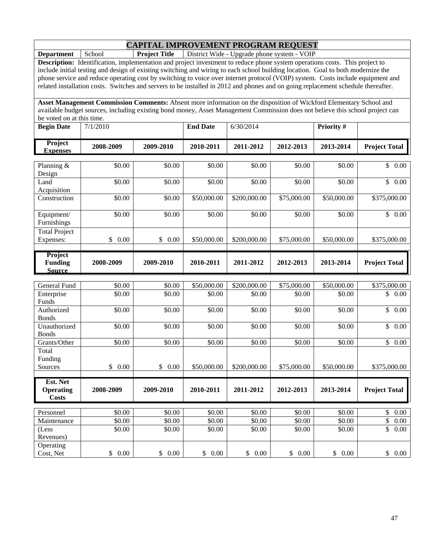**Department** School **Project Title** District Wide - Upgrade phone system - VOIP

**Description:** Identification, implementation and project investment to reduce phone system operations costs. This project to include initial testing and design of existing switching and wiring to each school building location. Goal to both modernize the phone service and reduce operating cost by switching to voice over internet protocol (VOIP) system. Costs include equipment and related installation costs. Switches and servers to be installed in 2012 and phones and on going replacement schedule thereafter.

| <b>Begin Date</b>                 | 7/1/2010  |           | <b>End Date</b> | 6/30/2014 |           | <b>Priority #</b> |                         |
|-----------------------------------|-----------|-----------|-----------------|-----------|-----------|-------------------|-------------------------|
| <b>Project</b><br><b>Expenses</b> | 2008-2009 | 2009-2010 | 2010-2011       | 2011-2012 | 2012-2013 | 2013-2014         | <b>Project Total II</b> |

| Planning $&$         | \$0.00     | \$0.00                     | \$0.00      | \$0.00       | \$0.00      | \$0.00      | $\mathbb{S}$<br>$0.00\,$ |
|----------------------|------------|----------------------------|-------------|--------------|-------------|-------------|--------------------------|
| Design               |            |                            |             |              |             |             |                          |
| Land                 | \$0.00     | \$0.00                     | \$0.00      | \$0.00       | \$0.00      | \$0.00      | $\mathbb{S}$<br>0.00     |
| Acquisition          |            |                            |             |              |             |             |                          |
| Construction         | \$0.00     | \$0.00                     | \$50,000.00 | \$200,000.00 | \$75,000.00 | \$50,000.00 | \$375,000.00             |
|                      |            |                            |             |              |             |             |                          |
| Equipment/           | \$0.00     | \$0.00                     | \$0.00      | \$0.00       | \$0.00      | \$0.00      | \$<br>$0.00\,$           |
| <b>Furnishings</b>   |            |                            |             |              |             |             |                          |
| <b>Total Project</b> |            |                            |             |              |             |             |                          |
| Expenses:            | 0.00<br>\$ | $0.00\,$<br>$\mathbb{S}^-$ | \$50,000.00 | \$200,000.00 | \$75,000.00 | \$50,000.00 | \$375,000.00             |
|                      |            |                            |             |              |             |             |                          |
| Project              |            |                            |             |              |             |             |                          |
| <b>Funding</b>       | 2008-2009  | 2009-2010                  | 2010-2011   | 2011-2012    | 2012-2013   | 2013-2014   | <b>Project Total</b>     |
| <b>Source</b>        |            |                            |             |              |             |             |                          |
|                      |            |                            |             |              |             |             |                          |
| General Fund         | \$0.00     | \$0.00                     | \$50,000.00 | \$200,000.00 | \$75,000.00 | \$50,000.00 | \$375,000.00             |
| Enterprise           | \$0.00     | \$0.00                     | \$0.00      | \$0.00       | \$0.00      | \$0.00      | \$<br>$0.00\,$           |

| ovnorar 1 and    | Ψν. ν          | Ψν. ν                      |             | Ψ~νν,ννν.νν  | φ, υ, υ ο υ ο ο ο | ΨΩΩ,∪OO.∪O  |                        |
|------------------|----------------|----------------------------|-------------|--------------|-------------------|-------------|------------------------|
| Enterprise       | \$0.00         | \$0.00                     | \$0.00      | \$0.00       | \$0.00            | \$0.00      | \$<br>0.00             |
| Funds            |                |                            |             |              |                   |             |                        |
| Authorized       | \$0.00         | \$0.00                     | \$0.00      | \$0.00       | \$0.00            | \$0.00      | $\mathbb{S}^-$<br>0.00 |
| <b>Bonds</b>     |                |                            |             |              |                   |             |                        |
| Unauthorized     | \$0.00         | \$0.00                     | \$0.00      | \$0.00       | \$0.00            | \$0.00      | $\mathbb{S}^-$<br>0.00 |
| <b>Bonds</b>     |                |                            |             |              |                   |             |                        |
| Grants/Other     | \$0.00         | \$0.00                     | \$0.00      | \$0.00       | \$0.00            | \$0.00      | \$<br>0.00             |
| Total            |                |                            |             |              |                   |             |                        |
| Funding          |                |                            |             |              |                   |             |                        |
| Sources          | $0.00\,$<br>\$ | $\mathbb{S}^-$<br>$0.00\,$ | \$50,000.00 | \$200,000.00 | \$75,000.00       | \$50,000.00 | \$375,000.00           |
|                  |                |                            |             |              |                   |             |                        |
|                  |                |                            |             |              |                   |             |                        |
| Est. Net         |                |                            |             |              |                   |             |                        |
| <b>Operating</b> | 2008-2009      | 2009-2010                  | 2010-2011   | 2011-2012    | 2012-2013         | 2013-2014   | <b>Project Total</b>   |
| <b>Costs</b>     |                |                            |             |              |                   |             |                        |
|                  |                |                            |             |              |                   |             |                        |
| Personnel        | \$0.00         | \$0.00                     | \$0.00      | \$0.00       | \$0.00            | \$0.00      | \$<br>0.00             |
| Maintenance      | \$0.00         | \$0.00                     | \$0.00      | \$0.00       | \$0.00            | \$0.00      | \$<br>0.00             |
| (Less            | \$0.00         | \$0.00                     | \$0.00      | \$0.00       | \$0.00            | \$0.00      | \$<br>0.00             |
| Revenues)        |                |                            |             |              |                   |             |                        |
| Operating        | 0.00           | $\mathbb{S}$<br>$0.00\,$   | 0.00        | $\mathbb{S}$ | 0.00              | \$<br>0.00  |                        |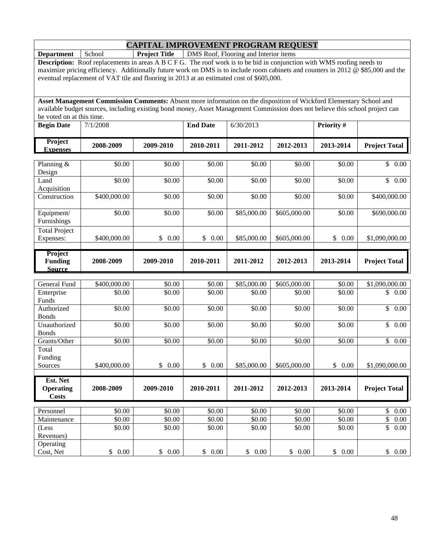**Department** School **Project Title** DMS Roof, Flooring and Interior items

**Description:** Roof replacements in areas A B C F G. The roof work is to be bid in conjunction with WMS roofing needs to maximize pricing efficiency. Additionally future work on DMS is to include room cabinets and counters in 2012 @ \$85,000 and the eventual replacement of VAT tile and flooring in 2013 at an estimated cost of \$605,000.

| <b>Begin Date</b>          | 7/1/2008  |           | <b>End Date</b> | 6/30/2013 |           | <b>Priority #</b> |                      |
|----------------------------|-----------|-----------|-----------------|-----------|-----------|-------------------|----------------------|
| <b>Project</b><br>Expenses | 2008-2009 | 2009-2010 | 2010-2011       | 2011-2012 | 2012-2013 | 2013-2014         | <b>Project Total</b> |
|                            |           |           |                 |           |           |                   |                      |

| Planning &<br>Design                       | \$0.00       | \$0.00     | \$0.00     | \$0.00      | \$0.00               | \$0.00     | \$<br>0.00           |
|--------------------------------------------|--------------|------------|------------|-------------|----------------------|------------|----------------------|
| Land<br>Acquisition                        | \$0.00       | \$0.00     | \$0.00     | \$0.00      | \$0.00               | \$0.00     | \$<br>0.00           |
| Construction                               | \$400,000.00 | \$0.00     | \$0.00     | \$0.00      | \$0.00               | \$0.00     | \$400,000.00         |
| Equipment/<br>Furnishings                  | \$0.00       | \$0.00     | \$0.00     | \$85,000.00 | \$605,000.00         | \$0.00     | \$690,000.00         |
| <b>Total Project</b><br>Expenses:          | \$400,000.00 | 0.00<br>\$ | \$<br>0.00 | \$85,000.00 | \$605,000.00         | \$<br>0.00 | \$1,090,000.00       |
|                                            |              |            |            |             |                      |            |                      |
| Project<br><b>Funding</b><br><b>Source</b> | 2008-2009    | 2009-2010  | 2010-2011  | 2011-2012   | 2012-2013            | 2013-2014  | <b>Project Total</b> |
|                                            |              |            |            |             |                      |            |                      |
| <b>General Fund</b>                        | \$400,000.00 | \$0.00     | \$0.00     | \$85,000.00 | \$605,000.00         | \$0.00     | \$1,090,000.00       |
| Enterprise<br>Funds                        | \$0.00       | \$0.00     | \$0.00     | \$0.00      | \$0.00               | \$0.00     | \$<br>0.00           |
| Authorized<br><b>Bonds</b>                 | \$0.00       | \$0.00     | \$0.00     | \$0.00      | \$0.00               | \$0.00     | 0.00<br>\$           |
| Unauthorized<br><b>Bonds</b>               | \$0.00       | \$0.00     | \$0.00     | \$0.00      | \$0.00               | \$0.00     | $\mathbb{S}$<br>0.00 |
| Grants/Other                               | \$0.00       | \$0.00     | \$0.00     | \$0.00      | \$0.00               | \$0.00     | $\mathbb{S}$<br>0.00 |
| Total<br>Funding                           |              |            |            |             |                      |            |                      |
| Sources                                    | \$400,000.00 | \$<br>0.00 | \$<br>0.00 | \$85,000.00 | \$605,000.00         | \$<br>0.00 | \$1,090,000.00       |
| Est. Net                                   |              |            |            |             |                      |            |                      |
| <b>Operating</b><br><b>Costs</b>           | 2008-2009    | 2009-2010  | 2010-2011  | 2011-2012   | 2012-2013            | 2013-2014  | <b>Project Total</b> |
| Personnel                                  | \$0.00       | \$0.00     | \$0.00     | \$0.00      | \$0.00               | \$0.00     | \$<br>0.00           |
| Maintenance                                | \$0.00       | \$0.00     | \$0.00     | \$0.00      | \$0.00               | \$0.00     | \$<br>0.00           |
| (Less<br>Revenues)                         | \$0.00       | \$0.00     | \$0.00     | \$0.00      | \$0.00               | \$0.00     | \$<br>0.00           |
| Operating<br>Cost, Net                     | \$<br>0.00   | \$0.00     | \$<br>0.00 | \$0.00      | $\mathbb{S}$<br>0.00 | \$<br>0.00 | \$<br>$0.00\,$       |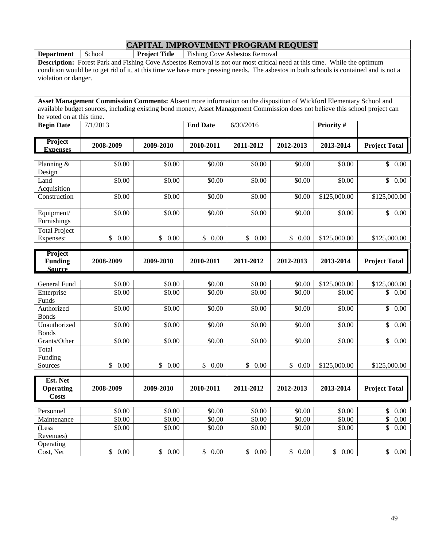**Department** School **Project Title** Fishing Cove Asbestos Removal

**Description:** Forest Park and Fishing Cove Asbestos Removal is not our most critical need at this time. While the optimum condition would be to get rid of it, at this time we have more pressing needs. The asbestos in both schools is contained and is not a violation or danger.

| <b>Begin Date</b>                            | 7/1/2013   |                      | <b>End Date</b> | 6/30/2016 |                      | Priority #   |                      |
|----------------------------------------------|------------|----------------------|-----------------|-----------|----------------------|--------------|----------------------|
| Project<br><b>Expenses</b>                   | 2008-2009  | 2009-2010            | 2010-2011       | 2011-2012 | 2012-2013            | 2013-2014    | <b>Project Total</b> |
| Planning &<br>Design                         | \$0.00     | \$0.00               | \$0.00          | \$0.00    | \$0.00               | \$0.00       | \$0.00               |
| Land<br>Acquisition                          | \$0.00     | \$0.00               | \$0.00          | \$0.00    | \$0.00               | \$0.00       | $\mathbb{S}$<br>0.00 |
| Construction                                 | \$0.00     | \$0.00               | \$0.00          | \$0.00    | \$0.00               | \$125,000.00 | \$125,000.00         |
| Equipment/<br>Furnishings                    | \$0.00     | \$0.00               | \$0.00          | \$0.00    | \$0.00               | \$0.00       | $\frac{1}{2}$ 0.00   |
| <b>Total Project</b><br>Expenses:            | \$<br>0.00 | \$<br>0.00           | \$<br>$0.00\,$  | \$0.00    | \$<br>0.00           | \$125,000.00 | \$125,000.00         |
| Project<br><b>Funding</b><br><b>Source</b>   | 2008-2009  | 2009-2010            | 2010-2011       | 2011-2012 | 2012-2013            | 2013-2014    | <b>Project Total</b> |
|                                              |            |                      |                 |           |                      |              |                      |
| <b>General Fund</b>                          | \$0.00     | \$0.00               | \$0.00          | \$0.00    | \$0.00               | \$125,000.00 | \$125,000.00         |
| Enterprise<br>Funds                          | \$0.00     | \$0.00               | \$0.00          | \$0.00    | \$0.00               | \$0.00       | \$<br>0.00           |
| Authorized<br><b>Bonds</b>                   | \$0.00     | \$0.00               | \$0.00          | \$0.00    | \$0.00               | \$0.00       | $\mathbb{S}$<br>0.00 |
| Unauthorized<br><b>Bonds</b>                 | \$0.00     | \$0.00               | \$0.00          | \$0.00    | \$0.00               | \$0.00       | $\mathbb{S}$<br>0.00 |
| Grants/Other                                 | \$0.00     | \$0.00               | \$0.00          | \$0.00    | \$0.00               | \$0.00       | \$<br>0.00           |
| Total<br>Funding                             |            |                      |                 |           |                      |              |                      |
| Sources                                      | \$0.00     | $\mathbb{S}$<br>0.00 | 0.00<br>\$      | \$0.00    | $\mathbb{S}$<br>0.00 | \$125,000.00 | \$125,000.00         |
| Est. Net<br><b>Operating</b><br><b>Costs</b> | 2008-2009  | 2009-2010            | 2010-2011       | 2011-2012 | 2012-2013            | 2013-2014    | <b>Project Total</b> |
| Personnel                                    | \$0.00     | \$0.00               | \$0.00          | \$0.00    | \$0.00               | \$0.00       | $\mathbb{S}$<br>0.00 |
| Maintenance                                  | \$0.00     | \$0.00               | \$0.00          | \$0.00    | \$0.00               | \$0.00       | \$<br>0.00           |
| (Less<br>Revenues)                           | \$0.00     | \$0.00               | \$0.00          | \$0.00    | \$0.00               | \$0.00       | \$<br>0.00           |
| Operating<br>Cost, Net                       | \$0.00     | \$0.00               | \$<br>0.00      | \$0.00    | \$0.00               | \$0.00       | \$0.00               |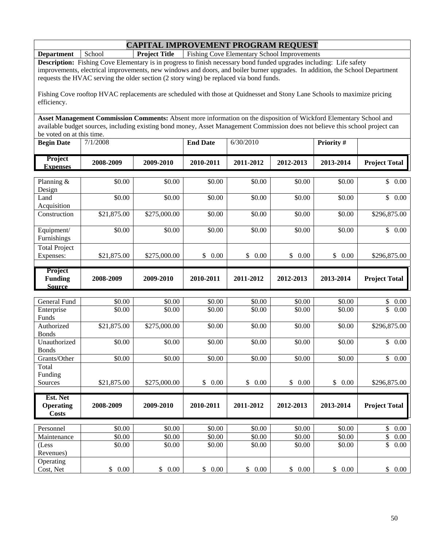**Department** School **Project Title** Fishing Cove Elementary School Improvements

**Description:** Fishing Cove Elementary is in progress to finish necessary bond funded upgrades including: Life safety improvements, electrical improvements, new windows and doors, and boiler burner upgrades. In addition, the School Department requests the HVAC serving the older section (2 story wing) be replaced via bond funds.

Fishing Cove rooftop HVAC replacements are scheduled with those at Quidnesset and Stony Lane Schools to maximize pricing efficiency.

| <b>Begin Date</b>                                 | 7/1/2008    |              | <b>End Date</b> | 6/30/2010      |                            | <b>Priority#</b> |                      |
|---------------------------------------------------|-------------|--------------|-----------------|----------------|----------------------------|------------------|----------------------|
| Project<br><b>Expenses</b>                        | 2008-2009   | 2009-2010    | 2010-2011       | 2011-2012      | 2012-2013                  | 2013-2014        | <b>Project Total</b> |
| Planning $&$<br>Design                            | \$0.00      | \$0.00       | \$0.00          | \$0.00         | \$0.00                     | \$0.00           | $0.00\,$<br>\$       |
| Land<br>Acquisition                               | \$0.00      | \$0.00       | \$0.00          | \$0.00         | \$0.00                     | \$0.00           | \$<br>0.00           |
| Construction                                      | \$21,875.00 | \$275,000.00 | \$0.00          | \$0.00         | \$0.00                     | \$0.00           | \$296,875.00         |
| Equipment/<br>Furnishings                         | \$0.00      | \$0.00       | \$0.00          | \$0.00         | \$0.00                     | \$0.00           | \$<br>0.00           |
| <b>Total Project</b><br>Expenses:                 | \$21,875.00 | \$275,000.00 | \$<br>0.00      | \$<br>$0.00\,$ | $0.00\,$<br>$\mathbb{S}^-$ | \$<br>0.00       | \$296,875.00         |
| <b>Project</b><br><b>Funding</b><br><b>Source</b> | 2008-2009   | 2009-2010    | 2010-2011       | 2011-2012      | 2012-2013                  | 2013-2014        | <b>Project Total</b> |

| General Fund     | \$0.00      | \$0.00       | \$0.00     | \$0.00     | \$0.00     | \$0.00     | \$<br>0.00           |
|------------------|-------------|--------------|------------|------------|------------|------------|----------------------|
| Enterprise       | \$0.00      | \$0.00       | \$0.00     | \$0.00     | \$0.00     | \$0.00     | \$<br>0.00           |
| Funds            |             |              |            |            |            |            |                      |
| Authorized       | \$21,875.00 | \$275,000.00 | \$0.00     | \$0.00     | \$0.00     | \$0.00     | \$296,875.00         |
| <b>Bonds</b>     |             |              |            |            |            |            |                      |
| Unauthorized     | \$0.00      | \$0.00       | \$0.00     | \$0.00     | \$0.00     | \$0.00     | \$<br>0.00           |
| <b>Bonds</b>     |             |              |            |            |            |            |                      |
| Grants/Other     | \$0.00      | \$0.00       | \$0.00     | \$0.00     | \$0.00     | \$0.00     | \$<br>0.00           |
| Total            |             |              |            |            |            |            |                      |
| Funding          |             |              |            |            |            |            |                      |
| Sources          | \$21,875.00 | \$275,000.00 | \$<br>0.00 | \$<br>0.00 | \$<br>0.00 | \$<br>0.00 | \$296,875.00         |
|                  |             |              |            |            |            |            |                      |
|                  |             |              |            |            |            |            |                      |
| Est. Net         |             |              |            |            |            |            |                      |
| <b>Operating</b> | 2008-2009   | 2009-2010    | 2010-2011  | 2011-2012  | 2012-2013  | 2013-2014  | <b>Project Total</b> |
| Costs            |             |              |            |            |            |            |                      |
|                  |             |              |            |            |            |            |                      |
| Personnel        | \$0.00      | \$0.00       | \$0.00     | \$0.00     | \$0.00     | \$0.00     | \$<br>0.00           |
| Maintenance      | \$0.00      | \$0.00       | \$0.00     | \$0.00     | \$0.00     | \$0.00     | \$<br>0.00           |
| (Less            | \$0.00      | \$0.00       | \$0.00     | \$0.00     | \$0.00     | \$0.00     | \$<br>0.00           |
| Revenues)        |             |              |            |            |            |            |                      |
| Operating        |             |              |            |            |            |            |                      |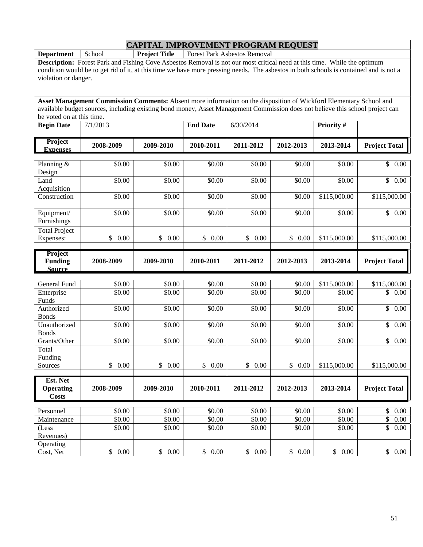**Department** School **Project Title** Forest Park Asbestos Removal

**Description:** Forest Park and Fishing Cove Asbestos Removal is not our most critical need at this time. While the optimum condition would be to get rid of it, at this time we have more pressing needs. The asbestos in both schools is contained and is not a violation or danger.

| <b>Begin Date</b>                            | 7/1/2013   |            | <b>End Date</b>        | 6/30/2014  |            | Priority #   |                                  |
|----------------------------------------------|------------|------------|------------------------|------------|------------|--------------|----------------------------------|
| Project<br><b>Expenses</b>                   | 2008-2009  | 2009-2010  | 2010-2011              | 2011-2012  | 2012-2013  | 2013-2014    | <b>Project Total</b>             |
| Planning &                                   | \$0.00     | \$0.00     | \$0.00                 | \$0.00     | \$0.00     | \$0.00       | $\mathcal{S}$<br>0.00            |
| Design                                       |            |            |                        |            |            |              |                                  |
| Land<br>Acquisition                          | \$0.00     | \$0.00     | \$0.00                 | \$0.00     | \$0.00     | \$0.00       | \$0.00                           |
| Construction                                 | \$0.00     | \$0.00     | \$0.00                 | \$0.00     | \$0.00     | \$115,000.00 | \$115,000.00                     |
| Equipment/<br>Furnishings                    | \$0.00     | \$0.00     | \$0.00                 | \$0.00     | \$0.00     | \$0.00       | \$0.00                           |
| <b>Total Project</b><br>Expenses:            | \$<br>0.00 | \$<br>0.00 | 0.00<br>\$             | \$<br>0.00 | \$<br>0.00 | \$115,000.00 | \$115,000.00                     |
|                                              |            |            |                        |            |            |              |                                  |
| Project<br><b>Funding</b><br><b>Source</b>   | 2008-2009  | 2009-2010  | 2010-2011              | 2011-2012  | 2012-2013  | 2013-2014    | <b>Project Total</b>             |
|                                              |            |            |                        |            |            |              |                                  |
| General Fund                                 | \$0.00     | \$0.00     | \$0.00                 | \$0.00     | \$0.00     | \$115,000.00 | \$115,000.00                     |
| Enterprise<br>Funds                          | \$0.00     | \$0.00     | \$0.00                 | \$0.00     | \$0.00     | \$0.00       | \$<br>0.00                       |
| Authorized<br><b>Bonds</b>                   | \$0.00     | \$0.00     | \$0.00                 | \$0.00     | \$0.00     | \$0.00       | 0.00<br>$\mathbb{S}$             |
| Unauthorized<br><b>Bonds</b>                 | \$0.00     | \$0.00     | \$0.00                 | \$0.00     | \$0.00     | \$0.00       | \$0.00                           |
| Grants/Other                                 | \$0.00     | \$0.00     | \$0.00                 | \$0.00     | \$0.00     | \$0.00       | $\overline{\mathcal{S}}$<br>0.00 |
| Total<br>Funding                             |            |            |                        |            |            |              |                                  |
| Sources                                      | \$0.00     | \$0.00     | $\mathbb{S}$<br>0.00   | \$0.00     | \$<br>0.00 | \$115,000.00 | \$115,000.00                     |
| Est. Net<br><b>Operating</b><br><b>Costs</b> | 2008-2009  | 2009-2010  | 2010-2011              | 2011-2012  | 2012-2013  | 2013-2014    | <b>Project Total</b>             |
| Personnel                                    | \$0.00     | \$0.00     | \$0.00                 | \$0.00     | \$0.00     | \$0.00       | $\mathbb{S}$<br>0.00             |
| Maintenance                                  | \$0.00     | \$0.00     | \$0.00                 | \$0.00     | \$0.00     | \$0.00       | \$<br>0.00                       |
| (Less<br>Revenues)                           | \$0.00     | \$0.00     | \$0.00                 | \$0.00     | \$0.00     | \$0.00       | \$<br>0.00                       |
| Operating<br>Cost, Net                       | \$0.00     | \$0.00     | $\mathbb{S}^-$<br>0.00 | \$0.00     | \$0.00     | \$0.00       | \$0.00                           |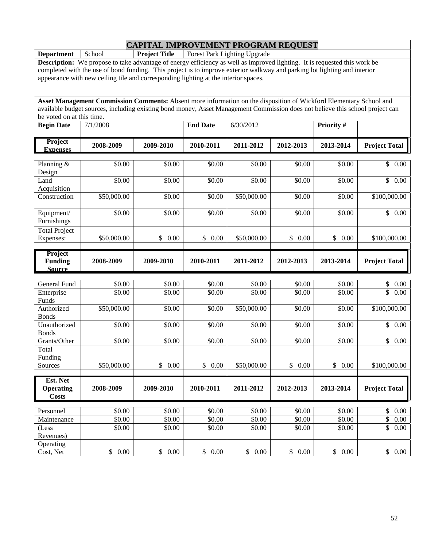**Department** School **Project Title** Forest Park Lighting Upgrade

**Description:** We propose to take advantage of energy efficiency as well as improved lighting. It is requested this work be completed with the use of bond funding. This project is to improve exterior walkway and parking lot lighting and interior appearance with new ceiling tile and corresponding lighting at the interior spaces.

**Asset Management Commission Comments:** Absent more information on the disposition of Wickford Elementary School and available budget sources, including existing bond money, Asset Management Commission does not believe this school project can be voted on at this time.

| <b>Begin Date</b>                                 | 7/1/2008    |            | <b>End Date</b> | 6/30/2012   |                      | Priority # |                      |
|---------------------------------------------------|-------------|------------|-----------------|-------------|----------------------|------------|----------------------|
| <b>Project</b><br><b>Expenses</b>                 | 2008-2009   | 2009-2010  | 2010-2011       | 2011-2012   | 2012-2013            | 2013-2014  | <b>Project Total</b> |
| Planning &<br>Design                              | \$0.00      | \$0.00     | \$0.00          | \$0.00      | \$0.00               | \$0.00     | $\mathbb{S}$<br>0.00 |
| Land<br>Acquisition                               | \$0.00      | \$0.00     | \$0.00          | \$0.00      | \$0.00               | \$0.00     | \$<br>0.00           |
| Construction                                      | \$50,000.00 | \$0.00     | \$0.00          | \$50,000.00 | \$0.00               | \$0.00     | \$100,000.00         |
| Equipment/<br>Furnishings                         | \$0.00      | \$0.00     | \$0.00          | \$0.00      | \$0.00               | \$0.00     | $\mathbb{S}$<br>0.00 |
| <b>Total Project</b><br>Expenses:                 | \$50,000.00 | \$<br>0.00 | \$<br>0.00      | \$50,000.00 | $\mathbb{S}$<br>0.00 | \$<br>0.00 | \$100,000.00         |
| <b>Project</b><br><b>Funding</b><br><b>Source</b> | 2008-2009   | 2009-2010  | 2010-2011       | 2011-2012   | 2012-2013            | 2013-2014  | <b>Project Total</b> |
| General Fund                                      | \$0.00      | \$0.00     | \$0.00          | \$0.00      | \$0.00               | \$0.00     | \$<br>0.00           |
| Enterprise<br>Funds                               | \$0.00      | \$0.00     | \$0.00          | \$0.00      | \$0.00               | \$0.00     | \$<br>0.00           |
| Authorized<br><b>Bonds</b>                        | \$50,000.00 | \$0.00     | \$0.00          | \$50,000.00 | \$0.00               | \$0.00     | \$100,000.00         |
| Unauthorized<br><b>Bonds</b>                      | \$0.00      | \$0.00     | \$0.00          | \$0.00      | \$0.00               | \$0.00     | \$<br>0.00           |

Grants/Other | \$0.00 | \$0.00 | \$0.00 \$0.00 \$0.00 \$0.00 \$0.00 \$0.00 \$0.00 \$0.00 \$0.00 \$1 \$0.00 \$1 \$0.00 \$1 \$1 \$

Sources \$50,000.00 \$ 0.00 \$ 0.00 \$50,000.00 \$ 0.00 \$ 0.00 \$100,000.00

Personnel | \$0.00 | \$0.00 | \$0.00 | \$0.00 \$0.00 \$0.00 \$0.00 \$0.00 \$0.00 \$0.00 \$1 0.00 \$1 0.00 \$1 0.00 Maintenance | \$0.00 | \$0.00 | \$0.00 \$0.00 \$0.00 \$0.00 \$0.00 \$0.00 \$0.00 \$0.00

Cost, Net \$ 0.00 \$ 0.00 \$ 0.00 \$ 0.00 \$ 0.00 \$ 0.00 \$ 0.00

**2008-2009 2009-2010 2010-2011 2011-2012 2012-2013 2013-2014 Project Total** 

 $$0.00$   $$0.00$   $$0.00$   $$0.00$   $$0.00$   $$0.00$   $$0.00$   $$0.00$ 

Total Funding

(Less Revenues)

Operating

**Est. Net Operating Costs**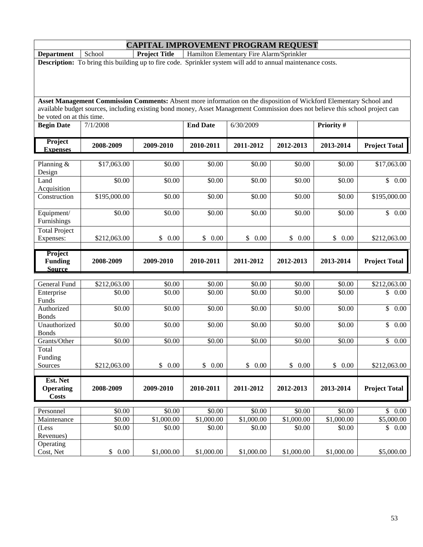**Department School Project Title | Hamilton Elementary Fire Alarm/Sprinkler** 

**Description:** To bring this building up to fire code. Sprinkler system will add to annual maintenance costs.

| <b>Begin Date</b>                          | 7/1/2008     |            | <b>End Date</b>          | 6/30/2009  |                      | Priority # |                                 |
|--------------------------------------------|--------------|------------|--------------------------|------------|----------------------|------------|---------------------------------|
| Project<br><b>Expenses</b>                 | 2008-2009    | 2009-2010  | 2010-2011                | 2011-2012  | 2012-2013            | 2013-2014  | <b>Project Total</b>            |
|                                            |              |            |                          |            |                      |            |                                 |
| Planning &<br>Design                       | \$17,063.00  | \$0.00     | \$0.00                   | \$0.00     | \$0.00               | \$0.00     | \$17,063.00                     |
| Land<br>Acquisition                        | \$0.00       | \$0.00     | \$0.00                   | \$0.00     | \$0.00               | \$0.00     | \$0.00                          |
| Construction                               | \$195,000.00 | \$0.00     | \$0.00                   | \$0.00     | \$0.00               | \$0.00     | \$195,000.00                    |
| Equipment/<br>Furnishings                  | \$0.00       | \$0.00     | \$0.00                   | \$0.00     | \$0.00               | \$0.00     | $\overline{$}$ 0.00             |
| <b>Total Project</b>                       |              |            |                          |            |                      |            |                                 |
| Expenses:                                  | \$212,063.00 | \$<br>0.00 | \$<br>0.00               | \$<br>0.00 | \$<br>0.00           | \$<br>0.00 | \$212,063.00                    |
| Project<br><b>Funding</b><br><b>Source</b> | 2008-2009    | 2009-2010  | 2010-2011                | 2011-2012  | 2012-2013            | 2013-2014  | <b>Project Total</b>            |
|                                            |              |            |                          |            |                      |            |                                 |
| <b>General Fund</b>                        | \$212,063.00 | \$0.00     | \$0.00                   | \$0.00     | \$0.00               | \$0.00     | \$212,063.00                    |
| Enterprise<br>Funds                        | \$0.00       | \$0.00     | \$0.00                   | \$0.00     | \$0.00               | \$0.00     | \$<br>0.00                      |
| Authorized<br><b>Bonds</b>                 | \$0.00       | \$0.00     | \$0.00                   | \$0.00     | \$0.00               | \$0.00     | 0.00<br>$\mathbb{S}$            |
| Unauthorized<br><b>Bonds</b>               | \$0.00       | \$0.00     | \$0.00                   | \$0.00     | \$0.00               | \$0.00     | \$0.00                          |
| Grants/Other                               | \$0.00       | \$0.00     | \$0.00                   | \$0.00     | \$0.00               | \$0.00     | $\overline{\mathbb{S}}$<br>0.00 |
| Total<br>Funding                           |              |            |                          |            |                      |            |                                 |
| Sources                                    | \$212,063.00 | \$<br>0.00 | $\mathbb{S}$<br>$0.00\,$ | \$0.00     | $\mathbb{S}$<br>0.00 | \$<br>0.00 | \$212,063.00                    |
| Est. Net                                   |              |            |                          |            |                      |            |                                 |
| <b>Operating</b><br><b>Costs</b>           | 2008-2009    | 2009-2010  | 2010-2011                | 2011-2012  | 2012-2013            | 2013-2014  | <b>Project Total</b>            |
| Personnel                                  | \$0.00       | \$0.00     | \$0.00                   | \$0.00     | \$0.00               | \$0.00     | $\mathbb{S}$<br>0.00            |
| Maintenance                                | \$0.00       | \$1,000.00 | \$1,000.00               | \$1,000.00 | \$1,000.00           | \$1,000.00 | \$5,000.00                      |
| (Less<br>Revenues)                         | \$0.00       | \$0.00     | \$0.00                   | \$0.00     | \$0.00               | \$0.00     | \$<br>0.00                      |
| Operating<br>Cost, Net                     | \$0.00       | \$1,000.00 | \$1,000.00               | \$1,000.00 | \$1,000.00           | \$1,000.00 | \$5,000.00                      |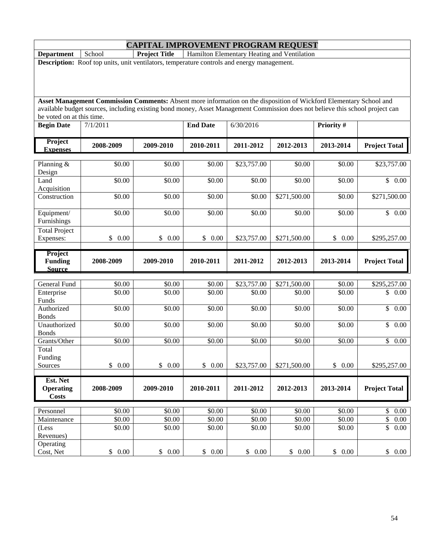**Department** School **Project Title** Hamilton Elementary Heating and Ventilation

**Description:** Roof top units, unit ventilators, temperature controls and energy management.

| <b>Begin Date</b>                            | 7/1/2011         |                      | <b>End Date</b>  | 6/30/2016   |                    | Priority #         |                                  |
|----------------------------------------------|------------------|----------------------|------------------|-------------|--------------------|--------------------|----------------------------------|
| Project<br><b>Expenses</b>                   | 2008-2009        | 2009-2010            | 2010-2011        | 2011-2012   | 2012-2013          | 2013-2014          | <b>Project Total</b>             |
| Planning $&$<br>Design                       | \$0.00           | \$0.00               | \$0.00           | \$23,757.00 | \$0.00             | \$0.00             | \$23,757.00                      |
| Land<br>Acquisition                          | \$0.00           | \$0.00               | \$0.00           | \$0.00      | \$0.00             | \$0.00             | \$0.00                           |
| Construction                                 | \$0.00           | \$0.00               | \$0.00           | \$0.00      | \$271,500.00       | \$0.00             | \$271,500.00                     |
| Equipment/<br>Furnishings                    | $\frac{1}{0.00}$ | $\overline{$}0.00$   | \$0.00           | \$0.00      | \$0.00             | \$0.00             | $\overline{\mathcal{S}}$<br>0.00 |
| <b>Total Project</b><br>Expenses:            | \$<br>0.00       | \$<br>0.00           | \$<br>0.00       | \$23,757.00 | \$271,500.00       | \$<br>0.00         | \$295,257.00                     |
| Project<br><b>Funding</b><br><b>Source</b>   | 2008-2009        | 2009-2010            | 2010-2011        | 2011-2012   | 2012-2013          | 2013-2014          | <b>Project Total</b>             |
|                                              |                  |                      |                  |             |                    |                    |                                  |
| General Fund                                 | \$0.00           | \$0.00               | \$0.00           | \$23,757.00 | \$271,500.00       | \$0.00             | \$295,257.00                     |
| Enterprise<br>Funds                          | \$0.00           | \$0.00               | \$0.00           | \$0.00      | \$0.00             | \$0.00             | \$0.00                           |
| Authorized<br><b>Bonds</b>                   | \$0.00           | \$0.00               | $\frac{1}{0.00}$ | \$0.00      | \$0.00             | \$0.00             | $\overline{\mathcal{S}}$<br>0.00 |
| Unauthorized<br><b>Bonds</b>                 | \$0.00           | \$0.00               | \$0.00           | \$0.00      | \$0.00             | \$0.00             | \$<br>0.00                       |
| Grants/Other                                 | \$0.00           | \$0.00               | \$0.00           | \$0.00      | $\overline{$}0.00$ | \$0.00             | \$<br>0.00                       |
| Total<br>Funding                             |                  |                      |                  |             |                    |                    |                                  |
| Sources                                      | \$0.00           | $\mathbb{S}$<br>0.00 | \$0.00           | \$23,757.00 | \$271,500.00       | \$0.00             | \$295,257.00                     |
| Est. Net<br><b>Operating</b><br><b>Costs</b> | 2008-2009        | 2009-2010            | 2010-2011        | 2011-2012   | 2012-2013          | 2013-2014          | <b>Project Total</b>             |
| Personnel                                    | \$0.00           | \$0.00               | \$0.00           | \$0.00      | \$0.00             | $\overline{$}0.00$ | \$<br>0.00                       |
| Maintenance                                  | \$0.00           | \$0.00               | \$0.00           | \$0.00      | \$0.00             | $\overline{$}0.00$ | \$<br>0.00                       |
| (Less<br>Revenues)                           | \$0.00           | \$0.00               | \$0.00           | \$0.00      | \$0.00             | \$0.00             | \$<br>0.00                       |
| Operating<br>Cost, Net                       | \$0.00           | \$0.00               | 0.00<br>\$       | \$0.00      | \$0.00             | \$<br>0.00         | \$0.00                           |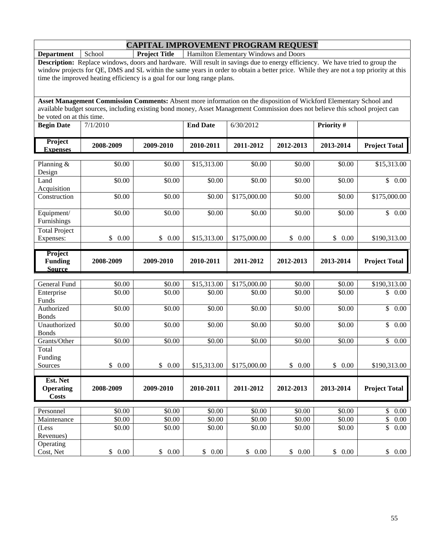**Department** School **Project Title** Hamilton Elementary Windows and Doors

**Description:** Replace windows, doors and hardware. Will result in savings due to energy efficiency. We have tried to group the window projects for QE, DMS and SL within the same years in order to obtain a better price. While they are not a top priority at this time the improved heating efficiency is a goal for our long range plans.

| <b>Begin Date</b>                | 7/1/2010   |                       | <b>End Date</b>    | 6/30/2012    |            | Priority #            |                                  |
|----------------------------------|------------|-----------------------|--------------------|--------------|------------|-----------------------|----------------------------------|
| Project<br><b>Expenses</b>       | 2008-2009  | 2009-2010             | 2010-2011          | 2011-2012    | 2012-2013  | 2013-2014             | <b>Project Total</b>             |
|                                  |            |                       |                    |              |            |                       |                                  |
| Planning $&$<br>Design           | \$0.00     | \$0.00                | \$15,313.00        | \$0.00       | \$0.00     | \$0.00                | \$15,313.00                      |
| Land<br>Acquisition              | \$0.00     | \$0.00                | \$0.00             | \$0.00       | \$0.00     | \$0.00                | \$0.00                           |
| Construction                     | \$0.00     | \$0.00                | \$0.00             | \$175,000.00 | \$0.00     | \$0.00                | \$175,000.00                     |
| Equipment/<br>Furnishings        | \$0.00     | \$0.00                | \$0.00             | \$0.00       | \$0.00     | \$0.00                | \$0.00                           |
| <b>Total Project</b>             |            |                       |                    |              |            |                       |                                  |
| Expenses:                        | \$<br>0.00 | $\frac{1}{2}$<br>0.00 | \$15,313.00        | \$175,000.00 | \$0.00     | \$<br>0.00            | \$190,313.00                     |
| Project                          |            |                       |                    |              |            |                       |                                  |
| <b>Funding</b>                   | 2008-2009  | 2009-2010             | 2010-2011          | 2011-2012    | 2012-2013  | 2013-2014             | <b>Project Total</b>             |
| <b>Source</b>                    |            |                       |                    |              |            |                       |                                  |
| <b>General Fund</b>              | \$0.00     | \$0.00                | \$15,313.00        | \$175,000.00 | \$0.00     | \$0.00                | \$190,313.00                     |
| Enterprise                       | \$0.00     | \$0.00                | \$0.00             | \$0.00       | \$0.00     | $\overline{$}0.00$    | \$<br>0.00                       |
| Funds                            |            |                       |                    |              |            |                       |                                  |
| Authorized<br><b>Bonds</b>       | \$0.00     | \$0.00                | \$0.00             | \$0.00       | \$0.00     | \$0.00                | $\overline{\mathcal{S}}$<br>0.00 |
| Unauthorized<br><b>Bonds</b>     | \$0.00     | \$0.00                | \$0.00             | \$0.00       | \$0.00     | \$0.00                | \$<br>0.00                       |
| Grants/Other                     | \$0.00     | \$0.00                | \$0.00             | \$0.00       | \$0.00     | \$0.00                | $\mathbb{S}$<br>0.00             |
| Total<br>Funding                 |            |                       |                    |              |            |                       |                                  |
| Sources                          | \$0.00     | \$<br>0.00            | \$15,313.00        | \$175,000.00 | \$<br>0.00 | $\mathsf{\$}$<br>0.00 | \$190,313.00                     |
| Est. Net                         |            |                       |                    |              |            |                       |                                  |
| <b>Operating</b><br><b>Costs</b> | 2008-2009  | 2009-2010             | 2010-2011          | 2011-2012    | 2012-2013  | 2013-2014             | <b>Project Total</b>             |
|                                  |            |                       |                    |              |            |                       |                                  |
| Personnel                        | \$0.00     | \$0.00                | $\overline{$}0.00$ | \$0.00       | \$0.00     | \$0.00                | $\$$<br>0.00                     |
| Maintenance                      | \$0.00     | \$0.00                | \$0.00             | \$0.00       | \$0.00     | \$0.00                | \$<br>0.00                       |
| (Less<br>Revenues)               | \$0.00     | \$0.00                | \$0.00             | \$0.00       | \$0.00     | \$0.00                | \$<br>0.00                       |
| Operating<br>Cost, Net           | \$0.00     | \$0.00                | \$<br>0.00         | \$0.00       | \$0.00     | \$0.00                | \$0.00                           |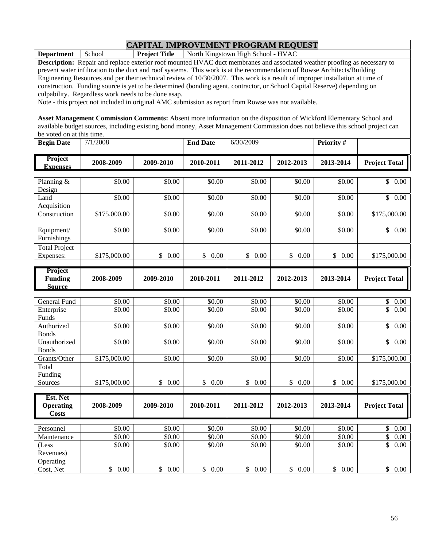**Department** School **Project Title** North Kingstown High School - HVAC

**Description:** Repair and replace exterior roof mounted HVAC duct membranes and associated weather proofing as necessary to prevent water infiltration to the duct and roof systems. This work is at the recommendation of Rowse Architects/Building Engineering Resources and per their technical review of 10/30/2007. This work is a result of improper installation at time of construction. Funding source is yet to be determined (bonding agent, contractor, or School Capital Reserve) depending on culpability. Regardless work needs to be done asap.

Note - this project not included in original AMC submission as report from Rowse was not available.

| <b>Begin Date</b>                           | 7/1/2008         |                  | <b>End Date</b>  | 6/30/2009        |                  | Priority#        |                          |
|---------------------------------------------|------------------|------------------|------------------|------------------|------------------|------------------|--------------------------|
| Project<br><b>Expenses</b>                  | 2008-2009        | 2009-2010        | 2010-2011        | 2011-2012        | 2012-2013        | 2013-2014        | <b>Project Total</b>     |
| Planning &<br>Design                        | \$0.00           | \$0.00           | \$0.00           | \$0.00           | \$0.00           | \$0.00           | \$<br>$0.00\,$           |
| Land<br>Acquisition                         | \$0.00           | \$0.00           | \$0.00           | \$0.00           | \$0.00           | \$0.00           | \$<br>0.00               |
| Construction                                | \$175,000.00     | \$0.00           | \$0.00           | \$0.00           | \$0.00           | \$0.00           | \$175,000.00             |
| Equipment/<br><b>Furnishings</b>            | \$0.00           | \$0.00           | \$0.00           | \$0.00           | \$0.00           | \$0.00           | \$<br>0.00               |
| <b>Total Project</b><br>Expenses:           | \$175,000.00     | $0.00\,$<br>\$   | \$<br>0.00       | \$<br>0.00       | \$<br>0.00       | \$<br>0.00       | \$175,000.00             |
| Project<br><b>Funding</b><br><b>Source</b>  | 2008-2009        | 2009-2010        | 2010-2011        | 2011-2012        | 2012-2013        | 2013-2014        | <b>Project Total</b>     |
| General Fund<br>Enterprise<br>$\sim$ $\sim$ | \$0.00<br>\$0.00 | \$0.00<br>\$0.00 | \$0.00<br>\$0.00 | \$0.00<br>\$0.00 | \$0.00<br>\$0.00 | \$0.00<br>\$0.00 | 0.00<br>\$<br>\$<br>0.00 |

| General Fund     | \$0.00       | \$0.00     | \$0.00     | \$0.00     | \$0.00     | \$0.00     | P.<br>0.00             |
|------------------|--------------|------------|------------|------------|------------|------------|------------------------|
| Enterprise       | \$0.00       | \$0.00     | \$0.00     | \$0.00     | \$0.00     | \$0.00     | \$<br>0.00             |
| Funds            |              |            |            |            |            |            |                        |
| Authorized       | \$0.00       | \$0.00     | \$0.00     | \$0.00     | \$0.00     | \$0.00     | $\mathbb{S}$<br>0.00   |
| <b>Bonds</b>     |              |            |            |            |            |            |                        |
| Unauthorized     | \$0.00       | \$0.00     | \$0.00     | \$0.00     | \$0.00     | \$0.00     | $\mathbb{S}^-$<br>0.00 |
| <b>Bonds</b>     |              |            |            |            |            |            |                        |
| Grants/Other     | \$175,000.00 | \$0.00     | \$0.00     | \$0.00     | \$0.00     | \$0.00     | \$175,000.00           |
| Total            |              |            |            |            |            |            |                        |
| Funding          |              |            |            |            |            |            |                        |
| Sources          | \$175,000.00 | 0.00<br>\$ | \$<br>0.00 | \$<br>0.00 | \$<br>0.00 | \$<br>0.00 | \$175,000.00           |
|                  |              |            |            |            |            |            |                        |
|                  |              |            |            |            |            |            |                        |
| Est. Net         |              |            |            |            |            |            |                        |
| <b>Operating</b> | 2008-2009    | 2009-2010  | 2010-2011  | 2011-2012  | 2012-2013  | 2013-2014  | <b>Project Total</b>   |
| <b>Costs</b>     |              |            |            |            |            |            |                        |
|                  |              |            |            |            |            |            |                        |
| Personnel        | \$0.00       | \$0.00     | \$0.00     | \$0.00     | \$0.00     | \$0.00     | \$<br>0.00             |
| Maintenance      | \$0.00       | \$0.00     | \$0.00     | \$0.00     | \$0.00     | \$0.00     | \$<br>0.00             |
| (Less            | \$0.00       | \$0.00     | \$0.00     | \$0.00     | \$0.00     | \$0.00     | \$<br>0.00             |
| Revenues)        |              |            |            |            |            |            |                        |
| Operating        |              |            |            |            |            |            |                        |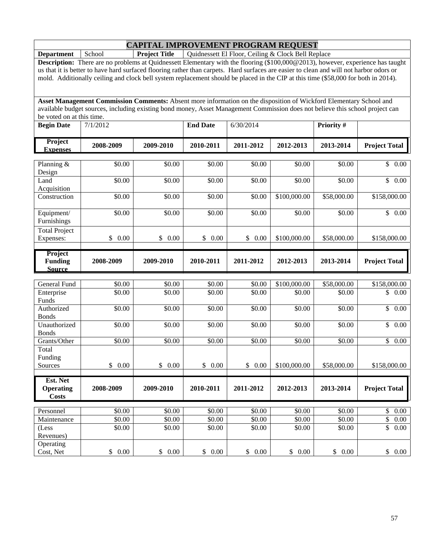**Department** School **Project Title** Quidnessett El Floor, Ceiling & Clock Bell Replace

**Description:** There are no problems at Quidnessett Elementary with the flooring (\$100,000@2013), however, experience has taught us that it is better to have hard surfaced flooring rather than carpets. Hard surfaces are easier to clean and will not harbor odors or mold. Additionally ceiling and clock bell system replacement should be placed in the CIP at this time (\$58,000 for both in 2014).

| <b>Begin Date</b>                            | 7/1/2012             |                      | <b>End Date</b>       | 6/30/2014            |              | Priority #         |                                   |
|----------------------------------------------|----------------------|----------------------|-----------------------|----------------------|--------------|--------------------|-----------------------------------|
| <b>Project</b><br><b>Expenses</b>            | 2008-2009            | 2009-2010            | 2010-2011             | 2011-2012            | 2012-2013    | 2013-2014          | <b>Project Total</b>              |
|                                              |                      |                      |                       |                      |              |                    |                                   |
| Planning $&$<br>Design                       | \$0.00               | \$0.00               | \$0.00                | \$0.00               | \$0.00       | \$0.00             | $\mathbb{S}$<br>0.00              |
| Land<br>Acquisition                          | \$0.00               | \$0.00               | \$0.00                | \$0.00               | \$0.00       | \$0.00             | $\overline{\mathcal{S}}$<br>0.00  |
| Construction                                 | \$0.00               | \$0.00               | \$0.00                | \$0.00               | \$100,000.00 | \$58,000.00        | \$158,000.00                      |
| Equipment/<br>Furnishings                    | \$0.00               | \$0.00               | \$0.00                | \$0.00               | \$0.00       | \$0.00             | \$0.00                            |
| <b>Total Project</b>                         |                      |                      |                       |                      |              |                    |                                   |
| Expenses:                                    | $\mathbb{S}$<br>0.00 | $\mathbb{S}$<br>0.00 | \$<br>0.00            | $\mathbb{S}$<br>0.00 | \$100,000.00 | \$58,000.00        | \$158,000.00                      |
| Project<br><b>Funding</b><br><b>Source</b>   | 2008-2009            | 2009-2010            | 2010-2011             | 2011-2012            | 2012-2013    | 2013-2014          | <b>Project Total</b>              |
|                                              |                      |                      |                       |                      |              |                    |                                   |
| General Fund                                 | \$0.00               | \$0.00               | \$0.00                | \$0.00               | \$100,000.00 | \$58,000.00        | \$158,000.00                      |
| Enterprise<br>Funds                          | \$0.00               | \$0.00               | \$0.00                | \$0.00               | \$0.00       | \$0.00             | \$<br>0.00                        |
| Authorized<br><b>Bonds</b>                   | \$0.00               | \$0.00               | \$0.00                | \$0.00               | \$0.00       | \$0.00             | \$<br>0.00                        |
| Unauthorized<br><b>Bonds</b>                 | \$0.00               | \$0.00               | \$0.00                | \$0.00               | \$0.00       | \$0.00             | 0.00<br>$\mathbb{S}$              |
| Grants/Other                                 | $\overline{$}0.00$   | \$0.00               | \$0.00                | \$0.00               | \$0.00       | $\overline{$}0.00$ | $\overline{\mathcal{S}}$<br>0.00  |
| Total                                        |                      |                      |                       |                      |              |                    |                                   |
| Funding                                      |                      |                      |                       |                      |              |                    |                                   |
| Sources                                      | \$<br>0.00           | \$<br>0.00           | 0.00<br>$\mathcal{S}$ | \$<br>0.00           | \$100,000.00 | \$58,000.00        | \$158,000.00                      |
| Est. Net<br><b>Operating</b><br><b>Costs</b> | 2008-2009            | 2009-2010            | 2010-2011             | 2011-2012            | 2012-2013    | 2013-2014          | <b>Project Total</b>              |
|                                              |                      |                      |                       |                      |              |                    |                                   |
| Personnel                                    | \$0.00               | \$0.00               | \$0.00                | \$0.00               | \$0.00       | \$0.00             | $\boldsymbol{\mathsf{S}}$<br>0.00 |
| Maintenance                                  | \$0.00               | \$0.00               | \$0.00                | \$0.00               | \$0.00       | \$0.00             | \$<br>0.00                        |
| (Less<br>Revenues)                           | \$0.00               | \$0.00               | \$0.00                | \$0.00               | \$0.00       | \$0.00             | \$<br>0.00                        |
| Operating<br>Cost, Net                       | \$0.00               | \$0.00               | \$<br>0.00            | \$0.00               | \$0.00       | \$<br>0.00         | \$0.00                            |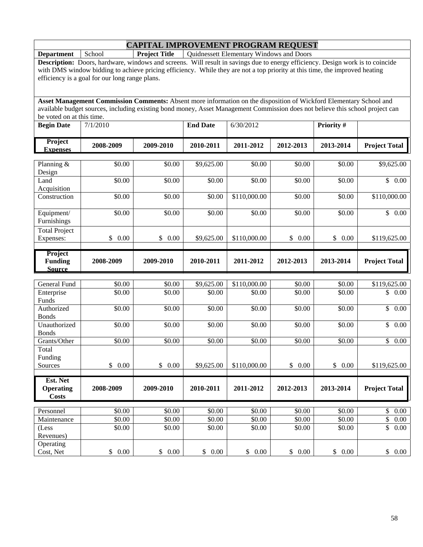**Department** School **Project Title** Quidnessett Elementary Windows and Doors

**Description:** Doors, hardware, windows and screens. Will result in savings due to energy efficiency. Design work is to coincide with DMS window bidding to achieve pricing efficiency. While they are not a top priority at this time, the improved heating efficiency is a goal for our long range plans.

| <b>Begin Date</b>                            | 7/1/2010   |                      | <b>End Date</b> | 6/30/2012    |            | Priority # |                                  |
|----------------------------------------------|------------|----------------------|-----------------|--------------|------------|------------|----------------------------------|
| <b>Project</b><br><b>Expenses</b>            | 2008-2009  | 2009-2010            | 2010-2011       | 2011-2012    | 2012-2013  | 2013-2014  | <b>Project Total</b>             |
|                                              | \$0.00     | \$0.00               |                 | \$0.00       |            |            |                                  |
| Planning &<br>Design                         |            |                      | \$9,625.00      |              | \$0.00     | \$0.00     | \$9,625.00                       |
| Land<br>Acquisition                          | \$0.00     | \$0.00               | \$0.00          | \$0.00       | \$0.00     | \$0.00     | $\mathsf{\$}$<br>0.00            |
| Construction                                 | \$0.00     | \$0.00               | \$0.00          | \$110,000.00 | \$0.00     | \$0.00     | \$110,000.00                     |
| Equipment/<br>Furnishings                    | \$0.00     | \$0.00               | \$0.00          | \$0.00       | \$0.00     | \$0.00     | \$0.00                           |
| <b>Total Project</b>                         |            |                      |                 |              |            |            |                                  |
| Expenses:                                    | \$<br>0.00 | \$<br>0.00           | \$9,625.00      | \$110,000.00 | \$<br>0.00 | \$<br>0.00 | \$119,625.00                     |
| Project<br><b>Funding</b><br><b>Source</b>   | 2008-2009  | 2009-2010            | 2010-2011       | 2011-2012    | 2012-2013  | 2013-2014  | <b>Project Total</b>             |
|                                              |            |                      |                 |              |            |            |                                  |
| General Fund                                 | \$0.00     | \$0.00               | \$9,625.00      | \$110,000.00 | \$0.00     | \$0.00     | \$119,625.00                     |
| Enterprise<br>Funds                          | \$0.00     | \$0.00               | \$0.00          | \$0.00       | \$0.00     | \$0.00     | \$<br>0.00                       |
| Authorized<br><b>Bonds</b>                   | \$0.00     | \$0.00               | \$0.00          | \$0.00       | \$0.00     | \$0.00     | $\overline{\mathcal{S}}$<br>0.00 |
| Unauthorized<br><b>Bonds</b>                 | \$0.00     | \$0.00               | \$0.00          | \$0.00       | \$0.00     | \$0.00     | $\mathsf{\$}$<br>0.00            |
| Grants/Other                                 | \$0.00     | \$0.00               | \$0.00          | \$0.00       | \$0.00     | \$0.00     | $\overline{\mathcal{S}}$<br>0.00 |
| Total<br>Funding                             |            |                      |                 |              |            |            |                                  |
| Sources                                      | \$0.00     | $\mathbb{S}$<br>0.00 | \$9,625.00      | \$110,000.00 | \$<br>0.00 | \$<br>0.00 | \$119,625.00                     |
| Est. Net<br><b>Operating</b><br><b>Costs</b> | 2008-2009  | 2009-2010            | 2010-2011       | 2011-2012    | 2012-2013  | 2013-2014  | <b>Project Total</b>             |
| Personnel                                    | \$0.00     | \$0.00               | \$0.00          | \$0.00       | \$0.00     | \$0.00     | $\mathbb{S}$<br>0.00             |
| Maintenance                                  | \$0.00     | \$0.00               | \$0.00          | \$0.00       | \$0.00     | \$0.00     | \$<br>0.00                       |
| (Less<br>Revenues)                           | \$0.00     | \$0.00               | \$0.00          | \$0.00       | \$0.00     | \$0.00     | \$<br>0.00                       |
| Operating<br>Cost, Net                       | \$0.00     | \$0.00               | \$<br>0.00      | \$0.00       | \$0.00     | \$0.00     | \$0.00                           |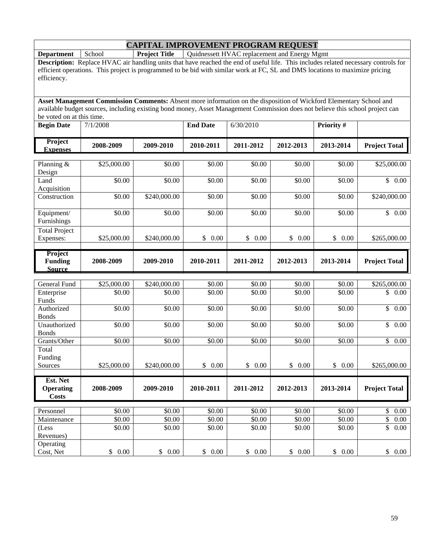**Department** School **Project Title** Quidnessett HVAC replacement and Energy Mgmt

**Description:** Replace HVAC air handling units that have reached the end of useful life. This includes related necessary controls for efficient operations. This project is programmed to be bid with similar work at FC, SL and DMS locations to maximize pricing efficiency.

| <b>Begin Date</b>                            | 7/1/2008    |              | <b>End Date</b> | 6/30/2010              |                        | Priority # |                         |  |
|----------------------------------------------|-------------|--------------|-----------------|------------------------|------------------------|------------|-------------------------|--|
| Project<br><b>Expenses</b>                   | 2008-2009   | 2009-2010    | 2010-2011       | 2011-2012<br>2012-2013 |                        | 2013-2014  | <b>Project Total</b>    |  |
|                                              |             |              |                 |                        |                        |            |                         |  |
| Planning &<br>Design                         | \$25,000.00 | \$0.00       | \$0.00          | \$0.00                 | \$0.00                 | \$0.00     | \$25,000.00             |  |
| Land<br>Acquisition                          | \$0.00      | \$0.00       | \$0.00          | \$0.00                 | \$0.00                 | \$0.00     | \$0.00                  |  |
| Construction                                 | \$0.00      | \$240,000.00 | \$0.00          | \$0.00                 | \$0.00                 | \$0.00     | \$240,000.00            |  |
| Equipment/<br>Furnishings                    | \$0.00      | \$0.00       | \$0.00          | \$0.00                 | \$0.00                 | \$0.00     | $\overline{$}$ 0.00     |  |
| <b>Total Project</b>                         |             |              |                 |                        |                        |            |                         |  |
| Expenses:                                    | \$25,000.00 | \$240,000.00 | \$<br>0.00      | \$<br>0.00             | \$0.00                 | \$<br>0.00 | \$265,000.00            |  |
| Project<br><b>Funding</b><br><b>Source</b>   | 2008-2009   | 2009-2010    | 2010-2011       | 2011-2012              | 2012-2013              | 2013-2014  | <b>Project Total</b>    |  |
|                                              |             |              |                 |                        |                        |            |                         |  |
| <b>General Fund</b>                          | \$25,000.00 | \$240,000.00 | \$0.00          | \$0.00                 | \$0.00                 | \$0.00     | \$265,000.00            |  |
| Enterprise<br>Funds                          | \$0.00      | \$0.00       | \$0.00          | \$0.00                 | \$0.00                 | \$0.00     | \$<br>0.00              |  |
| Authorized<br><b>Bonds</b>                   | \$0.00      | \$0.00       | \$0.00          | \$0.00                 | \$0.00                 | \$0.00     | 0.00<br>$\mathbb{S}$    |  |
| Unauthorized<br><b>Bonds</b>                 | \$0.00      | \$0.00       | \$0.00          | \$0.00                 | \$0.00                 | \$0.00     | \$0.00                  |  |
| Grants/Other                                 | \$0.00      | \$0.00       | \$0.00          | \$0.00                 | \$0.00                 | \$0.00     | \$<br>$\overline{0.00}$ |  |
| Total<br>Funding                             |             |              |                 |                        |                        |            |                         |  |
| Sources                                      | \$25,000.00 | \$240,000.00 | 0.00<br>\$      | $\mathcal{S}$<br>0.00  | $\mathbb{S}^-$<br>0.00 | \$<br>0.00 | \$265,000.00            |  |
| Est. Net<br><b>Operating</b><br><b>Costs</b> | 2008-2009   | 2009-2010    | 2010-2011       | 2011-2012              | 2012-2013              | 2013-2014  | <b>Project Total</b>    |  |
| Personnel                                    | \$0.00      | \$0.00       | \$0.00          | \$0.00                 | \$0.00                 | \$0.00     | $\mathbb{S}$<br>0.00    |  |
| Maintenance                                  | \$0.00      | \$0.00       | \$0.00          | \$0.00                 | \$0.00                 | \$0.00     | \$<br>0.00              |  |
| (Less<br>Revenues)                           | \$0.00      | \$0.00       | \$0.00          | \$0.00                 | \$0.00                 | \$0.00     | \$<br>0.00              |  |
| Operating<br>Cost, Net                       | \$0.00      | \$0.00       | \$<br>0.00      | \$0.00                 | \$0.00                 | \$<br>0.00 | \$0.00                  |  |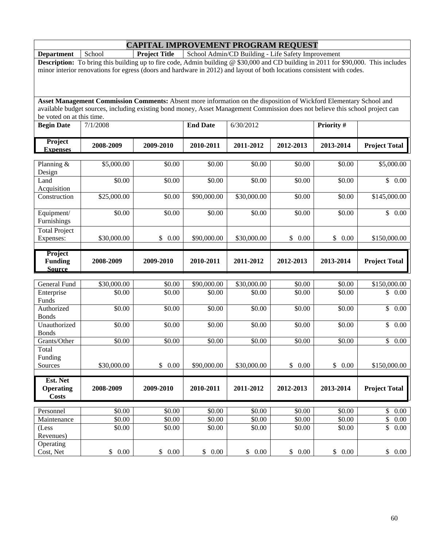**Department** School **Project Title** School Admin/CD Building - Life Safety Improvement **Description:** To bring this building up to fire code, Admin building @ \$30,000 and CD building in 2011 for \$90,000. This includes minor interior renovations for egress (doors and hardware in 2012) and layout of both locations consistent with codes.

| <b>Begin Date</b>                          | 7/1/2008    |                      | <b>End Date</b>    | 6/30/2012              |            | Priority#          |                                 |  |
|--------------------------------------------|-------------|----------------------|--------------------|------------------------|------------|--------------------|---------------------------------|--|
| Project<br><b>Expenses</b>                 | 2008-2009   | 2009-2010            | 2010-2011          | 2011-2012<br>2012-2013 |            | 2013-2014          | <b>Project Total</b>            |  |
|                                            |             |                      |                    |                        |            |                    |                                 |  |
| Planning &<br>Design                       | \$5,000.00  | \$0.00               | \$0.00             | \$0.00                 | \$0.00     | \$0.00             | \$5,000.00                      |  |
| Land<br>Acquisition                        | \$0.00      | \$0.00               | \$0.00             | \$0.00                 | \$0.00     | \$0.00             | $\mathbb{S}$<br>0.00            |  |
| Construction                               | \$25,000.00 | \$0.00               | \$90,000.00        | \$30,000.00            | \$0.00     | \$0.00             | \$145,000.00                    |  |
| Equipment/<br>Furnishings                  | \$0.00      | \$0.00               | \$0.00             | \$0.00                 | \$0.00     | \$0.00             | \$0.00                          |  |
| <b>Total Project</b>                       |             |                      |                    |                        |            |                    |                                 |  |
| Expenses:                                  | \$30,000.00 | \$<br>0.00           | \$90,000.00        | \$30,000.00            | \$<br>0.00 | \$0.00             | \$150,000.00                    |  |
| Project<br><b>Funding</b><br><b>Source</b> | 2008-2009   | 2009-2010            | 2010-2011          | 2011-2012<br>2012-2013 |            | 2013-2014          | <b>Project Total</b>            |  |
|                                            |             |                      |                    |                        |            |                    |                                 |  |
| <b>General Fund</b>                        | \$30,000.00 | \$0.00               | \$90,000.00        | \$30,000.00            | \$0.00     | \$0.00             | \$150,000.00                    |  |
| Enterprise<br>Funds                        | \$0.00      | \$0.00               | \$0.00             | \$0.00                 | \$0.00     | \$0.00             | \$<br>0.00                      |  |
| Authorized<br><b>Bonds</b>                 | \$0.00      | \$0.00               | \$0.00             | \$0.00                 | \$0.00     | \$0.00             | 0.00<br>$\overline{\mathbb{S}}$ |  |
| Unauthorized<br><b>Bonds</b>               | \$0.00      | \$0.00               | \$0.00             | \$0.00                 | \$0.00     | \$0.00             | \$0.00                          |  |
| Grants/Other                               | \$0.00      | \$0.00               | \$0.00             | \$0.00                 | \$0.00     | \$0.00             | \$<br>0.00                      |  |
| Total<br>Funding                           |             |                      |                    |                        |            |                    |                                 |  |
| Sources                                    | \$30,000.00 | $\mathbb{S}$<br>0.00 | \$90,000.00        | \$30,000.00            | \$0.00     | \$0.00             | \$150,000.00                    |  |
| Est. Net                                   |             |                      |                    |                        |            |                    |                                 |  |
| <b>Operating</b><br><b>Costs</b>           | 2008-2009   | 2009-2010            | 2010-2011          | 2011-2012              | 2012-2013  | 2013-2014          | <b>Project Total</b>            |  |
| Personnel                                  | \$0.00      | \$0.00               | \$0.00             | \$0.00                 | \$0.00     | \$0.00             | $\$$<br>$0.00\,$                |  |
| Maintenance                                | \$0.00      | \$0.00               | $\overline{$}0.00$ | \$0.00                 | \$0.00     | $\overline{$}0.00$ | \$<br>$0.00\,$                  |  |
| (Less                                      | \$0.00      | \$0.00               | \$0.00             | \$0.00                 | \$0.00     | \$0.00             | \$<br>0.00                      |  |
| Revenues)                                  |             |                      |                    |                        |            |                    |                                 |  |
| Operating                                  |             |                      |                    |                        |            |                    |                                 |  |
| Cost, Net                                  | \$0.00      | \$0.00               | \$0.00             | \$0.00                 | \$0.00     | \$0.00             | \$0.00                          |  |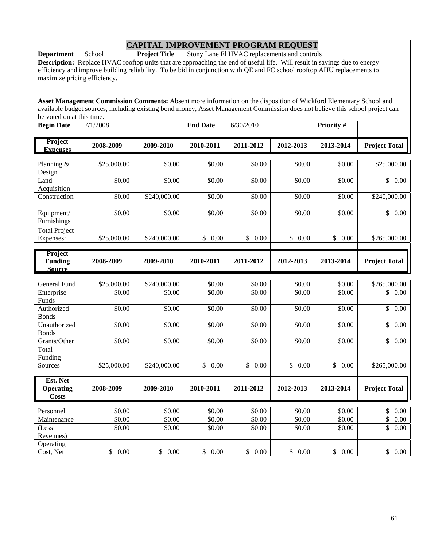**Department** School **Project Title** Stony Lane El HVAC replacements and controls

**Description:** Replace HVAC rooftop units that are approaching the end of useful life. Will result in savings due to energy efficiency and improve building reliability. To be bid in conjunction with QE and FC school rooftop AHU replacements to maximize pricing efficiency.

| <b>Begin Date</b>                            | 7/1/2008    |              | <b>End Date</b>      | 6/30/2010              |                      | Priority #           |                       |
|----------------------------------------------|-------------|--------------|----------------------|------------------------|----------------------|----------------------|-----------------------|
| Project<br><b>Expenses</b>                   | 2008-2009   | 2009-2010    | 2010-2011            | 2011-2012<br>2012-2013 |                      | 2013-2014            | <b>Project Total</b>  |
|                                              |             |              |                      |                        |                      |                      |                       |
| Planning &<br>Design                         | \$25,000.00 | \$0.00       | \$0.00               | \$0.00                 | \$0.00               | \$0.00               | \$25,000.00           |
| Land<br>Acquisition                          | \$0.00      | \$0.00       | \$0.00               | \$0.00                 | \$0.00               | \$0.00               | \$0.00                |
| Construction                                 | \$0.00      | \$240,000.00 | \$0.00               | \$0.00                 | \$0.00               | \$0.00               | \$240,000.00          |
| Equipment/<br>Furnishings                    | \$0.00      | \$0.00       | \$0.00               | \$0.00                 | \$0.00               | \$0.00               | \$0.00                |
| <b>Total Project</b>                         |             |              |                      |                        |                      |                      |                       |
| Expenses:                                    | \$25,000.00 | \$240,000.00 | \$<br>0.00           | \$<br>0.00             | \$0.00               | \$<br>0.00           | \$265,000.00          |
| Project<br><b>Funding</b><br><b>Source</b>   | 2008-2009   | 2009-2010    | 2010-2011            | 2011-2012              | 2012-2013            | 2013-2014            | <b>Project Total</b>  |
|                                              |             |              |                      |                        |                      |                      |                       |
| <b>General Fund</b>                          | \$25,000.00 | \$240,000.00 | \$0.00               | \$0.00                 | \$0.00               | \$0.00               | \$265,000.00          |
| Enterprise<br>Funds                          | \$0.00      | \$0.00       | \$0.00               | \$0.00                 | \$0.00               | \$0.00               | \$<br>0.00            |
| Authorized<br><b>Bonds</b>                   | \$0.00      | \$0.00       | \$0.00               | \$0.00                 | \$0.00               | \$0.00               | $\mathbb{S}$<br>0.00  |
| Unauthorized<br><b>Bonds</b>                 | \$0.00      | \$0.00       | \$0.00               | \$0.00                 | \$0.00               | \$0.00               | $\mathsf{\$}$<br>0.00 |
| Grants/Other                                 | \$0.00      | \$0.00       | \$0.00               | \$0.00                 | \$0.00               | \$0.00               | $\mathbb{S}$<br>0.00  |
| Total<br>Funding                             |             |              |                      |                        |                      |                      |                       |
| Sources                                      | \$25,000.00 | \$240,000.00 | $\mathbb{S}$<br>0.00 | $\mathbb{S}$<br>0.00   | $\mathbb{S}$<br>0.00 | $\mathbb{S}$<br>0.00 | \$265,000.00          |
| Est. Net<br><b>Operating</b><br><b>Costs</b> | 2008-2009   | 2009-2010    | 2010-2011            | 2011-2012              | 2012-2013            | 2013-2014            | <b>Project Total</b>  |
| Personnel                                    | \$0.00      | \$0.00       | \$0.00               | \$0.00                 | \$0.00               | \$0.00               | \$<br>0.00            |
| Maintenance                                  | \$0.00      | \$0.00       | \$0.00               | \$0.00                 | \$0.00               | \$0.00               | \$<br>0.00            |
| (Less                                        | \$0.00      | \$0.00       | \$0.00               | \$0.00                 | \$0.00               | \$0.00               | \$<br>0.00            |
| Revenues)<br>Operating<br>Cost, Net          | \$0.00      | \$0.00       | \$0.00               | \$0.00                 | \$0.00               | \$0.00               | \$0.00                |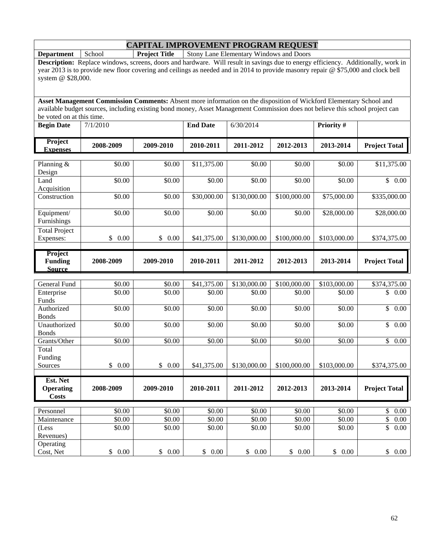**Department** School **Project Title** Stony Lane Elementary Windows and Doors

**Description:** Replace windows, screens, doors and hardware. Will result in savings due to energy efficiency. Additionally, work in year 2013 is to provide new floor covering and ceilings as needed and in 2014 to provide masonry repair @ \$75,000 and clock bell system @ \$28,000.

| <b>Begin Date</b>                            | 7/1/2010              |           | <b>End Date</b>        | 6/30/2014              |                        | Priority #         |                                  |  |
|----------------------------------------------|-----------------------|-----------|------------------------|------------------------|------------------------|--------------------|----------------------------------|--|
| Project<br><b>Expenses</b>                   | 2008-2009             | 2009-2010 | 2010-2011              | 2011-2012<br>2012-2013 |                        | 2013-2014          | <b>Project Total</b>             |  |
|                                              |                       |           |                        |                        |                        |                    |                                  |  |
| Planning $&$<br>Design                       | \$0.00                | \$0.00    | \$11,375.00            | \$0.00                 | \$0.00                 | \$0.00             | \$11,375.00                      |  |
| Land<br>Acquisition                          | \$0.00                | \$0.00    | \$0.00                 | \$0.00                 | \$0.00                 | \$0.00             | \$0.00                           |  |
| Construction                                 | 50.00                 | \$0.00    | \$30,000.00            | \$130,000.00           | \$100,000.00           | \$75,000.00        | \$335,000.00                     |  |
| Equipment/<br>Furnishings                    | \$0.00                | \$0.00    | \$0.00                 | \$0.00                 | \$0.00                 | \$28,000.00        | \$28,000.00                      |  |
| <b>Total Project</b>                         |                       |           |                        |                        |                        |                    |                                  |  |
| Expenses:                                    | $\frac{1}{2}$<br>0.00 | \$0.00    | \$41,375.00            | \$130,000.00           | \$100,000.00           | \$103,000.00       | \$374,375.00                     |  |
| Project<br><b>Funding</b><br><b>Source</b>   | 2008-2009             | 2009-2010 | 2010-2011              | 2011-2012              | 2013-2014<br>2012-2013 |                    | <b>Project Total</b>             |  |
|                                              |                       |           |                        |                        |                        |                    |                                  |  |
| General Fund                                 | \$0.00                | \$0.00    | \$41,375.00            | \$130,000.00           | \$100,000.00           | \$103,000.00       | \$374,375.00                     |  |
| Enterprise<br>Funds                          | \$0.00                | \$0.00    | \$0.00                 | \$0.00                 | \$0.00                 | \$0.00             | \$<br>0.00                       |  |
| Authorized<br><b>Bonds</b>                   | \$0.00                | \$0.00    | \$0.00                 | \$0.00                 | \$0.00                 | \$0.00             | $\overline{\mathcal{S}}$<br>0.00 |  |
| Unauthorized<br><b>Bonds</b>                 | \$0.00                | \$0.00    | \$0.00                 | \$0.00                 | \$0.00                 | \$0.00             | \$0.00                           |  |
| Grants/Other                                 | \$0.00                | \$0.00    | \$0.00                 | \$0.00                 | \$0.00                 | \$0.00             | \$<br>0.00                       |  |
| Total<br>Funding                             |                       |           |                        |                        |                        |                    |                                  |  |
| Sources                                      | $\mathsf{\$}$<br>0.00 | \$0.00    | \$41,375.00            | \$130,000.00           | \$100,000.00           | \$103,000.00       | \$374,375.00                     |  |
| Est. Net<br><b>Operating</b><br><b>Costs</b> | 2008-2009             | 2009-2010 | 2010-2011              | 2011-2012              | 2012-2013              | 2013-2014          | <b>Project Total</b>             |  |
| Personnel                                    | \$0.00                | \$0.00    | \$0.00                 | \$0.00                 | \$0.00                 | $\overline{$}0.00$ | $\$$<br>0.00                     |  |
| Maintenance                                  | \$0.00                | \$0.00    | \$0.00                 | \$0.00                 | \$0.00                 | \$0.00             | \$<br>$0.00\,$                   |  |
| (Less<br>Revenues)                           | \$0.00                | \$0.00    | \$0.00                 | \$0.00                 | \$0.00                 | \$0.00             | \$<br>0.00                       |  |
| Operating<br>Cost, Net                       | \$0.00                | \$0.00    | $\mathbb{S}^-$<br>0.00 | \$0.00                 | \$0.00                 | \$0.00             | \$0.00                           |  |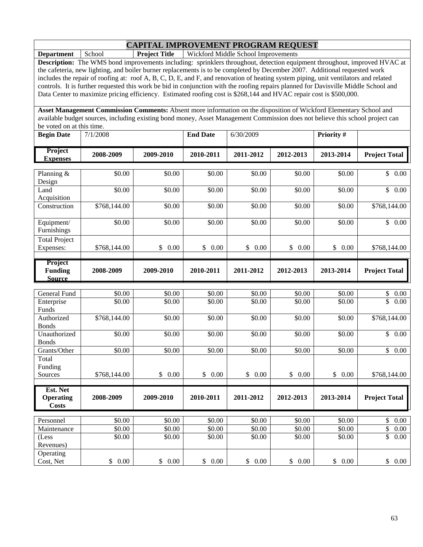**Department** School **Project Title** Wickford Middle School Improvements

**Description:** The WMS bond improvements including: sprinklers throughout, detection equipment throughout, improved HVAC at the cafeteria, new lighting, and boiler burner replacements is to be completed by December 2007. Additional requested work includes the repair of roofing at: roof A, B, C, D, E, and F, and renovation of heating system piping, unit ventilators and related controls. It is further requested this work be bid in conjunction with the roofing repairs planned for Davisville Middle School and Data Center to maximize pricing efficiency. Estimated roofing cost is \$268,144 and HVAC repair cost is \$500,000.

| <b>Begin Date</b>                          | 7/1/2008     |            | <b>End Date</b>    | 6/30/2009  |                | <b>Priority#</b> |                                 |
|--------------------------------------------|--------------|------------|--------------------|------------|----------------|------------------|---------------------------------|
| Project<br><b>Expenses</b>                 | 2008-2009    | 2009-2010  | 2010-2011          | 2011-2012  | 2012-2013      | 2013-2014        | <b>Project Total</b>            |
|                                            |              |            |                    |            |                |                  |                                 |
| Planning &<br>Design                       | \$0.00       | \$0.00     | \$0.00             | \$0.00     | \$0.00         | \$0.00           | \$0.00                          |
| Land<br>Acquisition                        | \$0.00       | \$0.00     | \$0.00             | \$0.00     | \$0.00         | \$0.00           | $\overline{\mathbb{S}}$<br>0.00 |
| Construction                               | \$768,144.00 | \$0.00     | \$0.00             | \$0.00     | \$0.00         | \$0.00           | \$768,144.00                    |
| Equipment/<br>Furnishings                  | \$0.00       | \$0.00     | \$0.00             | \$0.00     | \$0.00         | \$0.00           | \$0.00                          |
| <b>Total Project</b>                       |              |            |                    |            |                |                  |                                 |
| Expenses:                                  | \$768,144.00 | \$0.00     | \$0.00             | \$0.00     | \$0.00         | \$0.00           | \$768,144.00                    |
| Project<br><b>Funding</b><br><b>Source</b> | 2008-2009    | 2009-2010  | 2010-2011          | 2011-2012  | 2012-2013      | 2013-2014        | <b>Project Total</b>            |
|                                            |              |            |                    |            |                |                  |                                 |
| <b>General Fund</b>                        | \$0.00       | \$0.00     | \$0.00             | \$0.00     | \$0.00         | \$0.00           | \$<br>0.00                      |
| Enterprise<br>Funds                        | \$0.00       | \$0.00     | \$0.00             | \$0.00     | $\sqrt{$0.00}$ | \$0.00           | \$<br>0.00                      |
| Authorized<br><b>Bonds</b>                 | \$768,144.00 | \$0.00     | \$0.00             | \$0.00     | \$0.00         | \$0.00           | \$768,144.00                    |
| Unauthorized<br><b>Bonds</b>               | \$0.00       | \$0.00     | \$0.00             | \$0.00     | \$0.00         | \$0.00           | \$0.00                          |
| Grants/Other                               | \$0.00       | \$0.00     | $\overline{$}0.00$ | \$0.00     | \$0.00         | \$0.00           | $\overline{\mathbb{S}}$<br>0.00 |
| Total<br>Funding                           |              |            |                    |            |                |                  |                                 |
| Sources                                    | \$768,144.00 | \$<br>0.00 | \$<br>0.00         | \$<br>0.00 | \$<br>0.00     | \$<br>0.00       | \$768,144.00                    |
| Est. Net                                   |              |            |                    |            |                |                  |                                 |
| <b>Operating</b><br><b>Costs</b>           | 2008-2009    | 2009-2010  | 2010-2011          | 2011-2012  | 2012-2013      | 2013-2014        | <b>Project Total</b>            |
|                                            |              |            |                    |            |                |                  |                                 |
| Personnel                                  | \$0.00       | \$0.00     | \$0.00             | \$0.00     | \$0.00         | \$0.00           | \$<br>0.00                      |
| Maintenance                                | \$0.00       | \$0.00     | \$0.00             | \$0.00     | \$0.00         | \$0.00           | \$<br>0.00                      |
| (Less<br>Revenues)                         | \$0.00       | \$0.00     | \$0.00             | \$0.00     | \$0.00         | \$0.00           | $\overline{\mathbb{S}}$<br>0.00 |
| Operating<br>Cost, Net                     | \$0.00       | \$0.00     | \$0.00             | \$0.00     | \$0.00         | \$0.00           | \$0.00                          |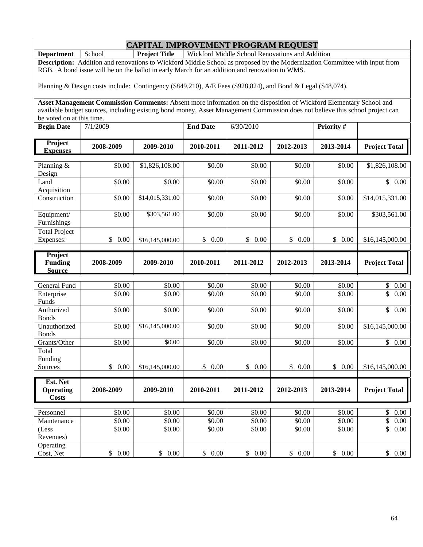**Department** School **Project Title** Wickford Middle School Renovations and Addition

**Description:** Addition and renovations to Wickford Middle School as proposed by the Modernization Committee with input from RGB. A bond issue will be on the ballot in early March for an addition and renovation to WMS.

Planning & Design costs include: Contingency (\$849,210), A/E Fees (\$928,824), and Bond & Legal (\$48,074).

| <b>Begin Date</b>   | 7/1/2009  |           | <b>End Date</b> | 6/30/2010 |           | <b>Priority #</b> |                      |
|---------------------|-----------|-----------|-----------------|-----------|-----------|-------------------|----------------------|
| Project<br>Expenses | 2008-2009 | 2009-2010 | 2010-2011       | 2011-2012 | 2012-2013 | 2013-2014         | <b>Project Total</b> |

| Planning $&$                               | \$0.00     | \$1,826,108.00  | \$0.00     | \$0.00     | \$0.00     | \$0.00     | \$1,826,108.00       |
|--------------------------------------------|------------|-----------------|------------|------------|------------|------------|----------------------|
| Design                                     |            |                 |            |            |            |            |                      |
| Land                                       | \$0.00     | \$0.00          | \$0.00     | \$0.00     | \$0.00     | \$0.00     | \$<br>0.00           |
| Acquisition                                |            |                 |            |            |            |            |                      |
| Construction                               | \$0.00     | \$14,015,331.00 | \$0.00     | \$0.00     | \$0.00     | \$0.00     | \$14,015,331.00      |
|                                            |            |                 |            |            |            |            |                      |
| Equipment/                                 | \$0.00     | \$303,561.00    | \$0.00     | \$0.00     | \$0.00     | \$0.00     | \$303,561.00         |
| Furnishings                                |            |                 |            |            |            |            |                      |
| <b>Total Project</b>                       |            |                 |            |            |            |            |                      |
| Expenses:                                  | 0.00<br>\$ | \$16,145,000.00 | \$<br>0.00 | \$<br>0.00 | \$<br>0.00 | \$<br>0.00 | \$16,145,000.00      |
|                                            |            |                 |            |            |            |            |                      |
| Project<br><b>Funding</b><br><b>Source</b> | 2008-2009  | 2009-2010       | 2010-2011  | 2011-2012  | 2012-2013  | 2013-2014  | <b>Project Total</b> |

| General Fund       | \$0.00           | \$0.00           | \$0.00     | \$0.00           | \$0.00           | \$0.00           | \$<br>0.00           |  |
|--------------------|------------------|------------------|------------|------------------|------------------|------------------|----------------------|--|
| Enterprise         | \$0.00           | \$0.00           | \$0.00     | \$0.00           | \$0.00           | \$0.00           | \$<br>0.00           |  |
| Funds              |                  |                  |            |                  |                  |                  |                      |  |
| Authorized         | \$0.00           | \$0.00           | \$0.00     | \$0.00           | \$0.00           | \$0.00           | \$<br>0.00           |  |
| <b>Bonds</b>       |                  |                  |            |                  |                  |                  |                      |  |
| Unauthorized       | \$0.00           | \$16,145,000.00  | \$0.00     | \$0.00           | \$0.00           | \$0.00           | \$16,145,000.00      |  |
| <b>Bonds</b>       |                  |                  |            |                  |                  |                  |                      |  |
| Grants/Other       | \$0.00           | \$0.00           | \$0.00     | \$0.00           | \$0.00           | \$0.00           | $\mathbb{S}$<br>0.00 |  |
| Total              |                  |                  |            |                  |                  |                  |                      |  |
| Funding            |                  |                  |            |                  |                  |                  |                      |  |
| Sources            | \$<br>0.00       | \$16,145,000.00  | \$<br>0.00 | \$<br>0.00       | \$<br>0.00       | \$<br>0.00       | \$16,145,000.00      |  |
|                    |                  |                  |            |                  |                  |                  |                      |  |
|                    |                  |                  |            |                  |                  |                  |                      |  |
| Est. Net           |                  |                  |            |                  |                  |                  |                      |  |
| <b>Operating</b>   | 2008-2009        | 2009-2010        | 2010-2011  | 2011-2012        | 2012-2013        | 2013-2014        | <b>Project Total</b> |  |
| Costs              |                  |                  |            |                  |                  |                  |                      |  |
| Personnel          |                  |                  | \$0.00     |                  |                  |                  | \$                   |  |
| Maintenance        | \$0.00<br>\$0.00 | \$0.00<br>\$0.00 | \$0.00     | \$0.00<br>\$0.00 | \$0.00<br>\$0.00 | \$0.00<br>\$0.00 | 0.00<br>\$<br>0.00   |  |
|                    | \$0.00           | \$0.00           | \$0.00     | \$0.00           | \$0.00           | \$0.00           | \$<br>0.00           |  |
| (Less<br>Revenues) |                  |                  |            |                  |                  |                  |                      |  |
| Operating          |                  |                  |            |                  |                  |                  |                      |  |